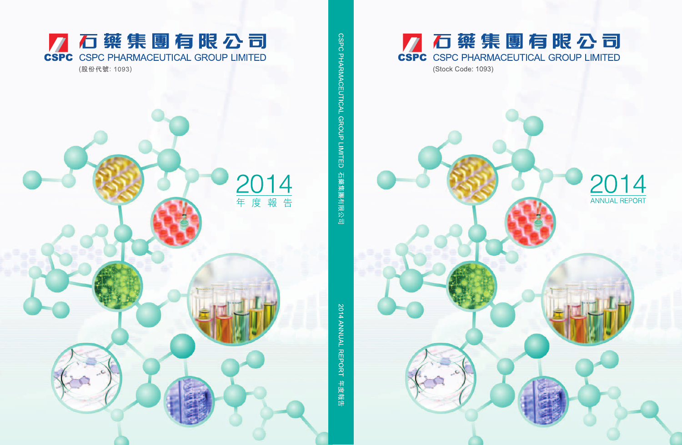

2014 **ANNUAL REPORT**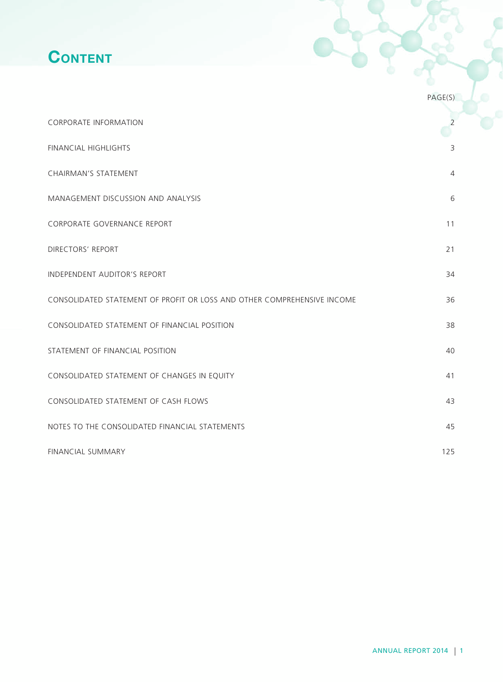# **Content**

|                                                                         | PAGE(S)        |
|-------------------------------------------------------------------------|----------------|
| <b>CORPORATE INFORMATION</b>                                            | $\overline{2}$ |
| FINANCIAL HIGHLIGHTS                                                    | 3              |
| <b>CHAIRMAN'S STATEMENT</b>                                             | 4              |
| MANAGEMENT DISCUSSION AND ANALYSIS                                      | 6              |
| CORPORATE GOVERNANCE REPORT                                             | 11             |
| <b>DIRECTORS' REPORT</b>                                                | 21             |
| INDEPENDENT AUDITOR'S REPORT                                            | 34             |
| CONSOLIDATED STATEMENT OF PROFIT OR LOSS AND OTHER COMPREHENSIVE INCOME | 36             |
| CONSOLIDATED STATEMENT OF FINANCIAL POSITION                            | 38             |
| STATEMENT OF FINANCIAL POSITION                                         | 40             |
| CONSOLIDATED STATEMENT OF CHANGES IN EQUITY                             | 41             |
| CONSOLIDATED STATEMENT OF CASH FLOWS                                    | 43             |
| NOTES TO THE CONSOLIDATED FINANCIAL STATEMENTS                          | 45             |
| FINANCIAL SUMMARY                                                       | 125            |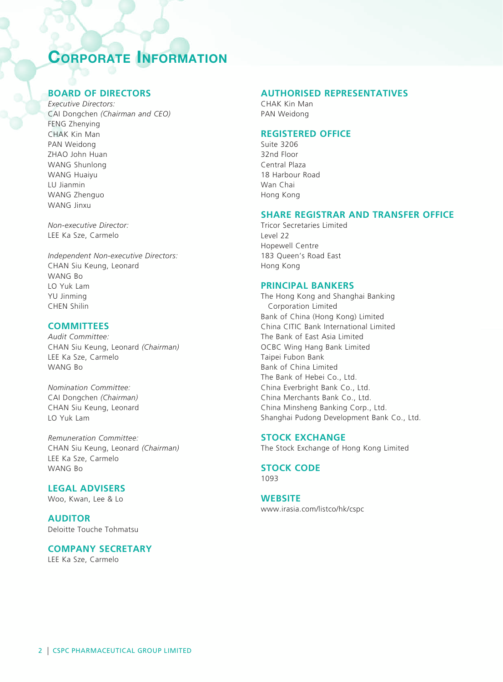## **Corporate Information**

## **BOARD OF DIRECTORS**

*Executive Directors:* CAI Dongchen *(Chairman and CEO)* FENG Zhenying CHAK Kin Man PAN Weidong ZHAO John Huan WANG Shunlong WANG Huaiyu LU Jianmin WANG Zhenguo WANG Jinxu

*Non-executive Director:* LEE Ka Sze, Carmelo

*Independent Non-executive Directors:* CHAN Siu Keung, Leonard WANG Bo LO Yuk Lam YU Jinming CHEN Shilin

## **COMMITTEES**

*Audit Committee:* CHAN Siu Keung, Leonard *(Chairman)* LEE Ka Sze, Carmelo WANG Bo

*Nomination Committee:* CAI Dongchen *(Chairman)* CHAN Siu Keung, Leonard LO Yuk Lam

*Remuneration Committee:* CHAN Siu Keung, Leonard *(Chairman)* LEE Ka Sze, Carmelo WANG Bo

## **LEGAL ADVISERS**

Woo, Kwan, Lee & Lo

**AUDITOR** Deloitte Touche Tohmatsu

## **COMPANY SECRETARY**

LEE Ka Sze, Carmelo

## **AUTHORISED REPRESENTATIVES**

CHAK Kin Man PAN Weidong

## **REGISTERED OFFICE**

Suite 3206 32nd Floor Central Plaza 18 Harbour Road Wan Chai Hong Kong

### **SHARE REGISTRAR AND TRANSFER OFFICE**

Tricor Secretaries Limited Level 22 Hopewell Centre 183 Queen's Road East Hong Kong

### **PRINCIPAL BANKERS**

The Hong Kong and Shanghai Banking Corporation Limited Bank of China (Hong Kong) Limited China CITIC Bank International Limited The Bank of East Asia Limited OCBC Wing Hang Bank Limited Taipei Fubon Bank Bank of China Limited The Bank of Hebei Co., Ltd. China Everbright Bank Co., Ltd. China Merchants Bank Co., Ltd. China Minsheng Banking Corp., Ltd. Shanghai Pudong Development Bank Co., Ltd.

### **STOCK EXCHANGE**

The Stock Exchange of Hong Kong Limited

## **STOCK CODE**

1093

## **WEBSITE**

www.irasia.com/listco/hk/cspc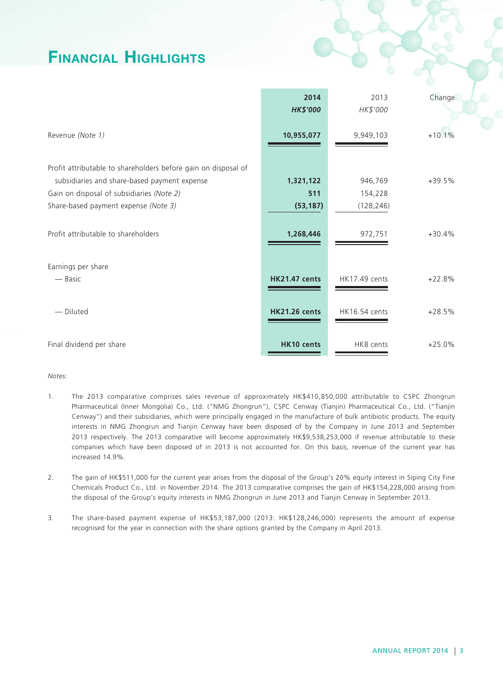## **Financial Highlights**

|                                                                | 2014<br><b>HK\$'000</b> | 2013<br>HK\$'000     | Change   |
|----------------------------------------------------------------|-------------------------|----------------------|----------|
| Revenue (Note 1)                                               | 10,955,077              | 9,949,103            | $+10.1%$ |
| Profit attributable to shareholders before gain on disposal of |                         |                      |          |
| subsidiaries and share-based payment expense                   | 1,321,122               | 946,769              | $+39.5%$ |
| Gain on disposal of subsidiaries (Note 2)                      | 511                     | 154,228              |          |
| Share-based payment expense (Note 3)                           | (53, 187)               | (128, 246)           |          |
| Profit attributable to shareholders                            | 1,268,446               | 972,751              | $+30.4%$ |
| Earnings per share                                             |                         |                      |          |
| — Basic                                                        | <b>HK21.47 cents</b>    | <b>HK17.49 cents</b> | $+22.8%$ |
| - Diluted                                                      | <b>HK21.26 cents</b>    | <b>HK16.54 cents</b> | $+28.5%$ |
| Final dividend per share                                       | <b>HK10 cents</b>       | HK8 cents            | $+25.0%$ |

#### *Notes:*

- 1. The 2013 comparative comprises sales revenue of approximately HK\$410,850,000 attributable to CSPC Zhongrun Pharmaceutical (Inner Mongolia) Co., Ltd. ("NMG Zhongrun"), CSPC Cenway (Tianjin) Pharmaceutical Co., Ltd. ("Tianjin Cenway") and their subsidiaries, which were principally engaged in the manufacture of bulk antibiotic products. The equity interests in NMG Zhongrun and Tianjin Cenway have been disposed of by the Company in June 2013 and September 2013 respectively. The 2013 comparative will become approximately HK\$9,538,253,000 if revenue attributable to these companies which have been disposed of in 2013 is not accounted for. On this basis, revenue of the current year has increased 14.9%.
- 2. The gain of HK\$511,000 for the current year arises from the disposal of the Group's 20% equity interest in Siping City Fine Chemicals Product Co., Ltd. in November 2014. The 2013 comparative comprises the gain of HK\$154,228,000 arising from the disposal of the Group's equity interests in NMG Zhongrun in June 2013 and Tianjin Cenway in September 2013.
- 3. The share-based payment expense of HK\$53,187,000 (2013: HK\$128,246,000) represents the amount of expense recognised for the year in connection with the share options granted by the Company in April 2013.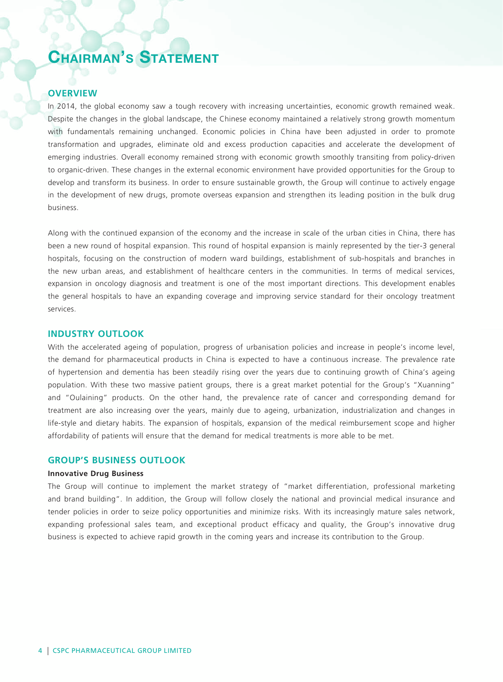# **Chairman's Statement**

### **OVERVIEW**

In 2014, the global economy saw a tough recovery with increasing uncertainties, economic growth remained weak. Despite the changes in the global landscape, the Chinese economy maintained a relatively strong growth momentum with fundamentals remaining unchanged. Economic policies in China have been adjusted in order to promote transformation and upgrades, eliminate old and excess production capacities and accelerate the development of emerging industries. Overall economy remained strong with economic growth smoothly transiting from policy-driven to organic-driven. These changes in the external economic environment have provided opportunities for the Group to develop and transform its business. In order to ensure sustainable growth, the Group will continue to actively engage in the development of new drugs, promote overseas expansion and strengthen its leading position in the bulk drug business.

Along with the continued expansion of the economy and the increase in scale of the urban cities in China, there has been a new round of hospital expansion. This round of hospital expansion is mainly represented by the tier-3 general hospitals, focusing on the construction of modern ward buildings, establishment of sub-hospitals and branches in the new urban areas, and establishment of healthcare centers in the communities. In terms of medical services, expansion in oncology diagnosis and treatment is one of the most important directions. This development enables the general hospitals to have an expanding coverage and improving service standard for their oncology treatment services.

### **Industry Outlook**

With the accelerated ageing of population, progress of urbanisation policies and increase in people's income level, the demand for pharmaceutical products in China is expected to have a continuous increase. The prevalence rate of hypertension and dementia has been steadily rising over the years due to continuing growth of China's ageing population. With these two massive patient groups, there is a great market potential for the Group's "Xuanning" and "Oulaining" products. On the other hand, the prevalence rate of cancer and corresponding demand for treatment are also increasing over the years, mainly due to ageing, urbanization, industrialization and changes in life-style and dietary habits. The expansion of hospitals, expansion of the medical reimbursement scope and higher affordability of patients will ensure that the demand for medical treatments is more able to be met.

### **Group's Business Outlook**

### **Innovative Drug Business**

The Group will continue to implement the market strategy of "market differentiation, professional marketing and brand building". In addition, the Group will follow closely the national and provincial medical insurance and tender policies in order to seize policy opportunities and minimize risks. With its increasingly mature sales network, expanding professional sales team, and exceptional product efficacy and quality, the Group's innovative drug business is expected to achieve rapid growth in the coming years and increase its contribution to the Group.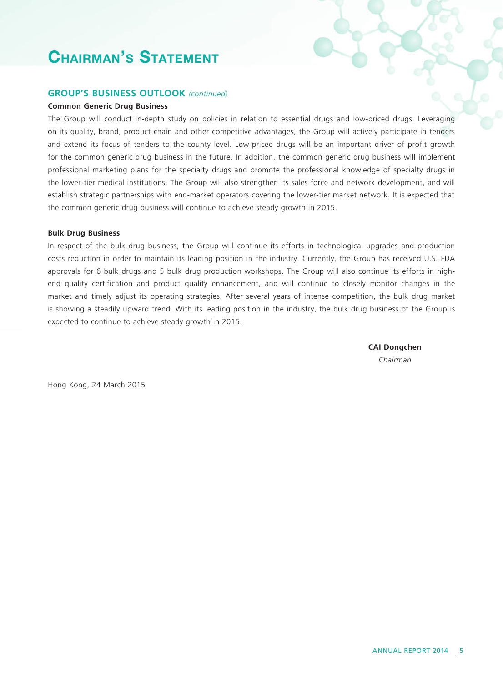# **Chairman's Statement**

### **Group's Business Outlook** *(continued)*

#### **Common Generic Drug Business**

The Group will conduct in-depth study on policies in relation to essential drugs and low-priced drugs. Leveraging on its quality, brand, product chain and other competitive advantages, the Group will actively participate in tenders and extend its focus of tenders to the county level. Low-priced drugs will be an important driver of profit growth for the common generic drug business in the future. In addition, the common generic drug business will implement professional marketing plans for the specialty drugs and promote the professional knowledge of specialty drugs in the lower-tier medical institutions. The Group will also strengthen its sales force and network development, and will establish strategic partnerships with end-market operators covering the lower-tier market network. It is expected that the common generic drug business will continue to achieve steady growth in 2015.

### **Bulk Drug Business**

In respect of the bulk drug business, the Group will continue its efforts in technological upgrades and production costs reduction in order to maintain its leading position in the industry. Currently, the Group has received U.S. FDA approvals for 6 bulk drugs and 5 bulk drug production workshops. The Group will also continue its efforts in highend quality certification and product quality enhancement, and will continue to closely monitor changes in the market and timely adjust its operating strategies. After several years of intense competition, the bulk drug market is showing a steadily upward trend. With its leading position in the industry, the bulk drug business of the Group is expected to continue to achieve steady growth in 2015.

> **CAI Dongchen** *Chairman*

Hong Kong, 24 March 2015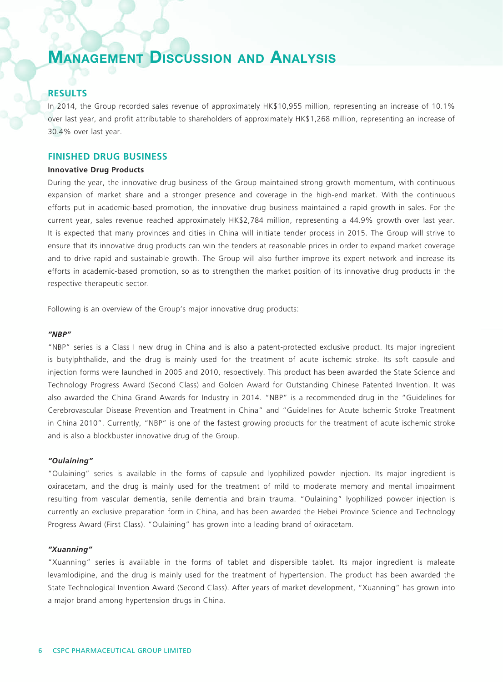### **Results**

In 2014, the Group recorded sales revenue of approximately HK\$10,955 million, representing an increase of 10.1% over last year, and profit attributable to shareholders of approximately HK\$1,268 million, representing an increase of 30.4% over last year.

### **Finished Drug Business**

### **Innovative Drug Products**

During the year, the innovative drug business of the Group maintained strong growth momentum, with continuous expansion of market share and a stronger presence and coverage in the high-end market. With the continuous efforts put in academic-based promotion, the innovative drug business maintained a rapid growth in sales. For the current year, sales revenue reached approximately HK\$2,784 million, representing a 44.9% growth over last year. It is expected that many provinces and cities in China will initiate tender process in 2015. The Group will strive to ensure that its innovative drug products can win the tenders at reasonable prices in order to expand market coverage and to drive rapid and sustainable growth. The Group will also further improve its expert network and increase its efforts in academic-based promotion, so as to strengthen the market position of its innovative drug products in the respective therapeutic sector.

Following is an overview of the Group's major innovative drug products:

#### *"NBP"*

"NBP" series is a Class I new drug in China and is also a patent-protected exclusive product. Its major ingredient is butylphthalide, and the drug is mainly used for the treatment of acute ischemic stroke. Its soft capsule and injection forms were launched in 2005 and 2010, respectively. This product has been awarded the State Science and Technology Progress Award (Second Class) and Golden Award for Outstanding Chinese Patented Invention. It was also awarded the China Grand Awards for Industry in 2014. "NBP" is a recommended drug in the "Guidelines for Cerebrovascular Disease Prevention and Treatment in China" and "Guidelines for Acute Ischemic Stroke Treatment in China 2010". Currently, "NBP" is one of the fastest growing products for the treatment of acute ischemic stroke and is also a blockbuster innovative drug of the Group.

#### *"Oulaining"*

"Oulaining" series is available in the forms of capsule and lyophilized powder injection. Its major ingredient is oxiracetam, and the drug is mainly used for the treatment of mild to moderate memory and mental impairment resulting from vascular dementia, senile dementia and brain trauma. "Oulaining" lyophilized powder injection is currently an exclusive preparation form in China, and has been awarded the Hebei Province Science and Technology Progress Award (First Class). "Oulaining" has grown into a leading brand of oxiracetam.

### *"Xuanning"*

"Xuanning" series is available in the forms of tablet and dispersible tablet. Its major ingredient is maleate levamlodipine, and the drug is mainly used for the treatment of hypertension. The product has been awarded the State Technological Invention Award (Second Class). After years of market development, "Xuanning" has grown into a major brand among hypertension drugs in China.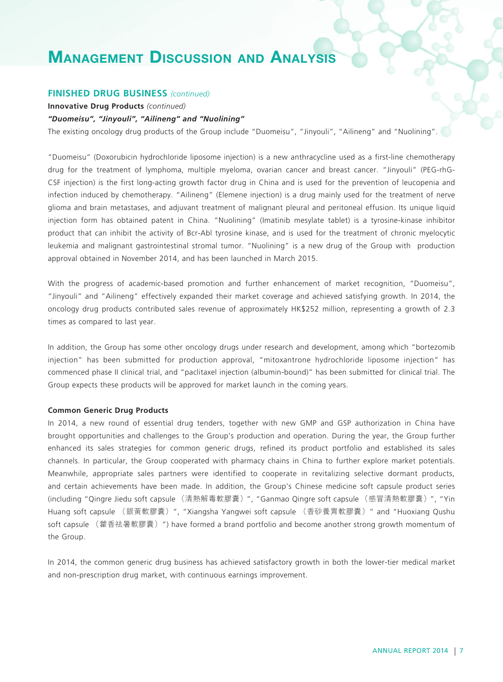### **Finished Drug Business** *(continued)*

#### **Innovative Drug Products** *(continued)*

### *"Duomeisu", "Jinyouli", "Ailineng" and "Nuolining"*

The existing oncology drug products of the Group include "Duomeisu", "Jinyouli", "Ailineng" and "Nuolining".

"Duomeisu" (Doxorubicin hydrochloride liposome injection) is a new anthracycline used as a first-line chemotherapy drug for the treatment of lymphoma, multiple myeloma, ovarian cancer and breast cancer. "Jinyouli" (PEG-rhG-CSF injection) is the first long-acting growth factor drug in China and is used for the prevention of leucopenia and infection induced by chemotherapy. "Ailineng" (Elemene injection) is a drug mainly used for the treatment of nerve glioma and brain metastases, and adjuvant treatment of malignant pleural and peritoneal effusion. Its unique liquid injection form has obtained patent in China. "Nuolining" (Imatinib mesylate tablet) is a tyrosine-kinase inhibitor product that can inhibit the activity of Bcr-Abl tyrosine kinase, and is used for the treatment of chronic myelocytic leukemia and malignant gastrointestinal stromal tumor. "Nuolining" is a new drug of the Group with production approval obtained in November 2014, and has been launched in March 2015.

With the progress of academic-based promotion and further enhancement of market recognition, "Duomeisu", "Jinyouli" and "Ailineng" effectively expanded their market coverage and achieved satisfying growth. In 2014, the oncology drug products contributed sales revenue of approximately HK\$252 million, representing a growth of 2.3 times as compared to last year.

In addition, the Group has some other oncology drugs under research and development, among which "bortezomib injection" has been submitted for production approval, "mitoxantrone hydrochloride liposome injection" has commenced phase II clinical trial, and "paclitaxel injection (albumin-bound)" has been submitted for clinical trial. The Group expects these products will be approved for market launch in the coming years.

#### **Common Generic Drug Products**

In 2014, a new round of essential drug tenders, together with new GMP and GSP authorization in China have brought opportunities and challenges to the Group's production and operation. During the year, the Group further enhanced its sales strategies for common generic drugs, refined its product portfolio and established its sales channels. In particular, the Group cooperated with pharmacy chains in China to further explore market potentials. Meanwhile, appropriate sales partners were identified to cooperate in revitalizing selective dormant products, and certain achievements have been made. In addition, the Group's Chinese medicine soft capsule product series (including "Qingre Jiedu soft capsule (清熱解毒軟膠囊)", "Ganmao Qingre soft capsule (感冒清熱軟膠囊)", "Yin Huang soft capsule (銀黃軟膠囊)", "Xiangsha Yangwei soft capsule (香砂養胃軟膠囊)" and "Huoxiang Qushu soft capsule (藿香祛暑軟膠囊)") have formed a brand portfolio and become another strong growth momentum of the Group.

In 2014, the common generic drug business has achieved satisfactory growth in both the lower-tier medical market and non-prescription drug market, with continuous earnings improvement.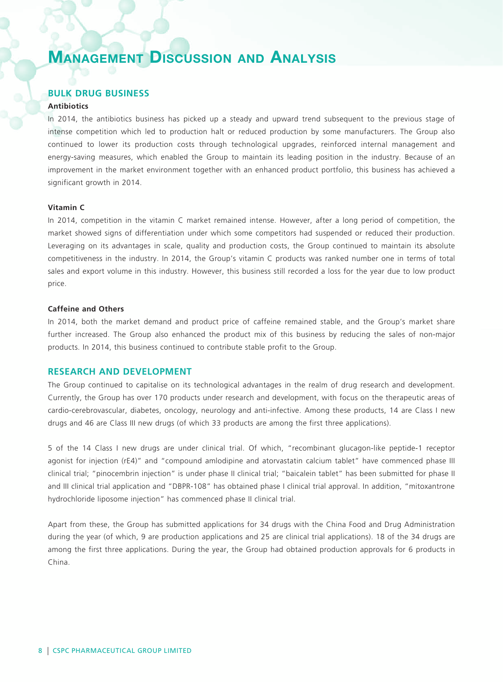### **Bulk Drug Business**

### **Antibiotics**

In 2014, the antibiotics business has picked up a steady and upward trend subsequent to the previous stage of intense competition which led to production halt or reduced production by some manufacturers. The Group also continued to lower its production costs through technological upgrades, reinforced internal management and energy-saving measures, which enabled the Group to maintain its leading position in the industry. Because of an improvement in the market environment together with an enhanced product portfolio, this business has achieved a significant growth in 2014.

### **Vitamin C**

In 2014, competition in the vitamin C market remained intense. However, after a long period of competition, the market showed signs of differentiation under which some competitors had suspended or reduced their production. Leveraging on its advantages in scale, quality and production costs, the Group continued to maintain its absolute competitiveness in the industry. In 2014, the Group's vitamin C products was ranked number one in terms of total sales and export volume in this industry. However, this business still recorded a loss for the year due to low product price.

#### **Caffeine and Others**

In 2014, both the market demand and product price of caffeine remained stable, and the Group's market share further increased. The Group also enhanced the product mix of this business by reducing the sales of non-major products. In 2014, this business continued to contribute stable profit to the Group.

### **Research and Development**

The Group continued to capitalise on its technological advantages in the realm of drug research and development. Currently, the Group has over 170 products under research and development, with focus on the therapeutic areas of cardio-cerebrovascular, diabetes, oncology, neurology and anti-infective. Among these products, 14 are Class I new drugs and 46 are Class III new drugs (of which 33 products are among the first three applications).

5 of the 14 Class I new drugs are under clinical trial. Of which, "recombinant glucagon-like peptide-1 receptor agonist for injection (rE4)" and "compound amlodipine and atorvastatin calcium tablet" have commenced phase III clinical trial; "pinocembrin injection" is under phase II clinical trial; "baicalein tablet" has been submitted for phase II and III clinical trial application and "DBPR-108" has obtained phase I clinical trial approval. In addition, "mitoxantrone hydrochloride liposome injection" has commenced phase II clinical trial.

Apart from these, the Group has submitted applications for 34 drugs with the China Food and Drug Administration during the year (of which, 9 are production applications and 25 are clinical trial applications). 18 of the 34 drugs are among the first three applications. During the year, the Group had obtained production approvals for 6 products in China.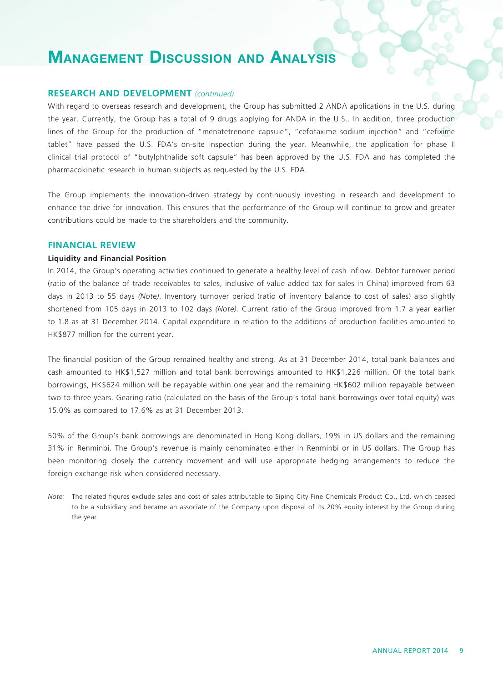## **Research and Development** *(continued)*

With regard to overseas research and development, the Group has submitted 2 ANDA applications in the U.S. during the year. Currently, the Group has a total of 9 drugs applying for ANDA in the U.S.. In addition, three production lines of the Group for the production of "menatetrenone capsule", "cefotaxime sodium injection" and "cefixime tablet" have passed the U.S. FDA's on-site inspection during the year. Meanwhile, the application for phase II clinical trial protocol of "butylphthalide soft capsule" has been approved by the U.S. FDA and has completed the pharmacokinetic research in human subjects as requested by the U.S. FDA.

The Group implements the innovation-driven strategy by continuously investing in research and development to enhance the drive for innovation. This ensures that the performance of the Group will continue to grow and greater contributions could be made to the shareholders and the community.

### **Financial Review**

### **Liquidity and Financial Position**

In 2014, the Group's operating activities continued to generate a healthy level of cash inflow. Debtor turnover period (ratio of the balance of trade receivables to sales, inclusive of value added tax for sales in China) improved from 63 days in 2013 to 55 days *(Note)*. Inventory turnover period (ratio of inventory balance to cost of sales) also slightly shortened from 105 days in 2013 to 102 days *(Note)*. Current ratio of the Group improved from 1.7 a year earlier to 1.8 as at 31 December 2014. Capital expenditure in relation to the additions of production facilities amounted to HK\$877 million for the current year.

The financial position of the Group remained healthy and strong. As at 31 December 2014, total bank balances and cash amounted to HK\$1,527 million and total bank borrowings amounted to HK\$1,226 million. Of the total bank borrowings, HK\$624 million will be repayable within one year and the remaining HK\$602 million repayable between two to three years. Gearing ratio (calculated on the basis of the Group's total bank borrowings over total equity) was 15.0% as compared to 17.6% as at 31 December 2013.

50% of the Group's bank borrowings are denominated in Hong Kong dollars, 19% in US dollars and the remaining 31% in Renminbi. The Group's revenue is mainly denominated either in Renminbi or in US dollars. The Group has been monitoring closely the currency movement and will use appropriate hedging arrangements to reduce the foreign exchange risk when considered necessary.

*Note:* The related figures exclude sales and cost of sales attributable to Siping City Fine Chemicals Product Co., Ltd. which ceased to be a subsidiary and became an associate of the Company upon disposal of its 20% equity interest by the Group during the year.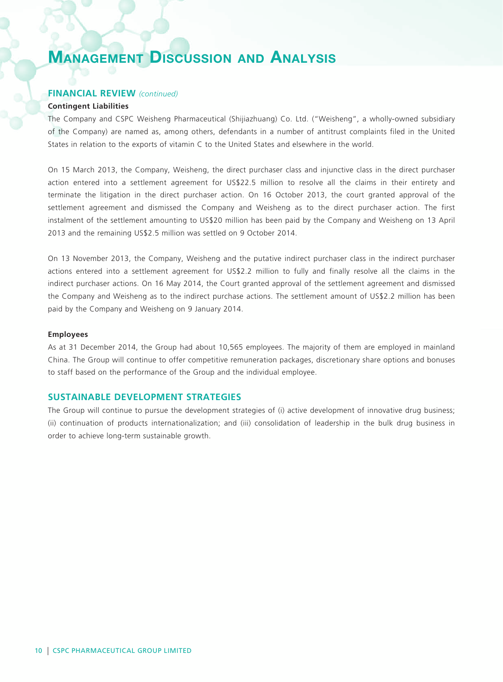### **Financial Review** *(continued)*

#### **Contingent Liabilities**

The Company and CSPC Weisheng Pharmaceutical (Shijiazhuang) Co. Ltd. ("Weisheng", a wholly-owned subsidiary of the Company) are named as, among others, defendants in a number of antitrust complaints filed in the United States in relation to the exports of vitamin C to the United States and elsewhere in the world.

On 15 March 2013, the Company, Weisheng, the direct purchaser class and injunctive class in the direct purchaser action entered into a settlement agreement for US\$22.5 million to resolve all the claims in their entirety and terminate the litigation in the direct purchaser action. On 16 October 2013, the court granted approval of the settlement agreement and dismissed the Company and Weisheng as to the direct purchaser action. The first instalment of the settlement amounting to US\$20 million has been paid by the Company and Weisheng on 13 April 2013 and the remaining US\$2.5 million was settled on 9 October 2014.

On 13 November 2013, the Company, Weisheng and the putative indirect purchaser class in the indirect purchaser actions entered into a settlement agreement for US\$2.2 million to fully and finally resolve all the claims in the indirect purchaser actions. On 16 May 2014, the Court granted approval of the settlement agreement and dismissed the Company and Weisheng as to the indirect purchase actions. The settlement amount of US\$2.2 million has been paid by the Company and Weisheng on 9 January 2014.

#### **Employees**

As at 31 December 2014, the Group had about 10,565 employees. The majority of them are employed in mainland China. The Group will continue to offer competitive remuneration packages, discretionary share options and bonuses to staff based on the performance of the Group and the individual employee.

### **Sustainable Development Strategies**

The Group will continue to pursue the development strategies of (i) active development of innovative drug business; (ii) continuation of products internationalization; and (iii) consolidation of leadership in the bulk drug business in order to achieve long-term sustainable growth.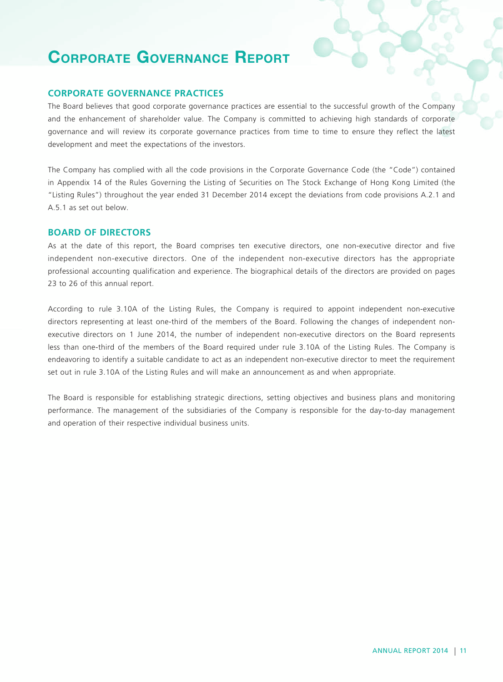## **Corporate Governance Practices**

The Board believes that good corporate governance practices are essential to the successful growth of the Company and the enhancement of shareholder value. The Company is committed to achieving high standards of corporate governance and will review its corporate governance practices from time to time to ensure they reflect the latest development and meet the expectations of the investors.

The Company has complied with all the code provisions in the Corporate Governance Code (the "Code") contained in Appendix 14 of the Rules Governing the Listing of Securities on The Stock Exchange of Hong Kong Limited (the "Listing Rules") throughout the year ended 31 December 2014 except the deviations from code provisions A.2.1 and A.5.1 as set out below.

## **Board of Directors**

As at the date of this report, the Board comprises ten executive directors, one non-executive director and five independent non-executive directors. One of the independent non-executive directors has the appropriate professional accounting qualification and experience. The biographical details of the directors are provided on pages 23 to 26 of this annual report.

According to rule 3.10A of the Listing Rules, the Company is required to appoint independent non-executive directors representing at least one-third of the members of the Board. Following the changes of independent nonexecutive directors on 1 June 2014, the number of independent non-executive directors on the Board represents less than one-third of the members of the Board required under rule 3.10A of the Listing Rules. The Company is endeavoring to identify a suitable candidate to act as an independent non-executive director to meet the requirement set out in rule 3.10A of the Listing Rules and will make an announcement as and when appropriate.

The Board is responsible for establishing strategic directions, setting objectives and business plans and monitoring performance. The management of the subsidiaries of the Company is responsible for the day-to-day management and operation of their respective individual business units.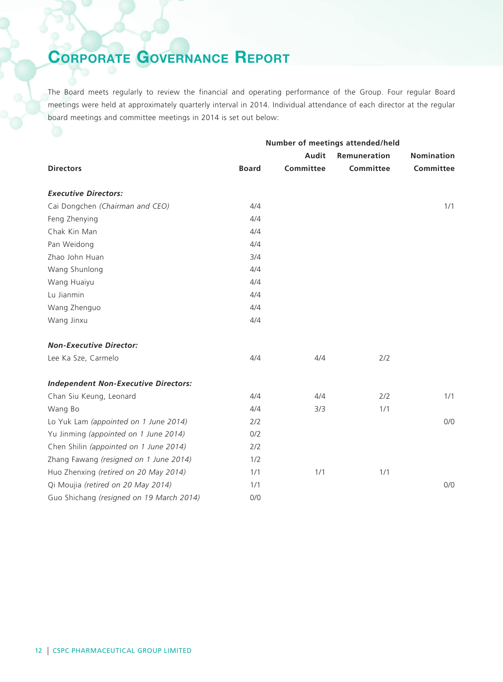The Board meets regularly to review the financial and operating performance of the Group. Four regular Board meetings were held at approximately quarterly interval in 2014. Individual attendance of each director at the regular board meetings and committee meetings in 2014 is set out below:

|                                             | Number of meetings attended/held |                  |                  |                   |  |  |
|---------------------------------------------|----------------------------------|------------------|------------------|-------------------|--|--|
|                                             |                                  | Audit            | Remuneration     | <b>Nomination</b> |  |  |
| <b>Directors</b>                            | <b>Board</b>                     | <b>Committee</b> | <b>Committee</b> | Committee         |  |  |
| <b>Executive Directors:</b>                 |                                  |                  |                  |                   |  |  |
| Cai Dongchen (Chairman and CEO)             | 4/4                              |                  |                  | 1/1               |  |  |
| Feng Zhenying                               | 4/4                              |                  |                  |                   |  |  |
| Chak Kin Man                                | 4/4                              |                  |                  |                   |  |  |
| Pan Weidong                                 | 4/4                              |                  |                  |                   |  |  |
| Zhao John Huan                              | 3/4                              |                  |                  |                   |  |  |
| Wang Shunlong                               | 4/4                              |                  |                  |                   |  |  |
| Wang Huaiyu                                 | 4/4                              |                  |                  |                   |  |  |
| Lu Jianmin                                  | 4/4                              |                  |                  |                   |  |  |
| Wang Zhenguo                                | 4/4                              |                  |                  |                   |  |  |
| Wang Jinxu                                  | 4/4                              |                  |                  |                   |  |  |
| <b>Non-Executive Director:</b>              |                                  |                  |                  |                   |  |  |
| Lee Ka Sze, Carmelo                         | 4/4                              | 4/4              | 2/2              |                   |  |  |
| <b>Independent Non-Executive Directors:</b> |                                  |                  |                  |                   |  |  |
| Chan Siu Keung, Leonard                     | 4/4                              | 4/4              | 2/2              | 1/1               |  |  |
| Wang Bo                                     | 4/4                              | 3/3              | 1/1              |                   |  |  |
| Lo Yuk Lam (appointed on 1 June 2014)       | 2/2                              |                  |                  | 0/0               |  |  |
| Yu Jinming (appointed on 1 June 2014)       | 0/2                              |                  |                  |                   |  |  |
| Chen Shilin (appointed on 1 June 2014)      | 2/2                              |                  |                  |                   |  |  |
| Zhang Fawang (resigned on 1 June 2014)      | 1/2                              |                  |                  |                   |  |  |
| Huo Zhenxing (retired on 20 May 2014)       | 1/1                              | 1/1              | 1/1              |                   |  |  |
| Qi Moujia (retired on 20 May 2014)          | 1/1                              |                  |                  | 0/0               |  |  |
| Guo Shichang (resigned on 19 March 2014)    | 0/0                              |                  |                  |                   |  |  |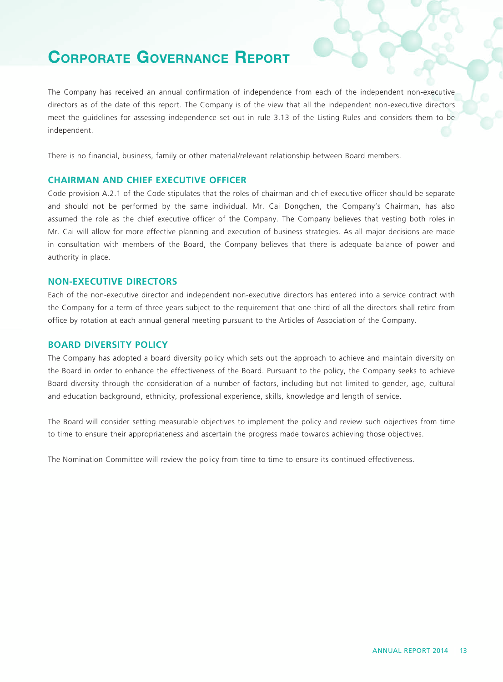The Company has received an annual confirmation of independence from each of the independent non-executive directors as of the date of this report. The Company is of the view that all the independent non-executive directors meet the guidelines for assessing independence set out in rule 3.13 of the Listing Rules and considers them to be independent.

There is no financial, business, family or other material/relevant relationship between Board members.

### **Chairman and Chief Executive Officer**

Code provision A.2.1 of the Code stipulates that the roles of chairman and chief executive officer should be separate and should not be performed by the same individual. Mr. Cai Dongchen, the Company's Chairman, has also assumed the role as the chief executive officer of the Company. The Company believes that vesting both roles in Mr. Cai will allow for more effective planning and execution of business strategies. As all major decisions are made in consultation with members of the Board, the Company believes that there is adequate balance of power and authority in place.

### **Non-Executive Directors**

Each of the non-executive director and independent non-executive directors has entered into a service contract with the Company for a term of three years subject to the requirement that one-third of all the directors shall retire from office by rotation at each annual general meeting pursuant to the Articles of Association of the Company.

## **Board Diversity Policy**

The Company has adopted a board diversity policy which sets out the approach to achieve and maintain diversity on the Board in order to enhance the effectiveness of the Board. Pursuant to the policy, the Company seeks to achieve Board diversity through the consideration of a number of factors, including but not limited to gender, age, cultural and education background, ethnicity, professional experience, skills, knowledge and length of service.

The Board will consider setting measurable objectives to implement the policy and review such objectives from time to time to ensure their appropriateness and ascertain the progress made towards achieving those objectives.

The Nomination Committee will review the policy from time to time to ensure its continued effectiveness.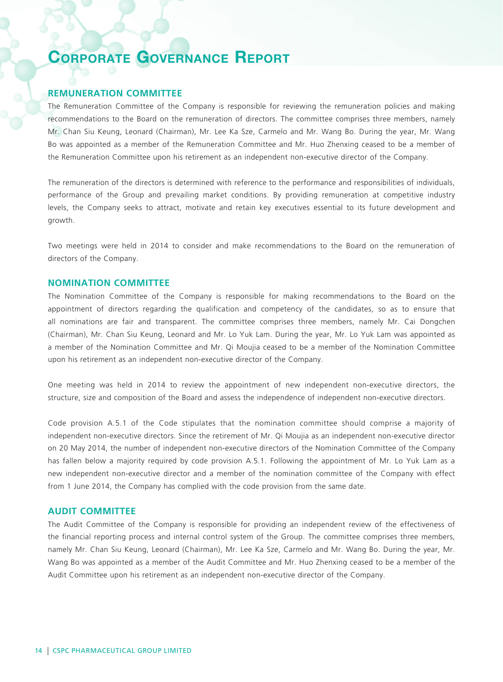### **Remuneration Committee**

The Remuneration Committee of the Company is responsible for reviewing the remuneration policies and making recommendations to the Board on the remuneration of directors. The committee comprises three members, namely Mr. Chan Siu Keung, Leonard (Chairman), Mr. Lee Ka Sze, Carmelo and Mr. Wang Bo. During the year, Mr. Wang Bo was appointed as a member of the Remuneration Committee and Mr. Huo Zhenxing ceased to be a member of the Remuneration Committee upon his retirement as an independent non-executive director of the Company.

The remuneration of the directors is determined with reference to the performance and responsibilities of individuals, performance of the Group and prevailing market conditions. By providing remuneration at competitive industry levels, the Company seeks to attract, motivate and retain key executives essential to its future development and growth.

Two meetings were held in 2014 to consider and make recommendations to the Board on the remuneration of directors of the Company.

## **Nomination Committee**

The Nomination Committee of the Company is responsible for making recommendations to the Board on the appointment of directors regarding the qualification and competency of the candidates, so as to ensure that all nominations are fair and transparent. The committee comprises three members, namely Mr. Cai Dongchen (Chairman), Mr. Chan Siu Keung, Leonard and Mr. Lo Yuk Lam. During the year, Mr. Lo Yuk Lam was appointed as a member of the Nomination Committee and Mr. Qi Moujia ceased to be a member of the Nomination Committee upon his retirement as an independent non-executive director of the Company.

One meeting was held in 2014 to review the appointment of new independent non-executive directors, the structure, size and composition of the Board and assess the independence of independent non-executive directors.

Code provision A.5.1 of the Code stipulates that the nomination committee should comprise a majority of independent non-executive directors. Since the retirement of Mr. Qi Moujia as an independent non-executive director on 20 May 2014, the number of independent non-executive directors of the Nomination Committee of the Company has fallen below a majority required by code provision A.5.1. Following the appointment of Mr. Lo Yuk Lam as a new independent non-executive director and a member of the nomination committee of the Company with effect from 1 June 2014, the Company has complied with the code provision from the same date.

### **Audit Committee**

The Audit Committee of the Company is responsible for providing an independent review of the effectiveness of the financial reporting process and internal control system of the Group. The committee comprises three members, namely Mr. Chan Siu Keung, Leonard (Chairman), Mr. Lee Ka Sze, Carmelo and Mr. Wang Bo. During the year, Mr. Wang Bo was appointed as a member of the Audit Committee and Mr. Huo Zhenxing ceased to be a member of the Audit Committee upon his retirement as an independent non-executive director of the Company.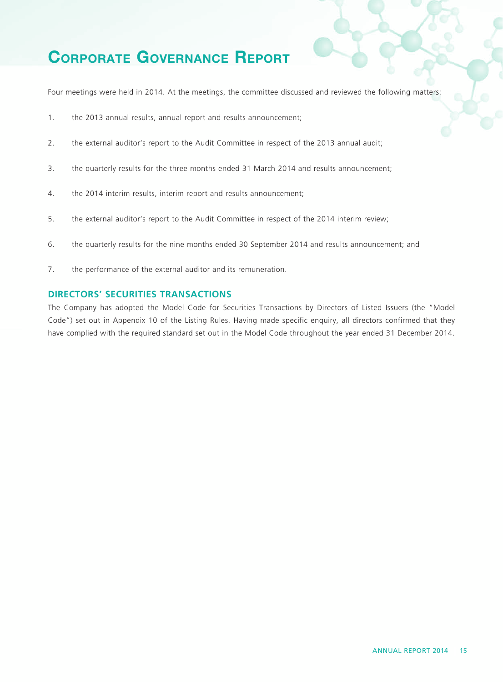Four meetings were held in 2014. At the meetings, the committee discussed and reviewed the following matters:

- 1. the 2013 annual results, annual report and results announcement;
- 2. the external auditor's report to the Audit Committee in respect of the 2013 annual audit;
- 3. the quarterly results for the three months ended 31 March 2014 and results announcement;
- 4. the 2014 interim results, interim report and results announcement;
- 5. the external auditor's report to the Audit Committee in respect of the 2014 interim review;
- 6. the quarterly results for the nine months ended 30 September 2014 and results announcement; and
- 7. the performance of the external auditor and its remuneration.

## **Directors' Securities Transactions**

The Company has adopted the Model Code for Securities Transactions by Directors of Listed Issuers (the "Model Code") set out in Appendix 10 of the Listing Rules. Having made specific enquiry, all directors confirmed that they have complied with the required standard set out in the Model Code throughout the year ended 31 December 2014.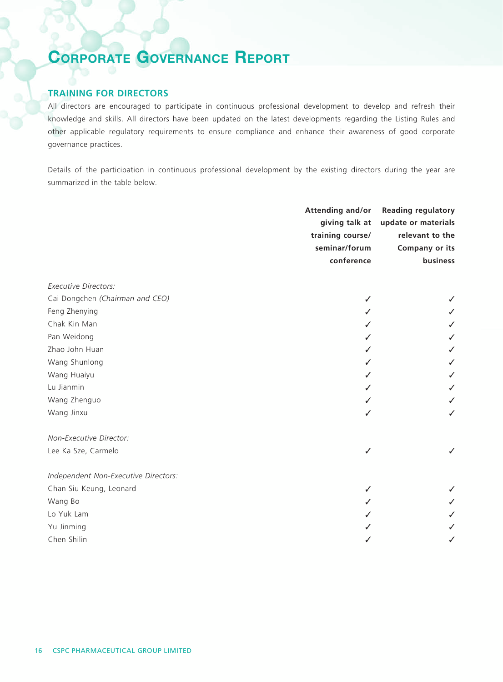## **Training for Directors**

All directors are encouraged to participate in continuous professional development to develop and refresh their knowledge and skills. All directors have been updated on the latest developments regarding the Listing Rules and other applicable regulatory requirements to ensure compliance and enhance their awareness of good corporate governance practices.

Details of the participation in continuous professional development by the existing directors during the year are summarized in the table below.

|                                      | Attending and/or<br>giving talk at<br>training course/<br>seminar/forum<br>conference | <b>Reading regulatory</b><br>update or materials<br>relevant to the<br>Company or its<br>business |
|--------------------------------------|---------------------------------------------------------------------------------------|---------------------------------------------------------------------------------------------------|
| <b>Executive Directors:</b>          |                                                                                       |                                                                                                   |
| Cai Dongchen (Chairman and CEO)      | $\checkmark$                                                                          |                                                                                                   |
| Feng Zhenying                        |                                                                                       |                                                                                                   |
| Chak Kin Man                         |                                                                                       |                                                                                                   |
| Pan Weidong                          |                                                                                       |                                                                                                   |
| Zhao John Huan                       | ✓                                                                                     |                                                                                                   |
| Wang Shunlong                        | ✓                                                                                     |                                                                                                   |
| Wang Huaiyu                          |                                                                                       |                                                                                                   |
| Lu Jianmin                           |                                                                                       |                                                                                                   |
| Wang Zhenguo                         | ✓                                                                                     |                                                                                                   |
| Wang Jinxu                           | ✓                                                                                     | ✓                                                                                                 |
| Non-Executive Director:              |                                                                                       |                                                                                                   |
| Lee Ka Sze, Carmelo                  | ✓                                                                                     | ✓                                                                                                 |
| Independent Non-Executive Directors: |                                                                                       |                                                                                                   |
| Chan Siu Keung, Leonard              | ✓                                                                                     |                                                                                                   |
| Wang Bo                              |                                                                                       |                                                                                                   |
| Lo Yuk Lam                           |                                                                                       |                                                                                                   |
| Yu Jinming                           |                                                                                       |                                                                                                   |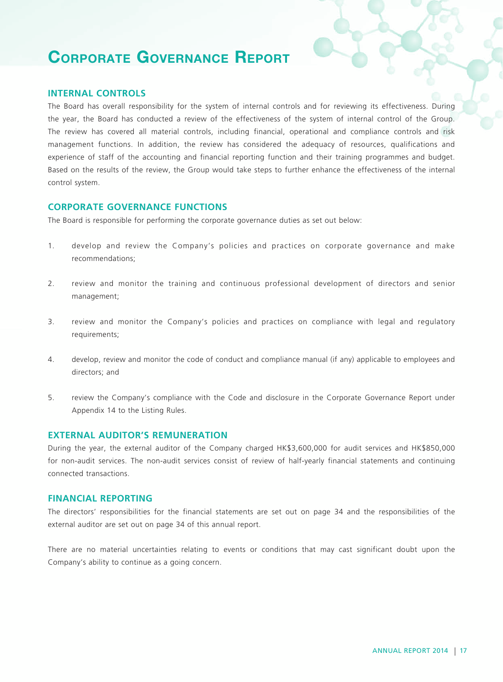### **Internal Controls**

The Board has overall responsibility for the system of internal controls and for reviewing its effectiveness. During the year, the Board has conducted a review of the effectiveness of the system of internal control of the Group. The review has covered all material controls, including financial, operational and compliance controls and risk management functions. In addition, the review has considered the adequacy of resources, qualifications and experience of staff of the accounting and financial reporting function and their training programmes and budget. Based on the results of the review, the Group would take steps to further enhance the effectiveness of the internal control system.

### **Corporate Governance Functions**

The Board is responsible for performing the corporate governance duties as set out below:

- 1. develop and review the Company's policies and practices on corporate governance and make recommendations;
- 2. review and monitor the training and continuous professional development of directors and senior management;
- 3. review and monitor the Company's policies and practices on compliance with legal and regulatory requirements;
- 4. develop, review and monitor the code of conduct and compliance manual (if any) applicable to employees and directors; and
- 5. review the Company's compliance with the Code and disclosure in the Corporate Governance Report under Appendix 14 to the Listing Rules.

### **External Auditor's Remuneration**

During the year, the external auditor of the Company charged HK\$3,600,000 for audit services and HK\$850,000 for non-audit services. The non-audit services consist of review of half-yearly financial statements and continuing connected transactions.

### **Financial Reporting**

The directors' responsibilities for the financial statements are set out on page 34 and the responsibilities of the external auditor are set out on page 34 of this annual report.

There are no material uncertainties relating to events or conditions that may cast significant doubt upon the Company's ability to continue as a going concern.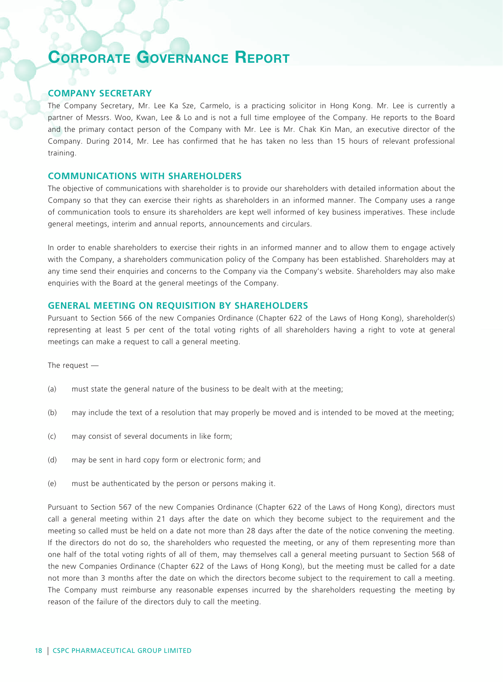### **Company Secretary**

The Company Secretary, Mr. Lee Ka Sze, Carmelo, is a practicing solicitor in Hong Kong. Mr. Lee is currently a partner of Messrs. Woo, Kwan, Lee & Lo and is not a full time employee of the Company. He reports to the Board and the primary contact person of the Company with Mr. Lee is Mr. Chak Kin Man, an executive director of the Company. During 2014, Mr. Lee has confirmed that he has taken no less than 15 hours of relevant professional training.

### **Communications with Shareholders**

The objective of communications with shareholder is to provide our shareholders with detailed information about the Company so that they can exercise their rights as shareholders in an informed manner. The Company uses a range of communication tools to ensure its shareholders are kept well informed of key business imperatives. These include general meetings, interim and annual reports, announcements and circulars.

In order to enable shareholders to exercise their rights in an informed manner and to allow them to engage actively with the Company, a shareholders communication policy of the Company has been established. Shareholders may at any time send their enquiries and concerns to the Company via the Company's website. Shareholders may also make enquiries with the Board at the general meetings of the Company.

### **General Meeting on Requisition by Shareholders**

Pursuant to Section 566 of the new Companies Ordinance (Chapter 622 of the Laws of Hong Kong), shareholder(s) representing at least 5 per cent of the total voting rights of all shareholders having a right to vote at general meetings can make a request to call a general meeting.

The request —

- (a) must state the general nature of the business to be dealt with at the meeting;
- (b) may include the text of a resolution that may properly be moved and is intended to be moved at the meeting;
- (c) may consist of several documents in like form;
- (d) may be sent in hard copy form or electronic form; and
- (e) must be authenticated by the person or persons making it.

Pursuant to Section 567 of the new Companies Ordinance (Chapter 622 of the Laws of Hong Kong), directors must call a general meeting within 21 days after the date on which they become subject to the requirement and the meeting so called must be held on a date not more than 28 days after the date of the notice convening the meeting. If the directors do not do so, the shareholders who requested the meeting, or any of them representing more than one half of the total voting rights of all of them, may themselves call a general meeting pursuant to Section 568 of the new Companies Ordinance (Chapter 622 of the Laws of Hong Kong), but the meeting must be called for a date not more than 3 months after the date on which the directors become subject to the requirement to call a meeting. The Company must reimburse any reasonable expenses incurred by the shareholders requesting the meeting by reason of the failure of the directors duly to call the meeting.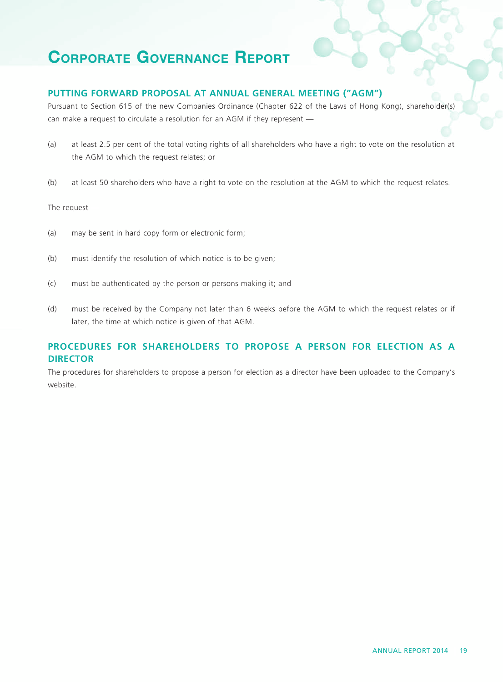## **Putting Forward Proposal at Annual General Meeting ("AGM")**

Pursuant to Section 615 of the new Companies Ordinance (Chapter 622 of the Laws of Hong Kong), shareholder(s) can make a request to circulate a resolution for an AGM if they represent —

- (a) at least 2.5 per cent of the total voting rights of all shareholders who have a right to vote on the resolution at the AGM to which the request relates; or
- (b) at least 50 shareholders who have a right to vote on the resolution at the AGM to which the request relates.

The request —

- (a) may be sent in hard copy form or electronic form;
- (b) must identify the resolution of which notice is to be given;
- (c) must be authenticated by the person or persons making it; and
- (d) must be received by the Company not later than 6 weeks before the AGM to which the request relates or if later, the time at which notice is given of that AGM.

## **Procedures for Shareholders to Propose a Person for Election as a Director**

The procedures for shareholders to propose a person for election as a director have been uploaded to the Company's website.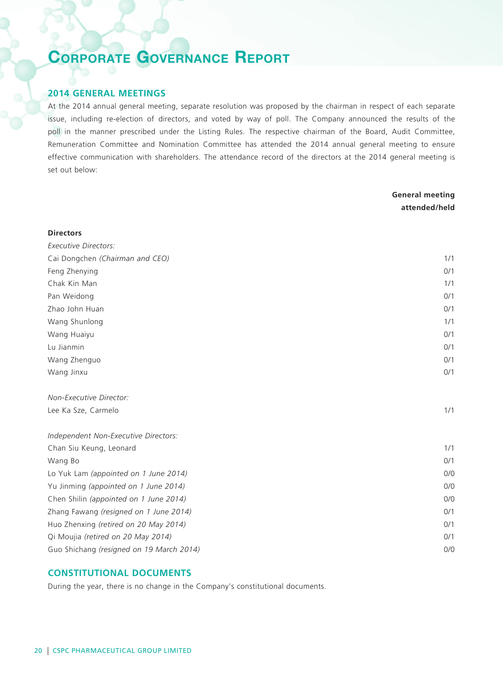### **2014 General Meetings**

At the 2014 annual general meeting, separate resolution was proposed by the chairman in respect of each separate issue, including re-election of directors, and voted by way of poll. The Company announced the results of the poll in the manner prescribed under the Listing Rules. The respective chairman of the Board, Audit Committee, Remuneration Committee and Nomination Committee has attended the 2014 annual general meeting to ensure effective communication with shareholders. The attendance record of the directors at the 2014 general meeting is set out below:

|                                          | <b>General meeting</b> |
|------------------------------------------|------------------------|
|                                          | attended/held          |
| <b>Directors</b>                         |                        |
| <b>Executive Directors:</b>              |                        |
| Cai Dongchen (Chairman and CEO)          | 1/1                    |
| Feng Zhenying                            | 0/1                    |
| Chak Kin Man                             | 1/1                    |
| Pan Weidong                              | 0/1                    |
| Zhao John Huan                           | 0/1                    |
| Wang Shunlong                            | 1/1                    |
| Wang Huaiyu                              | 0/1                    |
| Lu Jianmin                               | 0/1                    |
| Wang Zhenguo                             | 0/1                    |
| Wang Jinxu                               | 0/1                    |
| Non-Executive Director:                  |                        |
| Lee Ka Sze, Carmelo                      | 1/1                    |
| Independent Non-Executive Directors:     |                        |
| Chan Siu Keung, Leonard                  | 1/1                    |
| Wang Bo                                  | 0/1                    |
| Lo Yuk Lam (appointed on 1 June 2014)    | 0/0                    |
| Yu Jinming (appointed on 1 June 2014)    | 0/0                    |
| Chen Shilin (appointed on 1 June 2014)   | 0/0                    |
| Zhang Fawang (resigned on 1 June 2014)   | 0/1                    |
| Huo Zhenxing (retired on 20 May 2014)    | 0/1                    |
| Qi Moujia (retired on 20 May 2014)       | 0/1                    |
| Guo Shichang (resigned on 19 March 2014) | 0/0                    |

### **Constitutional Documents**

During the year, there is no change in the Company's constitutional documents.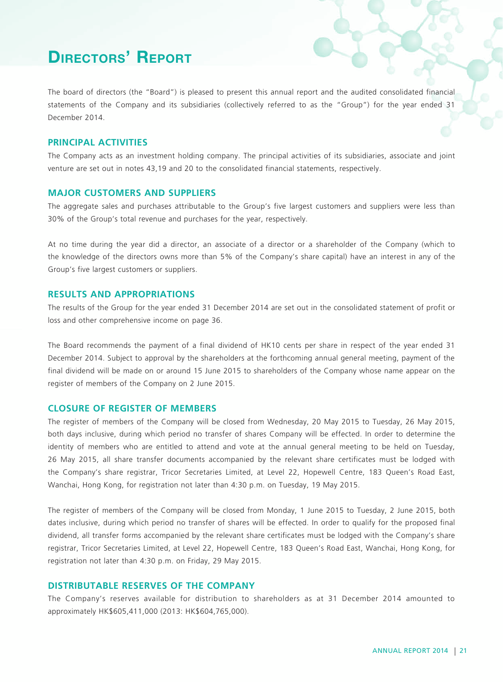The board of directors (the "Board") is pleased to present this annual report and the audited consolidated financial statements of the Company and its subsidiaries (collectively referred to as the "Group") for the year ended 31 December 2014.

### **PRINCIPAL ACTIVITIES**

The Company acts as an investment holding company. The principal activities of its subsidiaries, associate and joint venture are set out in notes 43,19 and 20 to the consolidated financial statements, respectively.

### **MAJOR CUSTOMERS AND SUPPLIERS**

The aggregate sales and purchases attributable to the Group's five largest customers and suppliers were less than 30% of the Group's total revenue and purchases for the year, respectively.

At no time during the year did a director, an associate of a director or a shareholder of the Company (which to the knowledge of the directors owns more than 5% of the Company's share capital) have an interest in any of the Group's five largest customers or suppliers.

### **RESULTS AND APPROPRIATIONS**

The results of the Group for the year ended 31 December 2014 are set out in the consolidated statement of profit or loss and other comprehensive income on page 36.

The Board recommends the payment of a final dividend of HK10 cents per share in respect of the year ended 31 December 2014. Subject to approval by the shareholders at the forthcoming annual general meeting, payment of the final dividend will be made on or around 15 June 2015 to shareholders of the Company whose name appear on the register of members of the Company on 2 June 2015.

### **CLOSURE OF REGISTER OF MEMBERS**

The register of members of the Company will be closed from Wednesday, 20 May 2015 to Tuesday, 26 May 2015, both days inclusive, during which period no transfer of shares Company will be effected. In order to determine the identity of members who are entitled to attend and vote at the annual general meeting to be held on Tuesday, 26 May 2015, all share transfer documents accompanied by the relevant share certificates must be lodged with the Company's share registrar, Tricor Secretaries Limited, at Level 22, Hopewell Centre, 183 Queen's Road East, Wanchai, Hong Kong, for registration not later than 4:30 p.m. on Tuesday, 19 May 2015.

The register of members of the Company will be closed from Monday, 1 June 2015 to Tuesday, 2 June 2015, both dates inclusive, during which period no transfer of shares will be effected. In order to qualify for the proposed final dividend, all transfer forms accompanied by the relevant share certificates must be lodged with the Company's share registrar, Tricor Secretaries Limited, at Level 22, Hopewell Centre, 183 Queen's Road East, Wanchai, Hong Kong, for registration not later than 4:30 p.m. on Friday, 29 May 2015.

## **DISTRIBUTABLE RESERVES OF THE COMPANY**

The Company's reserves available for distribution to shareholders as at 31 December 2014 amounted to approximately HK\$605,411,000 (2013: HK\$604,765,000).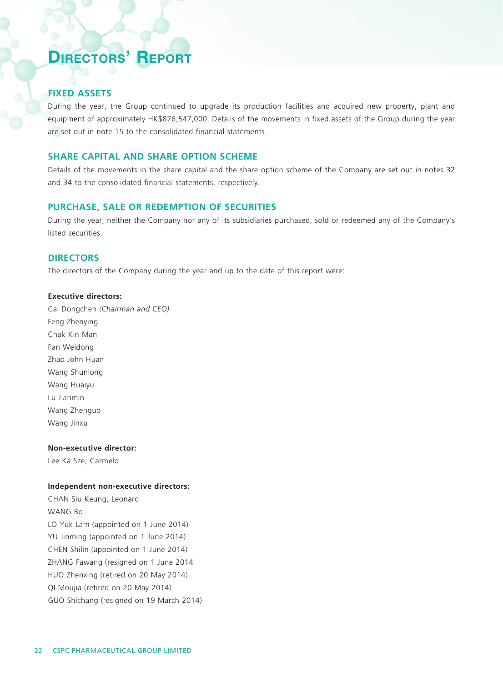## **FIXED ASSETS**

During the year, the Group continued to upgrade its production facilities and acquired new property, plant and equipment of approximately HK\$876,547,000. Details of the movements in fixed assets of the Group during the year are set out in note 15 to the consolidated financial statements.

## **SHARE CAPITAL AND SHARE OPTION SCHEME**

Details of the movements in the share capital and the share option scheme of the Company are set out in notes 32 and 34 to the consolidated financial statements, respectively.

## **PURCHASE, SALE OR REDEMPTION OF SECURITIES**

During the year, neither the Company nor any of its subsidiaries purchased, sold or redeemed any of the Company's listed securities.

## **DIRECTORS**

The directors of the Company during the year and up to the date of this report were:

### **Executive directors:**

Cai Dongchen *(Chairman and CEO)* Feng Zhenying Chak Kin Man Pan Weidong Zhao John Huan Wang Shunlong Wang Huaiyu Lu Jianmin Wang Zhenguo Wang Jinxu

## **Non-executive director:**

Lee Ka Sze, Carmelo

### **Independent non-executive directors:**

CHAN Siu Keung, Leonard WANG Bo LO Yuk Lam (appointed on 1 June 2014) YU Jinming (appointed on 1 June 2014) CHEN Shilin (appointed on 1 June 2014) ZHANG Fawang (resigned on 1 June 2014 HUO Zhenxing (retired on 20 May 2014) QI Moujia (retired on 20 May 2014) GUO Shichang (resigned on 19 March 2014)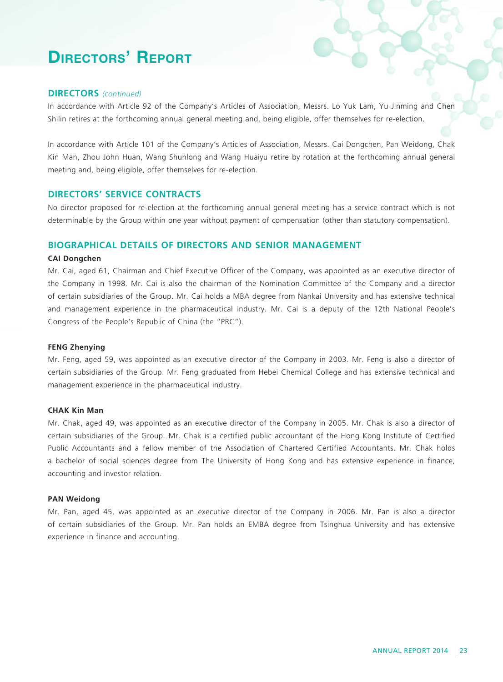### **DIRECTORS** *(continued)*

In accordance with Article 92 of the Company's Articles of Association, Messrs. Lo Yuk Lam, Yu Jinming and Chen Shilin retires at the forthcoming annual general meeting and, being eligible, offer themselves for re-election.

In accordance with Article 101 of the Company's Articles of Association, Messrs. Cai Dongchen, Pan Weidong, Chak Kin Man, Zhou John Huan, Wang Shunlong and Wang Huaiyu retire by rotation at the forthcoming annual general meeting and, being eligible, offer themselves for re-election.

### **DIRECTORS' SERVICE CONTRACTS**

No director proposed for re-election at the forthcoming annual general meeting has a service contract which is not determinable by the Group within one year without payment of compensation (other than statutory compensation).

### **BIOGRAPHICAL DETAILS OF DIRECTORS AND SENIOR MANAGEMENT**

### **CAI Dongchen**

Mr. Cai, aged 61, Chairman and Chief Executive Officer of the Company, was appointed as an executive director of the Company in 1998. Mr. Cai is also the chairman of the Nomination Committee of the Company and a director of certain subsidiaries of the Group. Mr. Cai holds a MBA degree from Nankai University and has extensive technical and management experience in the pharmaceutical industry. Mr. Cai is a deputy of the 12th National People's Congress of the People's Republic of China (the "PRC").

#### **FENG Zhenying**

Mr. Feng, aged 59, was appointed as an executive director of the Company in 2003. Mr. Feng is also a director of certain subsidiaries of the Group. Mr. Feng graduated from Hebei Chemical College and has extensive technical and management experience in the pharmaceutical industry.

### **CHAK Kin Man**

Mr. Chak, aged 49, was appointed as an executive director of the Company in 2005. Mr. Chak is also a director of certain subsidiaries of the Group. Mr. Chak is a certified public accountant of the Hong Kong Institute of Certified Public Accountants and a fellow member of the Association of Chartered Certified Accountants. Mr. Chak holds a bachelor of social sciences degree from The University of Hong Kong and has extensive experience in finance, accounting and investor relation.

#### **PAN Weidong**

Mr. Pan, aged 45, was appointed as an executive director of the Company in 2006. Mr. Pan is also a director of certain subsidiaries of the Group. Mr. Pan holds an EMBA degree from Tsinghua University and has extensive experience in finance and accounting.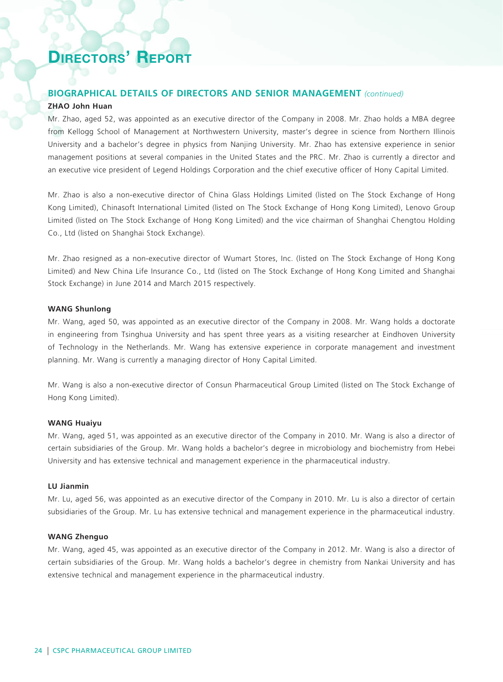## **BIOGRAPHICAL DETAILS OF DIRECTORS AND SENIOR MANAGEMENT** *(continued)*

### **ZHAO John Huan**

Mr. Zhao, aged 52, was appointed as an executive director of the Company in 2008. Mr. Zhao holds a MBA degree from Kellogg School of Management at Northwestern University, master's degree in science from Northern Illinois University and a bachelor's degree in physics from Nanjing University. Mr. Zhao has extensive experience in senior management positions at several companies in the United States and the PRC. Mr. Zhao is currently a director and an executive vice president of Legend Holdings Corporation and the chief executive officer of Hony Capital Limited.

Mr. Zhao is also a non-executive director of China Glass Holdings Limited (listed on The Stock Exchange of Hong Kong Limited), Chinasoft International Limited (listed on The Stock Exchange of Hong Kong Limited), Lenovo Group Limited (listed on The Stock Exchange of Hong Kong Limited) and the vice chairman of Shanghai Chengtou Holding Co., Ltd (listed on Shanghai Stock Exchange).

Mr. Zhao resigned as a non-executive director of Wumart Stores, Inc. (listed on The Stock Exchange of Hong Kong Limited) and New China Life Insurance Co., Ltd (listed on The Stock Exchange of Hong Kong Limited and Shanghai Stock Exchange) in June 2014 and March 2015 respectively.

### **WANG Shunlong**

Mr. Wang, aged 50, was appointed as an executive director of the Company in 2008. Mr. Wang holds a doctorate in engineering from Tsinghua University and has spent three years as a visiting researcher at Eindhoven University of Technology in the Netherlands. Mr. Wang has extensive experience in corporate management and investment planning. Mr. Wang is currently a managing director of Hony Capital Limited.

Mr. Wang is also a non-executive director of Consun Pharmaceutical Group Limited (listed on The Stock Exchange of Hong Kong Limited).

#### **WANG Huaiyu**

Mr. Wang, aged 51, was appointed as an executive director of the Company in 2010. Mr. Wang is also a director of certain subsidiaries of the Group. Mr. Wang holds a bachelor's degree in microbiology and biochemistry from Hebei University and has extensive technical and management experience in the pharmaceutical industry.

#### **LU Jianmin**

Mr. Lu, aged 56, was appointed as an executive director of the Company in 2010. Mr. Lu is also a director of certain subsidiaries of the Group. Mr. Lu has extensive technical and management experience in the pharmaceutical industry.

#### **WANG Zhenguo**

Mr. Wang, aged 45, was appointed as an executive director of the Company in 2012. Mr. Wang is also a director of certain subsidiaries of the Group. Mr. Wang holds a bachelor's degree in chemistry from Nankai University and has extensive technical and management experience in the pharmaceutical industry.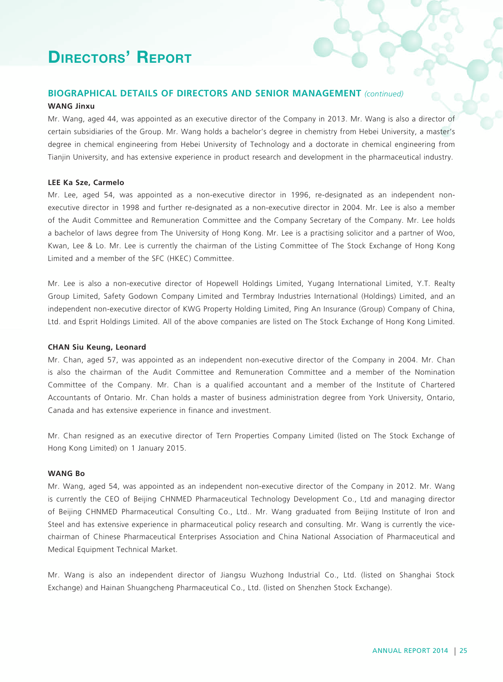## **BIOGRAPHICAL DETAILS OF DIRECTORS AND SENIOR MANAGEMENT** *(continued)*

#### **WANG Jinxu**

Mr. Wang, aged 44, was appointed as an executive director of the Company in 2013. Mr. Wang is also a director of certain subsidiaries of the Group. Mr. Wang holds a bachelor's degree in chemistry from Hebei University, a master's degree in chemical engineering from Hebei University of Technology and a doctorate in chemical engineering from Tianjin University, and has extensive experience in product research and development in the pharmaceutical industry.

#### **LEE Ka Sze, Carmelo**

Mr. Lee, aged 54, was appointed as a non-executive director in 1996, re-designated as an independent nonexecutive director in 1998 and further re-designated as a non-executive director in 2004. Mr. Lee is also a member of the Audit Committee and Remuneration Committee and the Company Secretary of the Company. Mr. Lee holds a bachelor of laws degree from The University of Hong Kong. Mr. Lee is a practising solicitor and a partner of Woo, Kwan, Lee & Lo. Mr. Lee is currently the chairman of the Listing Committee of The Stock Exchange of Hong Kong Limited and a member of the SFC (HKEC) Committee.

Mr. Lee is also a non-executive director of Hopewell Holdings Limited, Yugang International Limited, Y.T. Realty Group Limited, Safety Godown Company Limited and Termbray Industries International (Holdings) Limited, and an independent non-executive director of KWG Property Holding Limited, Ping An Insurance (Group) Company of China, Ltd. and Esprit Holdings Limited. All of the above companies are listed on The Stock Exchange of Hong Kong Limited.

#### **CHAN Siu Keung, Leonard**

Mr. Chan, aged 57, was appointed as an independent non-executive director of the Company in 2004. Mr. Chan is also the chairman of the Audit Committee and Remuneration Committee and a member of the Nomination Committee of the Company. Mr. Chan is a qualified accountant and a member of the Institute of Chartered Accountants of Ontario. Mr. Chan holds a master of business administration degree from York University, Ontario, Canada and has extensive experience in finance and investment.

Mr. Chan resigned as an executive director of Tern Properties Company Limited (listed on The Stock Exchange of Hong Kong Limited) on 1 January 2015.

### **WANG Bo**

Mr. Wang, aged 54, was appointed as an independent non-executive director of the Company in 2012. Mr. Wang is currently the CEO of Beijing CHNMED Pharmaceutical Technology Development Co., Ltd and managing director of Beijing CHNMED Pharmaceutical Consulting Co., Ltd.. Mr. Wang graduated from Beijing Institute of Iron and Steel and has extensive experience in pharmaceutical policy research and consulting. Mr. Wang is currently the vicechairman of Chinese Pharmaceutical Enterprises Association and China National Association of Pharmaceutical and Medical Equipment Technical Market.

Mr. Wang is also an independent director of Jiangsu Wuzhong Industrial Co., Ltd. (listed on Shanghai Stock Exchange) and Hainan Shuangcheng Pharmaceutical Co., Ltd. (listed on Shenzhen Stock Exchange).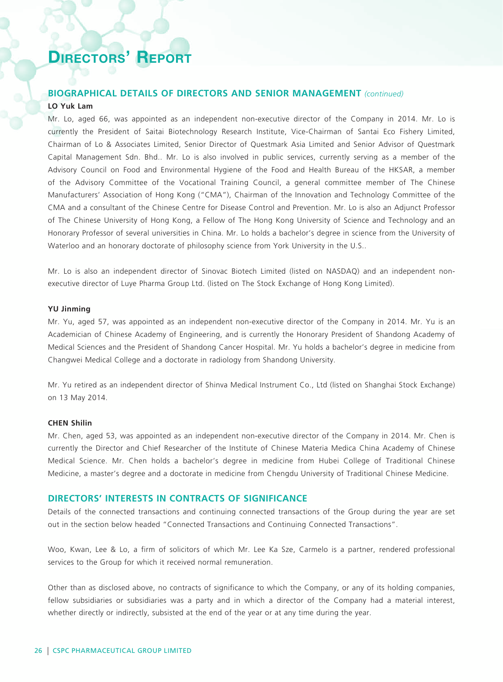## **BIOGRAPHICAL DETAILS OF DIRECTORS AND SENIOR MANAGEMENT** *(continued)*

### **LO Yuk Lam**

Mr. Lo, aged 66, was appointed as an independent non-executive director of the Company in 2014. Mr. Lo is currently the President of Saitai Biotechnology Research Institute, Vice-Chairman of Santai Eco Fishery Limited, Chairman of Lo & Associates Limited, Senior Director of Questmark Asia Limited and Senior Advisor of Questmark Capital Management Sdn. Bhd.. Mr. Lo is also involved in public services, currently serving as a member of the Advisory Council on Food and Environmental Hygiene of the Food and Health Bureau of the HKSAR, a member of the Advisory Committee of the Vocational Training Council, a general committee member of The Chinese Manufacturers' Association of Hong Kong ("CMA"), Chairman of the Innovation and Technology Committee of the CMA and a consultant of the Chinese Centre for Disease Control and Prevention. Mr. Lo is also an Adjunct Professor of The Chinese University of Hong Kong, a Fellow of The Hong Kong University of Science and Technology and an Honorary Professor of several universities in China. Mr. Lo holds a bachelor's degree in science from the University of Waterloo and an honorary doctorate of philosophy science from York University in the U.S..

Mr. Lo is also an independent director of Sinovac Biotech Limited (listed on NASDAQ) and an independent nonexecutive director of Luye Pharma Group Ltd. (listed on The Stock Exchange of Hong Kong Limited).

#### **YU Jinming**

Mr. Yu, aged 57, was appointed as an independent non-executive director of the Company in 2014. Mr. Yu is an Academician of Chinese Academy of Engineering, and is currently the Honorary President of Shandong Academy of Medical Sciences and the President of Shandong Cancer Hospital. Mr. Yu holds a bachelor's degree in medicine from Changwei Medical College and a doctorate in radiology from Shandong University.

Mr. Yu retired as an independent director of Shinva Medical Instrument Co., Ltd (listed on Shanghai Stock Exchange) on 13 May 2014.

### **CHEN Shilin**

Mr. Chen, aged 53, was appointed as an independent non-executive director of the Company in 2014. Mr. Chen is currently the Director and Chief Researcher of the Institute of Chinese Materia Medica China Academy of Chinese Medical Science. Mr. Chen holds a bachelor's degree in medicine from Hubei College of Traditional Chinese Medicine, a master's degree and a doctorate in medicine from Chengdu University of Traditional Chinese Medicine.

### **DIRECTORS' INTERESTS IN CONTRACTS OF SIGNIFICANCE**

Details of the connected transactions and continuing connected transactions of the Group during the year are set out in the section below headed "Connected Transactions and Continuing Connected Transactions".

Woo, Kwan, Lee & Lo, a firm of solicitors of which Mr. Lee Ka Sze, Carmelo is a partner, rendered professional services to the Group for which it received normal remuneration.

Other than as disclosed above, no contracts of significance to which the Company, or any of its holding companies, fellow subsidiaries or subsidiaries was a party and in which a director of the Company had a material interest, whether directly or indirectly, subsisted at the end of the year or at any time during the year.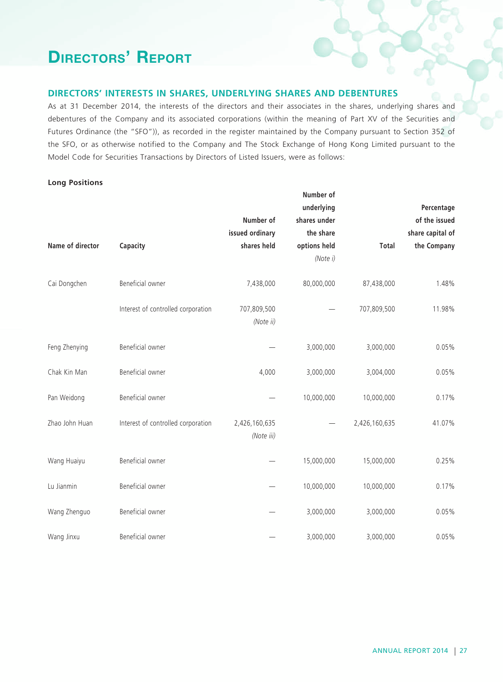**Long Positions**

## **DIRECTORS' INTERESTS IN SHARES, UNDERLYING SHARES AND DEBENTURES**

As at 31 December 2014, the interests of the directors and their associates in the shares, underlying shares and debentures of the Company and its associated corporations (within the meaning of Part XV of the Securities and Futures Ordinance (the "SFO")), as recorded in the register maintained by the Company pursuant to Section 352 of the SFO, or as otherwise notified to the Company and The Stock Exchange of Hong Kong Limited pursuant to the Model Code for Securities Transactions by Directors of Listed Issuers, were as follows:

| Name of director | Capacity                           | Number of<br>issued ordinary<br>shares held | Number of<br>underlying<br>shares under<br>the share<br>options held | Total         | Percentage<br>of the issued<br>share capital of<br>the Company |
|------------------|------------------------------------|---------------------------------------------|----------------------------------------------------------------------|---------------|----------------------------------------------------------------|
|                  |                                    |                                             | (Note i)                                                             |               |                                                                |
| Cai Dongchen     | Beneficial owner                   | 7,438,000                                   | 80,000,000                                                           | 87,438,000    | 1.48%                                                          |
|                  | Interest of controlled corporation | 707,809,500<br>(Note ii)                    |                                                                      | 707,809,500   | 11.98%                                                         |
| Feng Zhenying    | Beneficial owner                   |                                             | 3,000,000                                                            | 3,000,000     | 0.05%                                                          |
| Chak Kin Man     | Beneficial owner                   | 4,000                                       | 3,000,000                                                            | 3,004,000     | 0.05%                                                          |
| Pan Weidong      | Beneficial owner                   |                                             | 10,000,000                                                           | 10,000,000    | 0.17%                                                          |
| Zhao John Huan   | Interest of controlled corporation | 2,426,160,635<br>(Note iii)                 |                                                                      | 2,426,160,635 | 41.07%                                                         |
| Wang Huaiyu      | Beneficial owner                   |                                             | 15,000,000                                                           | 15,000,000    | 0.25%                                                          |
| Lu Jianmin       | Beneficial owner                   |                                             | 10,000,000                                                           | 10,000,000    | 0.17%                                                          |
| Wang Zhenguo     | Beneficial owner                   |                                             | 3,000,000                                                            | 3,000,000     | 0.05%                                                          |
| Wang Jinxu       | Beneficial owner                   |                                             | 3,000,000                                                            | 3,000,000     | 0.05%                                                          |

### ANNUAL REPORT 2014 | 27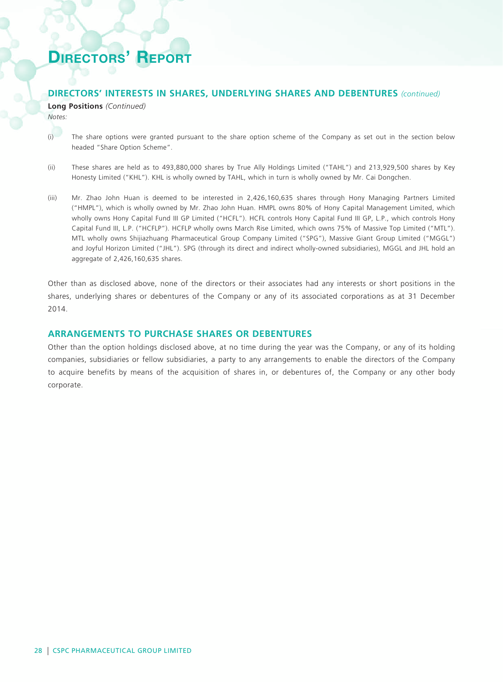## **DIRECTORS' INTERESTS IN SHARES, UNDERLYING SHARES AND DEBENTURES** *(continued)*

**Long Positions** *(Continued)*

*Notes:*

- (i) The share options were granted pursuant to the share option scheme of the Company as set out in the section below headed "Share Option Scheme".
- (ii) These shares are held as to 493,880,000 shares by True Ally Holdings Limited ("TAHL") and 213,929,500 shares by Key Honesty Limited ("KHL"). KHL is wholly owned by TAHL, which in turn is wholly owned by Mr. Cai Dongchen.
- (iii) Mr. Zhao John Huan is deemed to be interested in 2,426,160,635 shares through Hony Managing Partners Limited ("HMPL"), which is wholly owned by Mr. Zhao John Huan. HMPL owns 80% of Hony Capital Management Limited, which wholly owns Hony Capital Fund III GP Limited ("HCFL"). HCFL controls Hony Capital Fund III GP, L.P., which controls Hony Capital Fund III, L.P. ("HCFLP"). HCFLP wholly owns March Rise Limited, which owns 75% of Massive Top Limited ("MTL"). MTL wholly owns Shijiazhuang Pharmaceutical Group Company Limited ("SPG"), Massive Giant Group Limited ("MGGL") and Joyful Horizon Limited ("JHL"). SPG (through its direct and indirect wholly-owned subsidiaries), MGGL and JHL hold an aggregate of 2,426,160,635 shares.

Other than as disclosed above, none of the directors or their associates had any interests or short positions in the shares, underlying shares or debentures of the Company or any of its associated corporations as at 31 December 2014.

## **ARRANGEMENTS TO PURCHASE SHARES OR DEBENTURES**

Other than the option holdings disclosed above, at no time during the year was the Company, or any of its holding companies, subsidiaries or fellow subsidiaries, a party to any arrangements to enable the directors of the Company to acquire benefits by means of the acquisition of shares in, or debentures of, the Company or any other body corporate.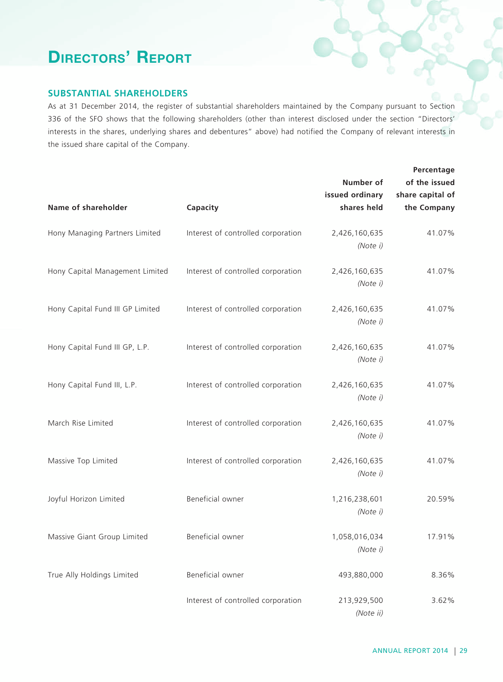## **SUBSTANTIAL SHAREHOLDERS**

As at 31 December 2014, the register of substantial shareholders maintained by the Company pursuant to Section 336 of the SFO shows that the following shareholders (other than interest disclosed under the section "Directors' interests in the shares, underlying shares and debentures" above) had notified the Company of relevant interests in the issued share capital of the Company.

|                                  |                                    |                           | Percentage       |
|----------------------------------|------------------------------------|---------------------------|------------------|
|                                  |                                    | Number of                 | of the issued    |
|                                  |                                    | issued ordinary           | share capital of |
| Name of shareholder              | Capacity                           | shares held               | the Company      |
| Hony Managing Partners Limited   | Interest of controlled corporation | 2,426,160,635<br>(Note i) | 41.07%           |
| Hony Capital Management Limited  | Interest of controlled corporation | 2,426,160,635<br>(Note i) | 41.07%           |
| Hony Capital Fund III GP Limited | Interest of controlled corporation | 2,426,160,635<br>(Note i) | 41.07%           |
| Hony Capital Fund III GP, L.P.   | Interest of controlled corporation | 2,426,160,635<br>(Note i) | 41.07%           |
| Hony Capital Fund III, L.P.      | Interest of controlled corporation | 2,426,160,635<br>(Note i) | 41.07%           |
| March Rise Limited               | Interest of controlled corporation | 2,426,160,635<br>(Note i) | 41.07%           |
| Massive Top Limited              | Interest of controlled corporation | 2,426,160,635<br>(Note i) | 41.07%           |
| Joyful Horizon Limited           | Beneficial owner                   | 1,216,238,601<br>(Note i) | 20.59%           |
| Massive Giant Group Limited      | Beneficial owner                   | 1,058,016,034<br>(Note i) | 17.91%           |
| True Ally Holdings Limited       | Beneficial owner                   | 493,880,000               | 8.36%            |
|                                  | Interest of controlled corporation | 213,929,500<br>(Note ii)  | 3.62%            |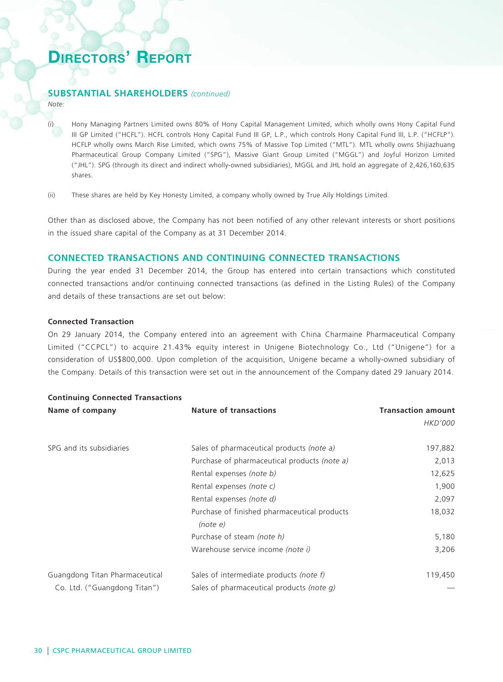### **SUBSTANTIAL SHAREHOLDERS** *(continued)*

*Note:*

(i) Hony Managing Partners Limited owns 80% of Hony Capital Management Limited, which wholly owns Hony Capital Fund III GP Limited ("HCFL"). HCFL controls Hony Capital Fund III GP, L.P., which controls Hony Capital Fund III, L.P. ("HCFLP"). HCFLP wholly owns March Rise Limited, which owns 75% of Massive Top Limited ("MTL"). MTL wholly owns Shijiazhuang Pharmaceutical Group Company Limited ("SPG"), Massive Giant Group Limited ("MGGL") and Joyful Horizon Limited ("JHL"). SPG (through its direct and indirect wholly-owned subsidiaries), MGGL and JHL hold an aggregate of 2,426,160,635 shares.

(ii) These shares are held by Key Honesty Limited, a company wholly owned by True Ally Holdings Limited.

Other than as disclosed above, the Company has not been notified of any other relevant interests or short positions in the issued share capital of the Company as at 31 December 2014.

## **Connected Transactions and Continuing Connected Transactions**

During the year ended 31 December 2014, the Group has entered into certain transactions which constituted connected transactions and/or continuing connected transactions (as defined in the Listing Rules) of the Company and details of these transactions are set out below:

### **Connected Transaction**

On 29 January 2014, the Company entered into an agreement with China Charmaine Pharmaceutical Company Limited ("CCPCL") to acquire 21.43% equity interest in Unigene Biotechnology Co., Ltd ("Unigene") for a consideration of US\$800,000. Upon completion of the acquisition, Unigene became a wholly-owned subsidiary of the Company. Details of this transaction were set out in the announcement of the Company dated 29 January 2014.

| <b>Continuing Connected Transactions</b> |                                                          |                           |
|------------------------------------------|----------------------------------------------------------|---------------------------|
| Name of company                          | <b>Nature of transactions</b>                            | <b>Transaction amount</b> |
|                                          |                                                          | <i>HKD'000</i>            |
| SPG and its subsidiaries                 | Sales of pharmaceutical products (note a)                | 197,882                   |
|                                          | Purchase of pharmaceutical products (note a)             | 2,013                     |
|                                          | Rental expenses (note b)                                 | 12,625                    |
|                                          | Rental expenses (note c)                                 | 1,900                     |
|                                          | Rental expenses (note d)                                 | 2,097                     |
|                                          | Purchase of finished pharmaceutical products<br>(note e) | 18,032                    |
|                                          | Purchase of steam (note h)                               | 5,180                     |
|                                          | Warehouse service income (note i)                        | 3,206                     |
| Guangdong Titan Pharmaceutical           | Sales of intermediate products (note f)                  | 119,450                   |
| Co. Ltd. ("Guangdong Titan")             | Sales of pharmaceutical products (note q)                |                           |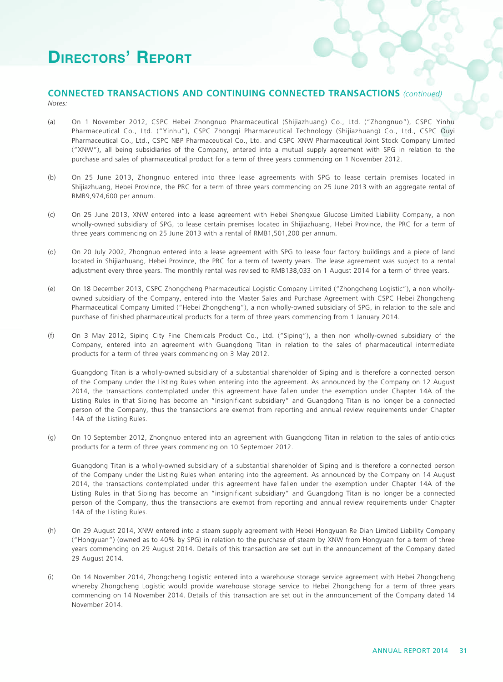## **Connected Transactions and Continuing Connected Transactions** *(continued)*

*Notes:*

- (a) On 1 November 2012, CSPC Hebei Zhongnuo Pharmaceutical (Shijiazhuang) Co., Ltd. ("Zhongnuo"), CSPC Yinhu Pharmaceutical Co., Ltd. ("Yinhu"), CSPC Zhongqi Pharmaceutical Technology (Shijiazhuang) Co., Ltd., CSPC Ouyi Pharmaceutical Co., Ltd., CSPC NBP Pharmaceutical Co., Ltd. and CSPC XNW Pharmaceutical Joint Stock Company Limited ("XNW"), all being subsidiaries of the Company, entered into a mutual supply agreement with SPG in relation to the purchase and sales of pharmaceutical product for a term of three years commencing on 1 November 2012.
- (b) On 25 June 2013, Zhongnuo entered into three lease agreements with SPG to lease certain premises located in Shijiazhuang, Hebei Province, the PRC for a term of three years commencing on 25 June 2013 with an aggregate rental of RMB9,974,600 per annum.
- (c) On 25 June 2013, XNW entered into a lease agreement with Hebei Shengxue Glucose Limited Liability Company, a non wholly-owned subsidiary of SPG, to lease certain premises located in Shijiazhuang, Hebei Province, the PRC for a term of three years commencing on 25 June 2013 with a rental of RMB1,501,200 per annum.
- (d) On 20 July 2002, Zhongnuo entered into a lease agreement with SPG to lease four factory buildings and a piece of land located in Shijiazhuang, Hebei Province, the PRC for a term of twenty years. The lease agreement was subject to a rental adjustment every three years. The monthly rental was revised to RMB138,033 on 1 August 2014 for a term of three years.
- (e) On 18 December 2013, CSPC Zhongcheng Pharmaceutical Logistic Company Limited ("Zhongcheng Logistic"), a non whollyowned subsidiary of the Company, entered into the Master Sales and Purchase Agreement with CSPC Hebei Zhongcheng Pharmaceutical Company Limited ("Hebei Zhongcheng"), a non wholly-owned subsidiary of SPG, in relation to the sale and purchase of finished pharmaceutical products for a term of three years commencing from 1 January 2014.
- (f) On 3 May 2012, Siping City Fine Chemicals Product Co., Ltd. ("Siping"), a then non wholly-owned subsidiary of the Company, entered into an agreement with Guangdong Titan in relation to the sales of pharmaceutical intermediate products for a term of three years commencing on 3 May 2012.

Guangdong Titan is a wholly-owned subsidiary of a substantial shareholder of Siping and is therefore a connected person of the Company under the Listing Rules when entering into the agreement. As announced by the Company on 12 August 2014, the transactions contemplated under this agreement have fallen under the exemption under Chapter 14A of the Listing Rules in that Siping has become an "insignificant subsidiary" and Guangdong Titan is no longer be a connected person of the Company, thus the transactions are exempt from reporting and annual review requirements under Chapter 14A of the Listing Rules.

(g) On 10 September 2012, Zhongnuo entered into an agreement with Guangdong Titan in relation to the sales of antibiotics products for a term of three years commencing on 10 September 2012.

Guangdong Titan is a wholly-owned subsidiary of a substantial shareholder of Siping and is therefore a connected person of the Company under the Listing Rules when entering into the agreement. As announced by the Company on 14 August 2014, the transactions contemplated under this agreement have fallen under the exemption under Chapter 14A of the Listing Rules in that Siping has become an "insignificant subsidiary" and Guangdong Titan is no longer be a connected person of the Company, thus the transactions are exempt from reporting and annual review requirements under Chapter 14A of the Listing Rules.

- (h) On 29 August 2014, XNW entered into a steam supply agreement with Hebei Hongyuan Re Dian Limited Liability Company ("Hongyuan") (owned as to 40% by SPG) in relation to the purchase of steam by XNW from Hongyuan for a term of three years commencing on 29 August 2014. Details of this transaction are set out in the announcement of the Company dated 29 August 2014.
- (i) On 14 November 2014, Zhongcheng Logistic entered into a warehouse storage service agreement with Hebei Zhongcheng whereby Zhongcheng Logistic would provide warehouse storage service to Hebei Zhongcheng for a term of three years commencing on 14 November 2014. Details of this transaction are set out in the announcement of the Company dated 14 November 2014.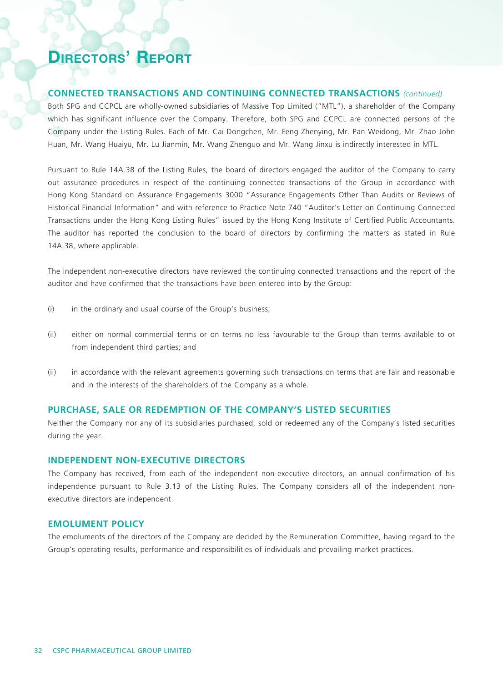## **Connected Transactions and Continuing Connected Transactions** *(continued)*

Both SPG and CCPCL are wholly-owned subsidiaries of Massive Top Limited ("MTL"), a shareholder of the Company which has significant influence over the Company. Therefore, both SPG and CCPCL are connected persons of the Company under the Listing Rules. Each of Mr. Cai Dongchen, Mr. Feng Zhenying, Mr. Pan Weidong, Mr. Zhao John Huan, Mr. Wang Huaiyu, Mr. Lu Jianmin, Mr. Wang Zhenguo and Mr. Wang Jinxu is indirectly interested in MTL.

Pursuant to Rule 14A.38 of the Listing Rules, the board of directors engaged the auditor of the Company to carry out assurance procedures in respect of the continuing connected transactions of the Group in accordance with Hong Kong Standard on Assurance Engagements 3000 "Assurance Engagements Other Than Audits or Reviews of Historical Financial Information" and with reference to Practice Note 740 "Auditor's Letter on Continuing Connected Transactions under the Hong Kong Listing Rules" issued by the Hong Kong Institute of Certified Public Accountants. The auditor has reported the conclusion to the board of directors by confirming the matters as stated in Rule 14A.38, where applicable.

The independent non-executive directors have reviewed the continuing connected transactions and the report of the auditor and have confirmed that the transactions have been entered into by the Group:

- (i) in the ordinary and usual course of the Group's business;
- (ii) either on normal commercial terms or on terms no less favourable to the Group than terms available to or from independent third parties; and
- (ii) in accordance with the relevant agreements governing such transactions on terms that are fair and reasonable and in the interests of the shareholders of the Company as a whole.

### **PURCHASE, SALE OR REDEMPTION OF THE COMPANY'S LISTED SECURITIES**

Neither the Company nor any of its subsidiaries purchased, sold or redeemed any of the Company's listed securities during the year.

### **INDEPENDENT NON-EXECUTIVE DIRECTORS**

The Company has received, from each of the independent non-executive directors, an annual confirmation of his independence pursuant to Rule 3.13 of the Listing Rules. The Company considers all of the independent nonexecutive directors are independent.

### **EMOLUMENT POLICY**

The emoluments of the directors of the Company are decided by the Remuneration Committee, having regard to the Group's operating results, performance and responsibilities of individuals and prevailing market practices.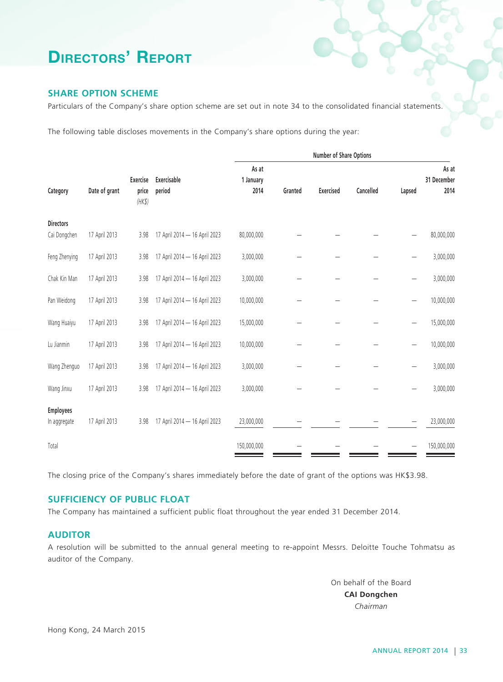## **SHARE OPTION SCHEME**

Particulars of the Company's share option scheme are set out in note 34 to the consolidated financial statements.

The following table discloses movements in the Company's share options during the year:

|                                  |               |                                    |                               | Number of Share Options    |         |                  |           |        |                              |  |
|----------------------------------|---------------|------------------------------------|-------------------------------|----------------------------|---------|------------------|-----------|--------|------------------------------|--|
| Category                         | Date of grant | <b>Exercise</b><br>price<br>(HK\$) | Exercisable<br>period         | As at<br>1 January<br>2014 | Granted | <b>Exercised</b> | Cancelled | Lapsed | As at<br>31 December<br>2014 |  |
| <b>Directors</b><br>Cai Dongchen | 17 April 2013 | 3.98                               | 17 April 2014 - 16 April 2023 | 80,000,000                 |         |                  |           |        | 80,000,000                   |  |
| Feng Zhenying                    | 17 April 2013 | 3.98                               | 17 April 2014 - 16 April 2023 | 3,000,000                  |         |                  |           |        | 3,000,000                    |  |
| Chak Kin Man                     | 17 April 2013 | 3.98                               | 17 April 2014 - 16 April 2023 | 3,000,000                  |         |                  |           |        | 3,000,000                    |  |
| Pan Weidong                      | 17 April 2013 | 3.98                               | 17 April 2014 - 16 April 2023 | 10,000,000                 |         |                  |           |        | 10,000,000                   |  |
| Wang Huaiyu                      | 17 April 2013 | 3.98                               | 17 April 2014 - 16 April 2023 | 15,000,000                 |         |                  |           |        | 15,000,000                   |  |
| Lu Jianmin                       | 17 April 2013 | 3.98                               | 17 April 2014 - 16 April 2023 | 10,000,000                 |         |                  |           |        | 10,000,000                   |  |
| Wang Zhenguo                     | 17 April 2013 | 3.98                               | 17 April 2014 - 16 April 2023 | 3,000,000                  |         |                  |           |        | 3,000,000                    |  |
| Wang Jinxu                       | 17 April 2013 | 3.98                               | 17 April 2014 - 16 April 2023 | 3,000,000                  |         |                  |           |        | 3,000,000                    |  |
| <b>Employees</b><br>In aggregate | 17 April 2013 | 3.98                               | 17 April 2014 - 16 April 2023 | 23,000,000                 |         |                  |           |        | 23,000,000                   |  |
| Total                            |               |                                    |                               | 150,000,000                |         |                  |           |        | 150,000,000                  |  |

The closing price of the Company's shares immediately before the date of grant of the options was HK\$3.98.

## **SUFFICIENCY OF PUBLIC FLOAT**

The Company has maintained a sufficient public float throughout the year ended 31 December 2014.

## **AUDITOR**

A resolution will be submitted to the annual general meeting to re-appoint Messrs. Deloitte Touche Tohmatsu as auditor of the Company.

> On behalf of the Board **CAI Dongchen** *Chairman*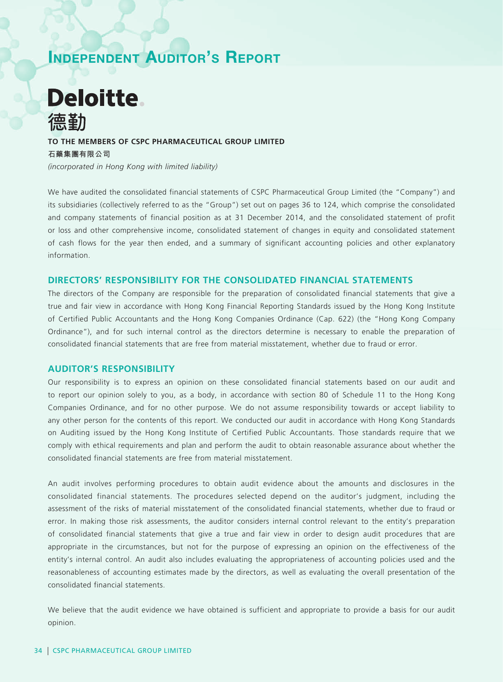## **Independent Auditor's Report**



**TO THE MEMBERS OF CSPC PHARMACEUTICAL GROUP LIMITED 石藥集團有限公司** *(incorporated in Hong Kong with limited liability)*

We have audited the consolidated financial statements of CSPC Pharmaceutical Group Limited (the "Company") and its subsidiaries (collectively referred to as the "Group") set out on pages 36 to 124, which comprise the consolidated and company statements of financial position as at 31 December 2014, and the consolidated statement of profit or loss and other comprehensive income, consolidated statement of changes in equity and consolidated statement of cash flows for the year then ended, and a summary of significant accounting policies and other explanatory information.

### **Directors' Responsibility for the Consolidated Financial Statements**

The directors of the Company are responsible for the preparation of consolidated financial statements that give a true and fair view in accordance with Hong Kong Financial Reporting Standards issued by the Hong Kong Institute of Certified Public Accountants and the Hong Kong Companies Ordinance (Cap. 622) (the "Hong Kong Company Ordinance"), and for such internal control as the directors determine is necessary to enable the preparation of consolidated financial statements that are free from material misstatement, whether due to fraud or error.

### **Auditor's Responsibility**

Our responsibility is to express an opinion on these consolidated financial statements based on our audit and to report our opinion solely to you, as a body, in accordance with section 80 of Schedule 11 to the Hong Kong Companies Ordinance, and for no other purpose. We do not assume responsibility towards or accept liability to any other person for the contents of this report. We conducted our audit in accordance with Hong Kong Standards on Auditing issued by the Hong Kong Institute of Certified Public Accountants. Those standards require that we comply with ethical requirements and plan and perform the audit to obtain reasonable assurance about whether the consolidated financial statements are free from material misstatement.

An audit involves performing procedures to obtain audit evidence about the amounts and disclosures in the consolidated financial statements. The procedures selected depend on the auditor's judgment, including the assessment of the risks of material misstatement of the consolidated financial statements, whether due to fraud or error. In making those risk assessments, the auditor considers internal control relevant to the entity's preparation of consolidated financial statements that give a true and fair view in order to design audit procedures that are appropriate in the circumstances, but not for the purpose of expressing an opinion on the effectiveness of the entity's internal control. An audit also includes evaluating the appropriateness of accounting policies used and the reasonableness of accounting estimates made by the directors, as well as evaluating the overall presentation of the consolidated financial statements.

We believe that the audit evidence we have obtained is sufficient and appropriate to provide a basis for our audit opinion.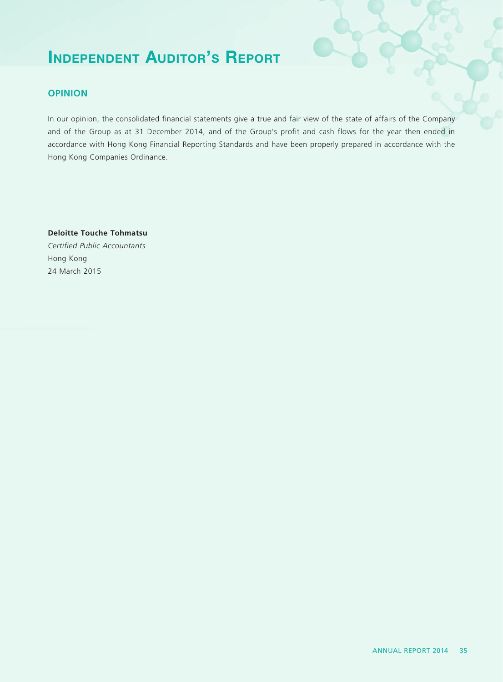# **Independent Auditor's Report**

## **Opinion**

In our opinion, the consolidated financial statements give a true and fair view of the state of affairs of the Company and of the Group as at 31 December 2014, and of the Group's profit and cash flows for the year then ended in accordance with Hong Kong Financial Reporting Standards and have been properly prepared in accordance with the Hong Kong Companies Ordinance.

**Deloitte Touche Tohmatsu** *Certified Public Accountants* Hong Kong 24 March 2015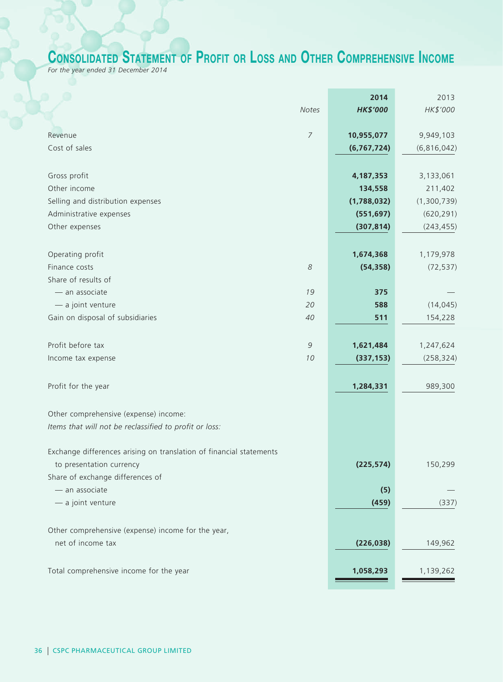# **Consolidated Statement of Profit or Loss and Other Comprehensive Income**

*For the year ended 31 December 2014*

|                                                                     |                  | 2014            | 2013          |
|---------------------------------------------------------------------|------------------|-----------------|---------------|
|                                                                     | Notes            | <b>HK\$'000</b> | HK\$'000      |
|                                                                     |                  |                 |               |
| Revenue                                                             | $\boldsymbol{7}$ | 10,955,077      | 9,949,103     |
| Cost of sales                                                       |                  | (6, 767, 724)   | (6, 816, 042) |
|                                                                     |                  |                 |               |
| Gross profit                                                        |                  | 4,187,353       | 3,133,061     |
| Other income                                                        |                  | 134,558         | 211,402       |
| Selling and distribution expenses                                   |                  | (1,788,032)     | (1,300,739)   |
| Administrative expenses                                             |                  | (551, 697)      | (620, 291)    |
| Other expenses                                                      |                  | (307, 814)      | (243, 455)    |
|                                                                     |                  |                 |               |
| Operating profit                                                    |                  | 1,674,368       | 1,179,978     |
| Finance costs                                                       | 8                | (54, 358)       | (72, 537)     |
| Share of results of                                                 |                  |                 |               |
| - an associate                                                      | 19               | 375             |               |
| $-$ a joint venture                                                 | 20               | 588             | (14, 045)     |
| Gain on disposal of subsidiaries                                    | 40               | 511             | 154,228       |
|                                                                     |                  |                 |               |
| Profit before tax                                                   | 9                | 1,621,484       | 1,247,624     |
| Income tax expense                                                  | 10               | (337, 153)      | (258, 324)    |
|                                                                     |                  |                 |               |
| Profit for the year                                                 |                  | 1,284,331       | 989,300       |
|                                                                     |                  |                 |               |
| Other comprehensive (expense) income:                               |                  |                 |               |
| Items that will not be reclassified to profit or loss:              |                  |                 |               |
|                                                                     |                  |                 |               |
| Exchange differences arising on translation of financial statements |                  |                 |               |
| to presentation currency                                            |                  | (225, 574)      | 150,299       |
| Share of exchange differences of                                    |                  |                 |               |
| - an associate                                                      |                  | (5)             |               |
| - a joint venture                                                   |                  | (459)           | (337)         |
|                                                                     |                  |                 |               |
| Other comprehensive (expense) income for the year,                  |                  |                 |               |
| net of income tax                                                   |                  | (226, 038)      | 149,962       |
|                                                                     |                  |                 |               |
|                                                                     |                  |                 |               |
| Total comprehensive income for the year                             |                  | 1,058,293       | 1,139,262     |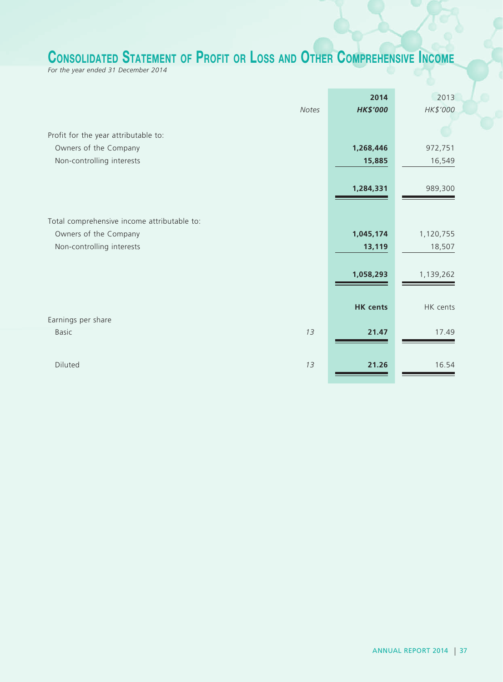# **Consolidated Statement of Profit or Loss and Other Comprehensive Income**

*For the year ended 31 December 2014*

|                                             | 2014            | 2013      |
|---------------------------------------------|-----------------|-----------|
| Notes                                       | <b>HK\$'000</b> | HK\$'000  |
| Profit for the year attributable to:        |                 |           |
| Owners of the Company                       | 1,268,446       | 972,751   |
| Non-controlling interests                   | 15,885          | 16,549    |
|                                             | 1,284,331       | 989,300   |
| Total comprehensive income attributable to: |                 |           |
| Owners of the Company                       | 1,045,174       | 1,120,755 |
| Non-controlling interests                   | 13,119          | 18,507    |
|                                             | 1,058,293       | 1,139,262 |
|                                             | <b>HK</b> cents | HK cents  |
| Earnings per share                          |                 |           |
| 13<br><b>Basic</b>                          | 21.47           | 17.49     |
| Diluted<br>13                               | 21.26           | 16.54     |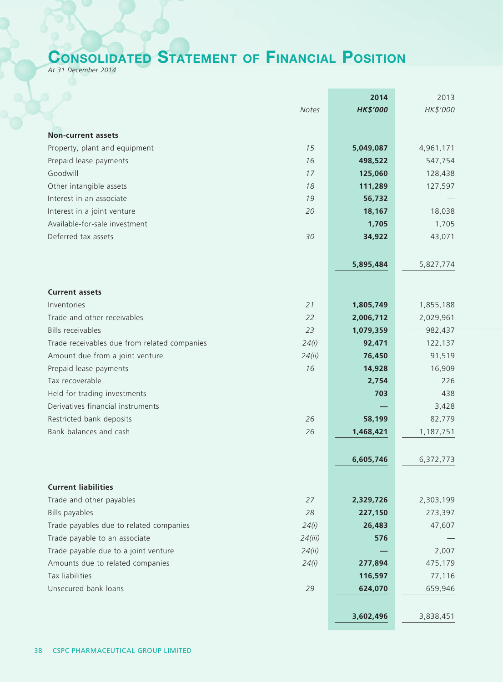# **Consolidated Statement of Financial Position**

*At 31 December 2014*

|                                              |         | 2014            | 2013      |
|----------------------------------------------|---------|-----------------|-----------|
|                                              | Notes   | <b>HK\$'000</b> | HK\$'000  |
|                                              |         |                 |           |
| <b>Non-current assets</b>                    |         |                 |           |
| Property, plant and equipment                | 15      | 5,049,087       | 4,961,171 |
| Prepaid lease payments                       | 16      | 498,522         | 547,754   |
| Goodwill                                     | 17      | 125,060         | 128,438   |
| Other intangible assets                      | 18      | 111,289         | 127,597   |
| Interest in an associate                     | 19      | 56,732          |           |
| Interest in a joint venture                  | 20      | 18,167          | 18,038    |
| Available-for-sale investment                |         | 1,705           | 1,705     |
| Deferred tax assets                          | 30      | 34,922          | 43,071    |
|                                              |         |                 |           |
|                                              |         | 5,895,484       | 5,827,774 |
|                                              |         |                 |           |
| <b>Current assets</b>                        |         |                 |           |
| Inventories                                  | 21      | 1,805,749       | 1,855,188 |
| Trade and other receivables                  | 22      | 2,006,712       | 2,029,961 |
| <b>Bills receivables</b>                     | 23      | 1,079,359       | 982,437   |
| Trade receivables due from related companies | 24(i)   | 92,471          | 122,137   |
| Amount due from a joint venture              | 24(ii)  | 76,450          | 91,519    |
| Prepaid lease payments                       | 16      | 14,928          | 16,909    |
| Tax recoverable                              |         | 2,754           | 226       |
| Held for trading investments                 |         | 703             | 438       |
| Derivatives financial instruments            |         |                 | 3,428     |
| Restricted bank deposits                     | 26      | 58,199          | 82,779    |
| Bank balances and cash                       | 26      | 1,468,421       | 1,187,751 |
|                                              |         |                 |           |
|                                              |         | 6,605,746       | 6,372,773 |
|                                              |         |                 |           |
|                                              |         |                 |           |
| <b>Current liabilities</b>                   |         |                 |           |
| Trade and other payables                     | 27      | 2,329,726       | 2,303,199 |
| Bills payables                               | 28      | 227,150         | 273,397   |
| Trade payables due to related companies      | 24(i)   | 26,483          | 47,607    |
| Trade payable to an associate                | 24(iii) | 576             |           |
| Trade payable due to a joint venture         | 24(ii)  |                 | 2,007     |
| Amounts due to related companies             | 24(i)   | 277,894         | 475,179   |
| Tax liabilities                              |         | 116,597         | 77,116    |
| Unsecured bank loans                         | 29      | 624,070         | 659,946   |
|                                              |         |                 |           |
|                                              |         | 3,602,496       | 3,838,451 |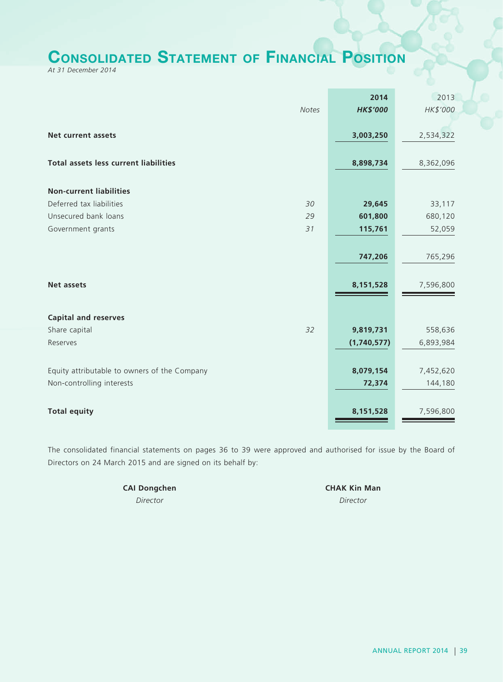# **Consolidated Statement of Financial Position**

*At 31 December 2014*

|                                              |       | 2014            | 2013      |
|----------------------------------------------|-------|-----------------|-----------|
|                                              | Notes | <b>HK\$'000</b> | HK\$'000  |
|                                              |       |                 |           |
| <b>Net current assets</b>                    |       | 3,003,250       | 2,534,322 |
|                                              |       |                 |           |
| <b>Total assets less current liabilities</b> |       | 8,898,734       | 8,362,096 |
|                                              |       |                 |           |
| <b>Non-current liabilities</b>               |       |                 |           |
| Deferred tax liabilities                     | 30    | 29,645          | 33,117    |
| Unsecured bank loans                         | 29    | 601,800         | 680,120   |
| Government grants                            | 31    | 115,761         | 52,059    |
|                                              |       |                 |           |
|                                              |       | 747,206         | 765,296   |
|                                              |       |                 |           |
| <b>Net assets</b>                            |       | 8,151,528       | 7,596,800 |
|                                              |       |                 |           |
| <b>Capital and reserves</b>                  |       |                 |           |
| Share capital                                | 32    | 9,819,731       | 558,636   |
| Reserves                                     |       | (1,740,577)     | 6,893,984 |
|                                              |       |                 |           |
| Equity attributable to owners of the Company |       | 8,079,154       | 7,452,620 |
| Non-controlling interests                    |       | 72,374          | 144,180   |
|                                              |       |                 |           |
| <b>Total equity</b>                          |       | 8,151,528       | 7,596,800 |
|                                              |       |                 |           |

The consolidated financial statements on pages 36 to 39 were approved and authorised for issue by the Board of Directors on 24 March 2015 and are signed on its behalf by:

**CAI Dongchen CHAK Kin Man**

*Director Director*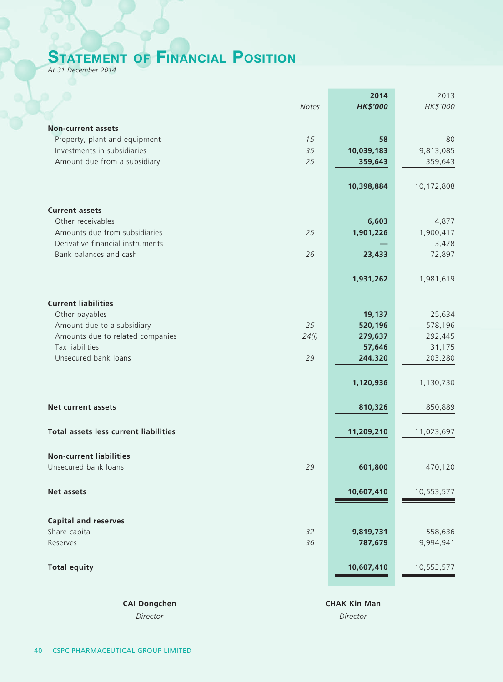# **Statement of Financial Position**

*At 31 December 2014*

|                                              | 2014            | 2013       |
|----------------------------------------------|-----------------|------------|
| Notes                                        | <b>HK\$'000</b> | HK\$'000   |
| <b>Non-current assets</b>                    |                 |            |
| Property, plant and equipment<br>15          | 58              | 80         |
| Investments in subsidiaries<br>35            | 10,039,183      | 9,813,085  |
| Amount due from a subsidiary<br>25           | 359,643         | 359,643    |
|                                              |                 |            |
|                                              | 10,398,884      | 10,172,808 |
| <b>Current assets</b>                        |                 |            |
| Other receivables                            | 6,603           | 4,877      |
| Amounts due from subsidiaries<br>25          | 1,901,226       | 1,900,417  |
| Derivative financial instruments             |                 | 3,428      |
| Bank balances and cash<br>26                 | 23,433          | 72,897     |
|                                              |                 |            |
|                                              | 1,931,262       | 1,981,619  |
| <b>Current liabilities</b>                   |                 |            |
| Other payables                               | 19,137          | 25,634     |
| Amount due to a subsidiary<br>25             | 520,196         | 578,196    |
| Amounts due to related companies<br>24(i)    | 279,637         | 292,445    |
| Tax liabilities                              | 57,646          | 31,175     |
| Unsecured bank loans<br>29                   | 244,320         | 203,280    |
|                                              | 1,120,936       | 1,130,730  |
|                                              |                 |            |
| <b>Net current assets</b>                    | 810,326         | 850,889    |
|                                              |                 |            |
| <b>Total assets less current liabilities</b> | 11,209,210      | 11,023,697 |
| <b>Non-current liabilities</b>               |                 |            |
| 29<br>Unsecured bank loans                   | 601,800         | 470,120    |
|                                              |                 |            |
| <b>Net assets</b>                            | 10,607,410      | 10,553,577 |
|                                              |                 |            |
| <b>Capital and reserves</b>                  |                 |            |
| Share capital<br>32                          | 9,819,731       | 558,636    |
| Reserves<br>36                               | 787,679         | 9,994,941  |
| <b>Total equity</b>                          | 10,607,410      | 10,553,577 |
|                                              |                 |            |

**CAI Dongchen CHAK Kin Man** *Director Director*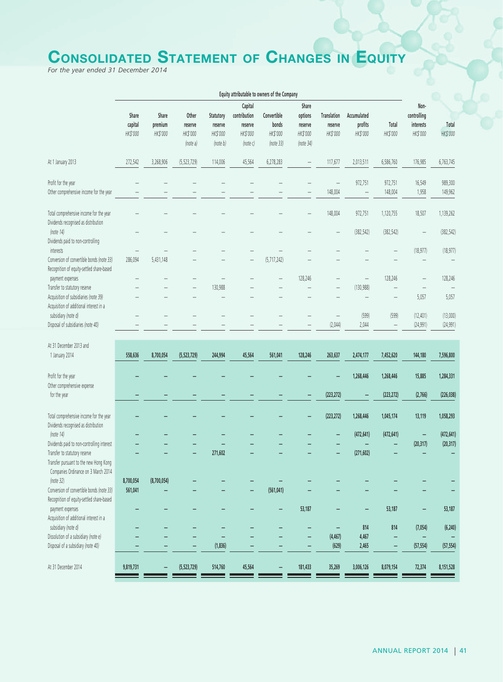# **Consolidated Statement of Changes in Equity**

*For the year ended 31 December 2014*

|                                                                                                                |                              |                              |                                          |                                              |                                                            | Equity attributable to owners of the Company  |                                                      |                                    |                                        |                                     |                                              |                         |
|----------------------------------------------------------------------------------------------------------------|------------------------------|------------------------------|------------------------------------------|----------------------------------------------|------------------------------------------------------------|-----------------------------------------------|------------------------------------------------------|------------------------------------|----------------------------------------|-------------------------------------|----------------------------------------------|-------------------------|
|                                                                                                                | Share<br>capital<br>HK\$'000 | Share<br>premium<br>HK\$'000 | Other<br>reserve<br>HK\$'000<br>(note a) | Statutory<br>reserve<br>HK\$'000<br>(note b) | Capital<br>contribution<br>reserve<br>HK\$'000<br>(note c) | Convertible<br>bonds<br>HK\$'000<br>(note 33) | Share<br>options<br>reserve<br>HK\$'000<br>(note 34) | Translation<br>reserve<br>HK\$'000 | Accumulated<br>profits<br>HK\$'000     | Total<br>HK\$'000                   | Non-<br>controlling<br>interests<br>HK\$'000 | Total<br>HK\$'000       |
| At 1 January 2013                                                                                              | 272,542                      | 3,268,906                    | (5, 523, 729)                            | 114,006                                      | 45,564                                                     | 6,278,283                                     |                                                      | 117,677                            | 2,013,511                              | 6,586,760                           | 176,985                                      | 6,763,745               |
| Profit for the year<br>Other comprehensive income for the year                                                 |                              |                              |                                          |                                              |                                                            |                                               |                                                      | 148,004                            | 972,751                                | 972,751<br>148,004                  | 16,549<br>1,958                              | 989,300<br>149,962      |
| Total comprehensive income for the year<br>Dividends recognised as distribution                                |                              |                              |                                          |                                              |                                                            |                                               |                                                      | 148,004                            | 972,751                                | 1,120,755                           | 18,507                                       | 1,139,262               |
| (note $14$ )<br>Dividends paid to non-controlling                                                              |                              |                              |                                          |                                              |                                                            |                                               |                                                      |                                    | (382, 542)                             | (382, 542)                          | $\overline{\phantom{0}}$                     | (382, 542)              |
| interests<br>Conversion of convertible bonds (note 33)<br>Recognition of equity-settled share-based            | —<br>286,094                 | 5,431,148                    |                                          |                                              |                                                            | (5,717,242)                                   |                                                      |                                    |                                        |                                     | (18, 977)                                    | (18, 977)               |
| payment expenses<br>Transfer to statutory reserve                                                              |                              |                              |                                          | 130,988                                      |                                                            |                                               | 128,246                                              |                                    | $\overline{\phantom{0}}$<br>(130, 988) | 128,246<br>$\overline{\phantom{0}}$ | $\overline{\phantom{0}}$                     | 128,246                 |
| Acquisition of subsidiaries (note 39)<br>Acquisition of additional interest in a                               |                              |                              |                                          |                                              |                                                            |                                               |                                                      |                                    |                                        |                                     | 5,057                                        | 5,057                   |
| subsidiary (note d)<br>Disposal of subsidiaries (note 40)                                                      |                              |                              |                                          |                                              |                                                            |                                               |                                                      | (2,044)                            | (599)<br>2,044                         | (599)                               | (12, 401)<br>(24, 991)                       | (13,000)<br>(24, 991)   |
| At 31 December 2013 and<br>1 January 2014                                                                      | 558,636                      | 8,700,054                    | (5,523,729)                              | 244,994                                      | 45,564                                                     | 561,041                                       | 128,246                                              | 263,637                            | 2,474,177                              | 7,452,620                           | 144,180                                      | 7,596,800               |
| Profit for the year<br>Other comprehensive expense                                                             |                              |                              |                                          |                                              |                                                            |                                               |                                                      |                                    | 1,268,446                              | 1,268,446                           | 15,885                                       | 1,284,331               |
| for the year                                                                                                   |                              |                              |                                          |                                              |                                                            |                                               |                                                      | (223, 272)                         |                                        | (223, 272)                          | (2,766)                                      | (226, 038)              |
| Total comprehensive income for the year<br>Dividends recognised as distribution                                |                              |                              |                                          |                                              |                                                            |                                               |                                                      | (223, 272)                         | 1,268,446                              | 1,045,174                           | 13,119                                       | 1,058,293               |
| (note $14$ )<br>Dividends paid to non-controlling interest                                                     |                              |                              |                                          |                                              |                                                            |                                               |                                                      |                                    | (472, 641)                             | (472, 641)                          | -<br>(20, 317)                               | (472, 641)<br>(20, 317) |
| Transfer to statutory reserve<br>Transfer pursuant to the new Hong Kong<br>Companies Ordinance on 3 March 2014 |                              |                              |                                          | 271,602                                      |                                                            |                                               |                                                      |                                    | (271, 602)                             |                                     |                                              |                         |
| (note 32)<br>Conversion of convertible bonds (note 33)<br>Recognition of equity-settled share-based            | 8,700,054<br>561,041         | (8,700,054)                  |                                          |                                              |                                                            | (561, 041)                                    |                                                      |                                    |                                        |                                     |                                              |                         |
| payment expenses<br>Acquisition of additional interest in a                                                    |                              |                              |                                          |                                              |                                                            |                                               | 53,187                                               |                                    | -                                      | 53,187                              |                                              | 53,187                  |
| subsidiary (note d)<br>Dissolution of a subsidiary (note e)                                                    |                              |                              |                                          |                                              |                                                            |                                               |                                                      | (4, 467)                           | 814<br>4,467                           | 814<br>-                            | (7,054)                                      | (6, 240)                |
| Disposal of a subsidiary (note 40)                                                                             |                              |                              |                                          | (1,836)                                      |                                                            |                                               |                                                      | (629)                              | 2,465                                  |                                     | (57, 554)                                    | (57, 554)               |
| At 31 December 2014                                                                                            | 9,819,731                    |                              | (5,523,729)                              | 514,760                                      | 45,564                                                     |                                               | 181,433                                              | 35,269                             | 3,006,126                              | 8,079,154                           | 72,374                                       | 8,151,528               |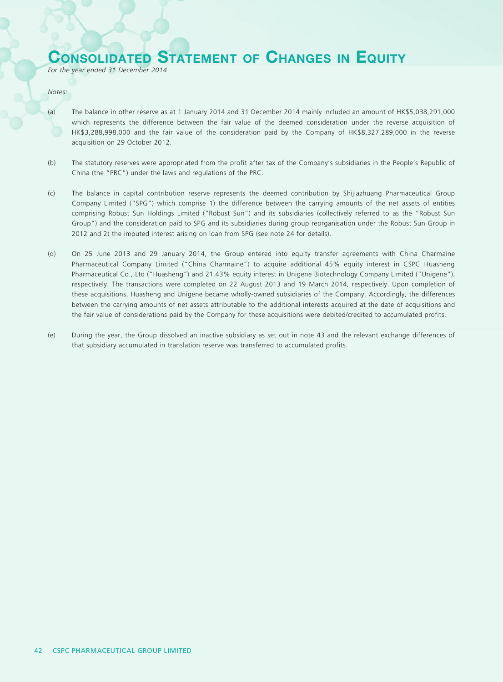### **Consolidated Statement of Changes in Equity**

*For the year ended 31 December 2014*

#### *Notes:*

- (a) The balance in other reserve as at 1 January 2014 and 31 December 2014 mainly included an amount of HK\$5,038,291,000 which represents the difference between the fair value of the deemed consideration under the reverse acquisition of HK\$3,288,998,000 and the fair value of the consideration paid by the Company of HK\$8,327,289,000 in the reverse acquisition on 29 October 2012.
- (b) The statutory reserves were appropriated from the profit after tax of the Company's subsidiaries in the People's Republic of China (the "PRC") under the laws and regulations of the PRC.
- (c) The balance in capital contribution reserve represents the deemed contribution by Shijiazhuang Pharmaceutical Group Company Limited ("SPG") which comprise 1) the difference between the carrying amounts of the net assets of entities comprising Robust Sun Holdings Limited ("Robust Sun") and its subsidiaries (collectively referred to as the "Robust Sun Group") and the consideration paid to SPG and its subsidiaries during group reorganisation under the Robust Sun Group in 2012 and 2) the imputed interest arising on loan from SPG (see note 24 for details).
- (d) On 25 June 2013 and 29 January 2014, the Group entered into equity transfer agreements with China Charmaine Pharmaceutical Company Limited ("China Charmaine") to acquire additional 45% equity interest in CSPC Huasheng Pharmaceutical Co., Ltd ("Huasheng") and 21.43% equity interest in Unigene Biotechnology Company Limited ("Unigene"), respectively. The transactions were completed on 22 August 2013 and 19 March 2014, respectively. Upon completion of these acquisitions, Huasheng and Unigene became wholly-owned subsidiaries of the Company. Accordingly, the differences between the carrying amounts of net assets attributable to the additional interests acquired at the date of acquisitions and the fair value of considerations paid by the Company for these acquisitions were debited/credited to accumulated profits.
- (e) During the year, the Group dissolved an inactive subsidiary as set out in note 43 and the relevant exchange differences of that subsidiary accumulated in translation reserve was transferred to accumulated profits.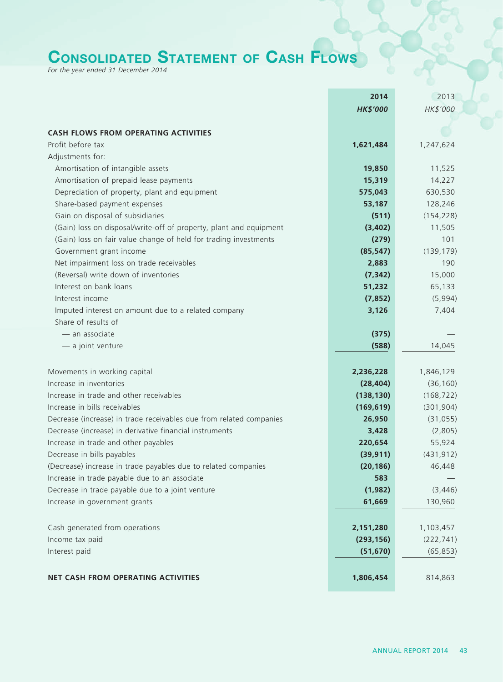### **Consolidated Statement of Cash Flows**

*For the year ended 31 December 2014*

|                                                                     | 2014            | 2013       |
|---------------------------------------------------------------------|-----------------|------------|
|                                                                     | <b>HK\$'000</b> | HK\$'000   |
|                                                                     |                 |            |
| <b>CASH FLOWS FROM OPERATING ACTIVITIES</b>                         |                 |            |
| Profit before tax                                                   | 1,621,484       | 1,247,624  |
| Adjustments for:                                                    |                 |            |
| Amortisation of intangible assets                                   | 19,850          | 11,525     |
| Amortisation of prepaid lease payments                              | 15,319          | 14,227     |
| Depreciation of property, plant and equipment                       | 575,043         | 630,530    |
| Share-based payment expenses                                        | 53,187          | 128,246    |
| Gain on disposal of subsidiaries                                    | (511)           | (154, 228) |
| (Gain) loss on disposal/write-off of property, plant and equipment  | (3,402)         | 11,505     |
| (Gain) loss on fair value change of held for trading investments    | (279)           | 101        |
| Government grant income                                             | (85, 547)       | (139, 179) |
| Net impairment loss on trade receivables                            | 2,883           | 190        |
| (Reversal) write down of inventories                                | (7, 342)        | 15,000     |
| Interest on bank loans                                              | 51,232          | 65,133     |
| Interest income                                                     | (7, 852)        | (5,994)    |
| Imputed interest on amount due to a related company                 | 3,126           | 7,404      |
| Share of results of                                                 |                 |            |
| - an associate                                                      | (375)           |            |
| - a joint venture                                                   | (588)           | 14,045     |
|                                                                     |                 |            |
| Movements in working capital                                        | 2,236,228       | 1,846,129  |
| Increase in inventories                                             | (28, 404)       | (36, 160)  |
| Increase in trade and other receivables                             | (138, 130)      | (168, 722) |
| Increase in bills receivables                                       | (169, 619)      | (301, 904) |
| Decrease (increase) in trade receivables due from related companies | 26,950          | (31, 055)  |
| Decrease (increase) in derivative financial instruments             | 3,428           | (2,805)    |
| Increase in trade and other payables                                | 220,654         | 55,924     |
| Decrease in bills payables                                          | (39, 911)       | (431, 912) |
| (Decrease) increase in trade payables due to related companies      | (20, 186)       | 46,448     |
| Increase in trade payable due to an associate                       | 583             |            |
| Decrease in trade payable due to a joint venture                    | (1,982)         | (3, 446)   |
| Increase in government grants                                       | 61,669          | 130,960    |
|                                                                     |                 |            |
| Cash generated from operations                                      | 2,151,280       | 1,103,457  |
| Income tax paid                                                     | (293, 156)      | (222, 741) |
| Interest paid                                                       | (51, 670)       | (65, 853)  |
|                                                                     |                 |            |
| <b>NET CASH FROM OPERATING ACTIVITIES</b>                           | 1,806,454       | 814,863    |
|                                                                     |                 |            |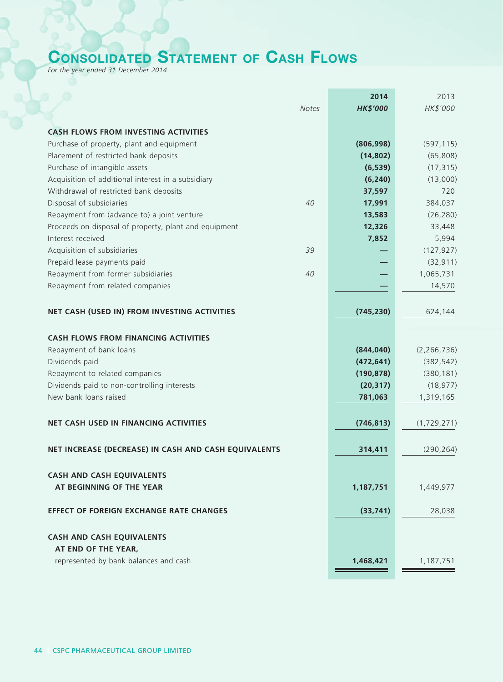# **Consolidated Statement of Cash Flows**

*For the year ended 31 December 2014*

|                                                       | 2014            | 2013          |
|-------------------------------------------------------|-----------------|---------------|
| <b>Notes</b>                                          | <b>HK\$'000</b> | HK\$'000      |
|                                                       |                 |               |
| <b>CASH FLOWS FROM INVESTING ACTIVITIES</b>           |                 |               |
| Purchase of property, plant and equipment             | (806, 998)      | (597, 115)    |
| Placement of restricted bank deposits                 | (14, 802)       | (65, 808)     |
| Purchase of intangible assets                         | (6, 539)        | (17, 315)     |
| Acquisition of additional interest in a subsidiary    | (6, 240)        | (13,000)      |
| Withdrawal of restricted bank deposits                | 37,597          | 720           |
| Disposal of subsidiaries<br>40                        | 17,991          | 384,037       |
| Repayment from (advance to) a joint venture           | 13,583          | (26, 280)     |
| Proceeds on disposal of property, plant and equipment | 12,326          | 33,448        |
| Interest received                                     | 7,852           | 5,994         |
| Acquisition of subsidiaries<br>39                     |                 | (127, 927)    |
| Prepaid lease payments paid                           |                 | (32, 911)     |
| Repayment from former subsidiaries<br>40              |                 | 1,065,731     |
| Repayment from related companies                      |                 | 14,570        |
|                                                       |                 |               |
| NET CASH (USED IN) FROM INVESTING ACTIVITIES          | (745, 230)      | 624,144       |
|                                                       |                 |               |
| <b>CASH FLOWS FROM FINANCING ACTIVITIES</b>           |                 |               |
| Repayment of bank loans                               | (844, 040)      | (2, 266, 736) |
| Dividends paid                                        | (472, 641)      | (382, 542)    |
| Repayment to related companies                        | (190, 878)      | (380, 181)    |
| Dividends paid to non-controlling interests           | (20, 317)       | (18, 977)     |
| New bank loans raised                                 | 781,063         | 1,319,165     |
|                                                       |                 |               |
| <b>NET CASH USED IN FINANCING ACTIVITIES</b>          | (746, 813)      | (1, 729, 271) |
|                                                       |                 |               |
| NET INCREASE (DECREASE) IN CASH AND CASH EQUIVALENTS  | 314,411         | (290, 264)    |
|                                                       |                 |               |
| <b>CASH AND CASH EQUIVALENTS</b>                      |                 |               |
| AT BEGINNING OF THE YEAR                              |                 |               |
|                                                       | 1,187,751       | 1,449,977     |
| <b>EFFECT OF FOREIGN EXCHANGE RATE CHANGES</b>        | (33, 741)       | 28,038        |
|                                                       |                 |               |
|                                                       |                 |               |
| <b>CASH AND CASH EQUIVALENTS</b>                      |                 |               |
| AT END OF THE YEAR,                                   |                 |               |
| represented by bank balances and cash                 | 1,468,421       | 1,187,751     |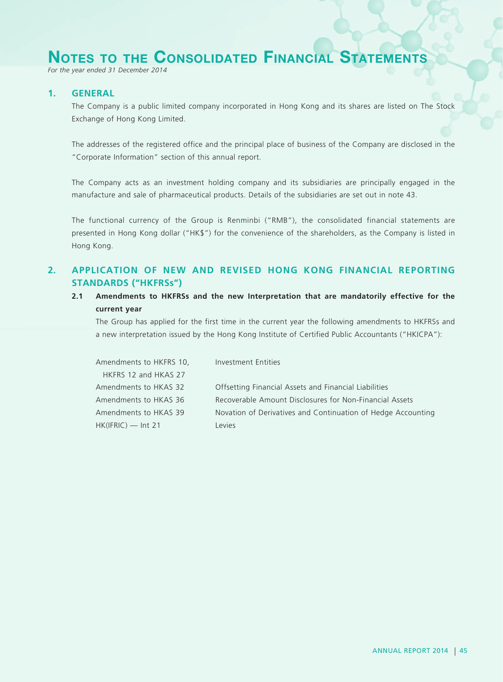*For the year ended 31 December 2014*

#### **1. GENERAL**

The Company is a public limited company incorporated in Hong Kong and its shares are listed on The Stock Exchange of Hong Kong Limited.

The addresses of the registered office and the principal place of business of the Company are disclosed in the "Corporate Information" section of this annual report.

The Company acts as an investment holding company and its subsidiaries are principally engaged in the manufacture and sale of pharmaceutical products. Details of the subsidiaries are set out in note 43.

The functional currency of the Group is Renminbi ("RMB"), the consolidated financial statements are presented in Hong Kong dollar ("HK\$") for the convenience of the shareholders, as the Company is listed in Hong Kong.

#### **2. APPLICATION OF NEW AND REVISED HONG KONG FINANCIAL REPORTING STANDARDS ("HKFRSs")**

#### **2.1 Amendments to HKFRSs and the new Interpretation that are mandatorily effective for the current year**

The Group has applied for the first time in the current year the following amendments to HKFRSs and a new interpretation issued by the Hong Kong Institute of Certified Public Accountants ("HKICPA"):

| Investment Entities                                          |
|--------------------------------------------------------------|
|                                                              |
| Offsetting Financial Assets and Financial Liabilities        |
| Recoverable Amount Disclosures for Non-Financial Assets      |
| Novation of Derivatives and Continuation of Hedge Accounting |
| Levies                                                       |
|                                                              |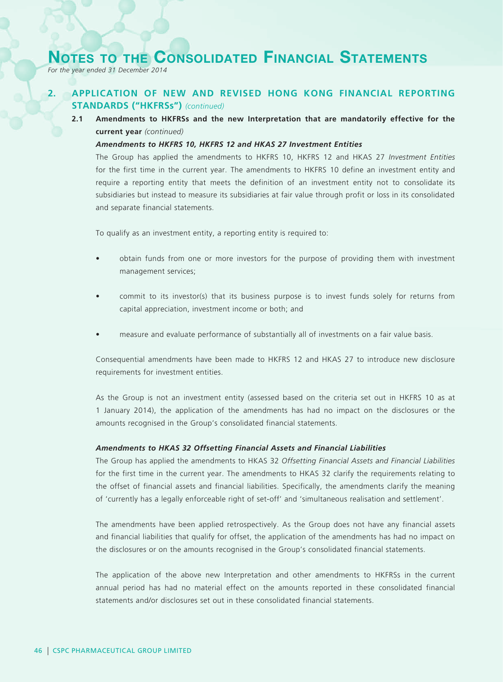*For the year ended 31 December 2014*

#### **2. APPLICATION OF NEW AND REVISED HONG KONG FINANCIAL REPORTING STANDARDS ("HKFRSs")** *(continued)*

#### **2.1 Amendments to HKFRSs and the new Interpretation that are mandatorily effective for the current year** *(continued)*

#### *Amendments to HKFRS 10, HKFRS 12 and HKAS 27 Investment Entities*

The Group has applied the amendments to HKFRS 10, HKFRS 12 and HKAS 27 *Investment Entities* for the first time in the current year. The amendments to HKFRS 10 define an investment entity and require a reporting entity that meets the definition of an investment entity not to consolidate its subsidiaries but instead to measure its subsidiaries at fair value through profit or loss in its consolidated and separate financial statements.

To qualify as an investment entity, a reporting entity is required to:

- obtain funds from one or more investors for the purpose of providing them with investment management services;
- • commit to its investor(s) that its business purpose is to invest funds solely for returns from capital appreciation, investment income or both; and
- measure and evaluate performance of substantially all of investments on a fair value basis.

Consequential amendments have been made to HKFRS 12 and HKAS 27 to introduce new disclosure requirements for investment entities.

As the Group is not an investment entity (assessed based on the criteria set out in HKFRS 10 as at 1 January 2014), the application of the amendments has had no impact on the disclosures or the amounts recognised in the Group's consolidated financial statements.

#### *Amendments to HKAS 32 Offsetting Financial Assets and Financial Liabilities*

The Group has applied the amendments to HKAS 32 *Offsetting Financial Assets and Financial Liabilities* for the first time in the current year. The amendments to HKAS 32 clarify the requirements relating to the offset of financial assets and financial liabilities. Specifically, the amendments clarify the meaning of 'currently has a legally enforceable right of set-off' and 'simultaneous realisation and settlement'.

The amendments have been applied retrospectively. As the Group does not have any financial assets and financial liabilities that qualify for offset, the application of the amendments has had no impact on the disclosures or on the amounts recognised in the Group's consolidated financial statements.

The application of the above new Interpretation and other amendments to HKFRSs in the current annual period has had no material effect on the amounts reported in these consolidated financial statements and/or disclosures set out in these consolidated financial statements.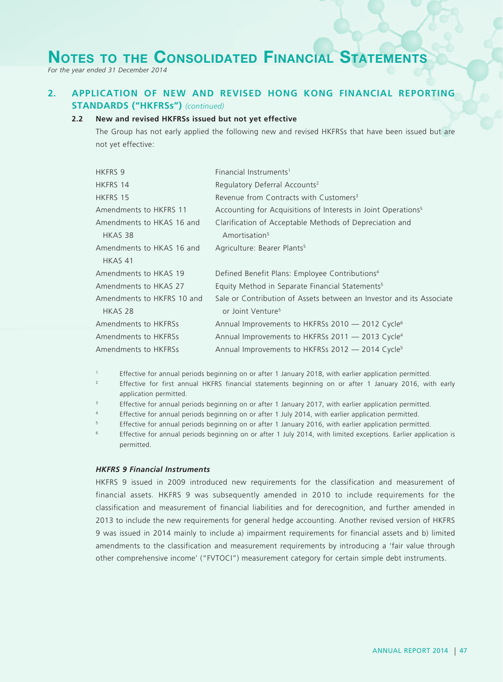*For the year ended 31 December 2014*

#### **2. APPLICATION OF NEW AND REVISED HONG KONG FINANCIAL REPORTING STANDARDS ("HKFRSs")** *(continued)*

#### **2.2 New and revised HKFRSs issued but not yet effective**

The Group has not early applied the following new and revised HKFRSs that have been issued but are not yet effective:

| HKFRS 9                    | Financial Instruments <sup>1</sup>                                        |
|----------------------------|---------------------------------------------------------------------------|
| <b>HKFRS 14</b>            | Regulatory Deferral Accounts <sup>2</sup>                                 |
| <b>HKFRS 15</b>            | Revenue from Contracts with Customers <sup>3</sup>                        |
| Amendments to HKFRS 11     | Accounting for Acquisitions of Interests in Joint Operations <sup>5</sup> |
| Amendments to HKAS 16 and  | Clarification of Acceptable Methods of Depreciation and                   |
| HKAS 38                    | Amortisation <sup>5</sup>                                                 |
| Amendments to HKAS 16 and  | Agriculture: Bearer Plants <sup>5</sup>                                   |
| HKAS <sub>41</sub>         |                                                                           |
| Amendments to HKAS 19      | Defined Benefit Plans: Employee Contributions <sup>4</sup>                |
| Amendments to HKAS 27      | Equity Method in Separate Financial Statements <sup>5</sup>               |
| Amendments to HKFRS 10 and | Sale or Contribution of Assets between an Investor and its Associate      |
| HKAS <sub>28</sub>         | or Joint Venture <sup>5</sup>                                             |
| Amendments to HKFRSs       | Annual Improvements to HKFRSs 2010 - 2012 Cycle <sup>6</sup>              |
| Amendments to HKFRSs       | Annual Improvements to HKFRSs 2011 - 2013 Cycle <sup>4</sup>              |
| Amendments to HKFRSs       | Annual Improvements to HKFRSs 2012 - 2014 Cycle <sup>5</sup>              |

<sup>1</sup> Effective for annual periods beginning on or after 1 January 2018, with earlier application permitted.

<sup>2</sup> Effective for first annual HKFRS financial statements beginning on or after 1 January 2016, with early application permitted.

Effective for annual periods beginning on or after 1 January 2017, with earlier application permitted.

<sup>4</sup> Effective for annual periods beginning on or after 1 July 2014, with earlier application permitted.

<sup>5</sup> Effective for annual periods beginning on or after 1 January 2016, with earlier application permitted.

<sup>6</sup> Effective for annual periods beginning on or after 1 July 2014, with limited exceptions. Earlier application is permitted.

#### *HKFRS 9 Financial Instruments*

HKFRS 9 issued in 2009 introduced new requirements for the classification and measurement of financial assets. HKFRS 9 was subsequently amended in 2010 to include requirements for the classification and measurement of financial liabilities and for derecognition, and further amended in 2013 to include the new requirements for general hedge accounting. Another revised version of HKFRS 9 was issued in 2014 mainly to include a) impairment requirements for financial assets and b) limited amendments to the classification and measurement requirements by introducing a 'fair value through other comprehensive income' ("FVTOCI") measurement category for certain simple debt instruments.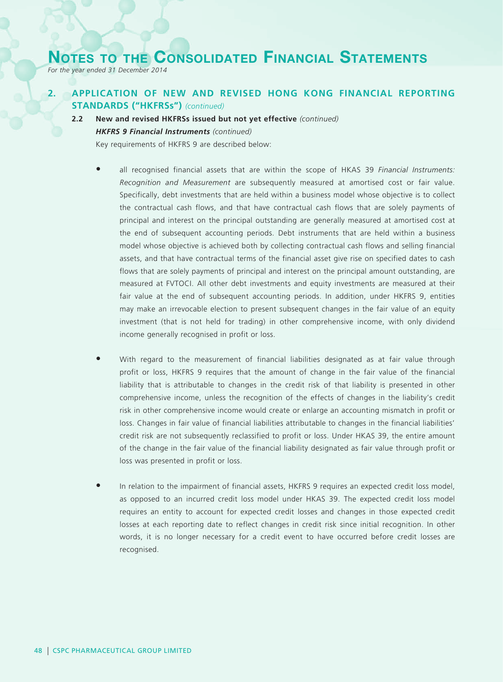*For the year ended 31 December 2014*

#### **2. APPLICATION OF NEW AND REVISED HONG KONG FINANCIAL REPORTING STANDARDS ("HKFRSs")** *(continued)*

#### **2.2 New and revised HKFRSs issued but not yet effective** *(continued) HKFRS 9 Financial Instruments (continued)*

Key requirements of HKFRS 9 are described below:

- all recognised financial assets that are within the scope of HKAS 39 *Financial Instruments: Recognition and Measurement* are subsequently measured at amortised cost or fair value. Specifically, debt investments that are held within a business model whose objective is to collect the contractual cash flows, and that have contractual cash flows that are solely payments of principal and interest on the principal outstanding are generally measured at amortised cost at the end of subsequent accounting periods. Debt instruments that are held within a business model whose objective is achieved both by collecting contractual cash flows and selling financial assets, and that have contractual terms of the financial asset give rise on specified dates to cash flows that are solely payments of principal and interest on the principal amount outstanding, are measured at FVTOCI. All other debt investments and equity investments are measured at their fair value at the end of subsequent accounting periods. In addition, under HKFRS 9, entities may make an irrevocable election to present subsequent changes in the fair value of an equity investment (that is not held for trading) in other comprehensive income, with only dividend income generally recognised in profit or loss.
- With regard to the measurement of financial liabilities designated as at fair value through profit or loss, HKFRS 9 requires that the amount of change in the fair value of the financial liability that is attributable to changes in the credit risk of that liability is presented in other comprehensive income, unless the recognition of the effects of changes in the liability's credit risk in other comprehensive income would create or enlarge an accounting mismatch in profit or loss. Changes in fair value of financial liabilities attributable to changes in the financial liabilities' credit risk are not subsequently reclassified to profit or loss. Under HKAS 39, the entire amount of the change in the fair value of the financial liability designated as fair value through profit or loss was presented in profit or loss.
- In relation to the impairment of financial assets, HKFRS 9 requires an expected credit loss model, as opposed to an incurred credit loss model under HKAS 39. The expected credit loss model requires an entity to account for expected credit losses and changes in those expected credit losses at each reporting date to reflect changes in credit risk since initial recognition. In other words, it is no longer necessary for a credit event to have occurred before credit losses are recognised.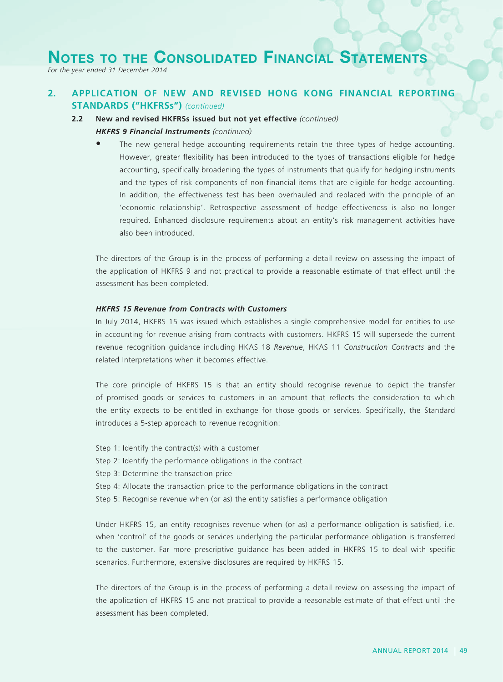*For the year ended 31 December 2014*

#### **2. APPLICATION OF NEW AND REVISED HONG KONG FINANCIAL REPORTING STANDARDS ("HKFRSs")** *(continued)*

#### **2.2 New and revised HKFRSs issued but not yet effective** *(continued) HKFRS 9 Financial Instruments (continued)*

The new general hedge accounting requirements retain the three types of hedge accounting. However, greater flexibility has been introduced to the types of transactions eligible for hedge accounting, specifically broadening the types of instruments that qualify for hedging instruments and the types of risk components of non-financial items that are eligible for hedge accounting. In addition, the effectiveness test has been overhauled and replaced with the principle of an 'economic relationship'. Retrospective assessment of hedge effectiveness is also no longer required. Enhanced disclosure requirements about an entity's risk management activities have also been introduced.

The directors of the Group is in the process of performing a detail review on assessing the impact of the application of HKFRS 9 and not practical to provide a reasonable estimate of that effect until the assessment has been completed.

#### *HKFRS 15 Revenue from Contracts with Customers*

In July 2014, HKFRS 15 was issued which establishes a single comprehensive model for entities to use in accounting for revenue arising from contracts with customers. HKFRS 15 will supersede the current revenue recognition guidance including HKAS 18 *Revenue*, HKAS 11 *Construction Contracts* and the related Interpretations when it becomes effective.

The core principle of HKFRS 15 is that an entity should recognise revenue to depict the transfer of promised goods or services to customers in an amount that reflects the consideration to which the entity expects to be entitled in exchange for those goods or services. Specifically, the Standard introduces a 5-step approach to revenue recognition:

- Step 1: Identify the contract(s) with a customer
- Step 2: Identify the performance obligations in the contract
- Step 3: Determine the transaction price
- Step 4: Allocate the transaction price to the performance obligations in the contract
- Step 5: Recognise revenue when (or as) the entity satisfies a performance obligation

Under HKFRS 15, an entity recognises revenue when (or as) a performance obligation is satisfied, i.e. when 'control' of the goods or services underlying the particular performance obligation is transferred to the customer. Far more prescriptive guidance has been added in HKFRS 15 to deal with specific scenarios. Furthermore, extensive disclosures are required by HKFRS 15.

The directors of the Group is in the process of performing a detail review on assessing the impact of the application of HKFRS 15 and not practical to provide a reasonable estimate of that effect until the assessment has been completed.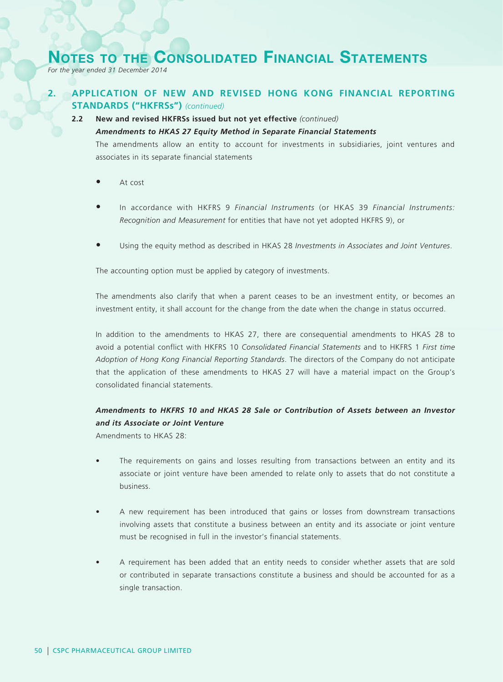*For the year ended 31 December 2014*

#### **2. APPLICATION OF NEW AND REVISED HONG KONG FINANCIAL REPORTING STANDARDS ("HKFRSs")** *(continued)*

**2.2 New and revised HKFRSs issued but not yet effective** *(continued) Amendments to HKAS 27 Equity Method in Separate Financial Statements* The amendments allow an entity to account for investments in subsidiaries, joint ventures and

associates in its separate financial statements

- At cost
- In accordance with HKFRS 9 *Financial Instruments* (or HKAS 39 *Financial Instruments: Recognition and Measurement* for entities that have not yet adopted HKFRS 9), or
- Using the equity method as described in HKAS 28 *Investments in Associates and Joint Ventures*.

The accounting option must be applied by category of investments.

The amendments also clarify that when a parent ceases to be an investment entity, or becomes an investment entity, it shall account for the change from the date when the change in status occurred.

In addition to the amendments to HKAS 27, there are consequential amendments to HKAS 28 to avoid a potential conflict with HKFRS 10 *Consolidated Financial Statements* and to HKFRS 1 *First time Adoption of Hong Kong Financial Reporting Standards*. The directors of the Company do not anticipate that the application of these amendments to HKAS 27 will have a material impact on the Group's consolidated financial statements.

#### *Amendments to HKFRS 10 and HKAS 28 Sale or Contribution of Assets between an Investor and its Associate or Joint Venture*

Amendments to HKAS 28:

- The requirements on gains and losses resulting from transactions between an entity and its associate or joint venture have been amended to relate only to assets that do not constitute a business.
- A new requirement has been introduced that gains or losses from downstream transactions involving assets that constitute a business between an entity and its associate or joint venture must be recognised in full in the investor's financial statements.
- A requirement has been added that an entity needs to consider whether assets that are sold or contributed in separate transactions constitute a business and should be accounted for as a single transaction.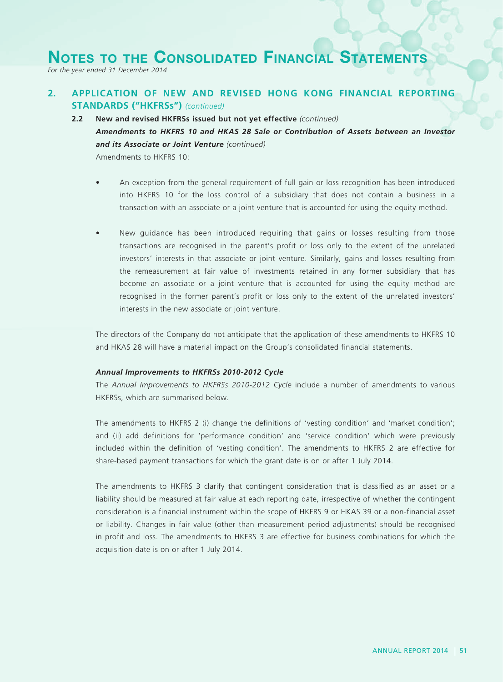*For the year ended 31 December 2014*

#### **2. APPLICATION OF NEW AND REVISED HONG KONG FINANCIAL REPORTING STANDARDS ("HKFRSs")** *(continued)*

**2.2 New and revised HKFRSs issued but not yet effective** *(continued) Amendments to HKFRS 10 and HKAS 28 Sale or Contribution of Assets between an Investor and its Associate or Joint Venture (continued)*

Amendments to HKFRS 10:

- An exception from the general requirement of full gain or loss recognition has been introduced into HKFRS 10 for the loss control of a subsidiary that does not contain a business in a transaction with an associate or a joint venture that is accounted for using the equity method.
- New guidance has been introduced requiring that gains or losses resulting from those transactions are recognised in the parent's profit or loss only to the extent of the unrelated investors' interests in that associate or joint venture. Similarly, gains and losses resulting from the remeasurement at fair value of investments retained in any former subsidiary that has become an associate or a joint venture that is accounted for using the equity method are recognised in the former parent's profit or loss only to the extent of the unrelated investors' interests in the new associate or joint venture.

The directors of the Company do not anticipate that the application of these amendments to HKFRS 10 and HKAS 28 will have a material impact on the Group's consolidated financial statements.

#### *Annual Improvements to HKFRSs 2010-2012 Cycle*

The *Annual Improvements to HKFRSs 2010-2012 Cycle* include a number of amendments to various HKFRSs, which are summarised below.

The amendments to HKFRS 2 (i) change the definitions of 'vesting condition' and 'market condition'; and (ii) add definitions for 'performance condition' and 'service condition' which were previously included within the definition of 'vesting condition'. The amendments to HKFRS 2 are effective for share-based payment transactions for which the grant date is on or after 1 July 2014.

The amendments to HKFRS 3 clarify that contingent consideration that is classified as an asset or a liability should be measured at fair value at each reporting date, irrespective of whether the contingent consideration is a financial instrument within the scope of HKFRS 9 or HKAS 39 or a non-financial asset or liability. Changes in fair value (other than measurement period adjustments) should be recognised in profit and loss. The amendments to HKFRS 3 are effective for business combinations for which the acquisition date is on or after 1 July 2014.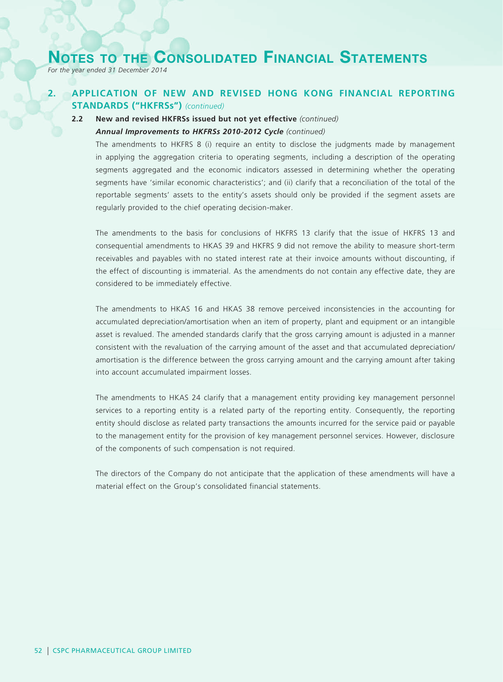*For the year ended 31 December 2014*

#### **2. APPLICATION OF NEW AND REVISED HONG KONG FINANCIAL REPORTING STANDARDS ("HKFRSs")** *(continued)*

#### **2.2 New and revised HKFRSs issued but not yet effective** *(continued) Annual Improvements to HKFRSs 2010-2012 Cycle (continued)*

The amendments to HKFRS 8 (i) require an entity to disclose the judgments made by management in applying the aggregation criteria to operating segments, including a description of the operating segments aggregated and the economic indicators assessed in determining whether the operating segments have 'similar economic characteristics'; and (ii) clarify that a reconciliation of the total of the reportable segments' assets to the entity's assets should only be provided if the segment assets are regularly provided to the chief operating decision-maker.

The amendments to the basis for conclusions of HKFRS 13 clarify that the issue of HKFRS 13 and consequential amendments to HKAS 39 and HKFRS 9 did not remove the ability to measure short-term receivables and payables with no stated interest rate at their invoice amounts without discounting, if the effect of discounting is immaterial. As the amendments do not contain any effective date, they are considered to be immediately effective.

The amendments to HKAS 16 and HKAS 38 remove perceived inconsistencies in the accounting for accumulated depreciation/amortisation when an item of property, plant and equipment or an intangible asset is revalued. The amended standards clarify that the gross carrying amount is adjusted in a manner consistent with the revaluation of the carrying amount of the asset and that accumulated depreciation/ amortisation is the difference between the gross carrying amount and the carrying amount after taking into account accumulated impairment losses.

The amendments to HKAS 24 clarify that a management entity providing key management personnel services to a reporting entity is a related party of the reporting entity. Consequently, the reporting entity should disclose as related party transactions the amounts incurred for the service paid or payable to the management entity for the provision of key management personnel services. However, disclosure of the components of such compensation is not required.

The directors of the Company do not anticipate that the application of these amendments will have a material effect on the Group's consolidated financial statements.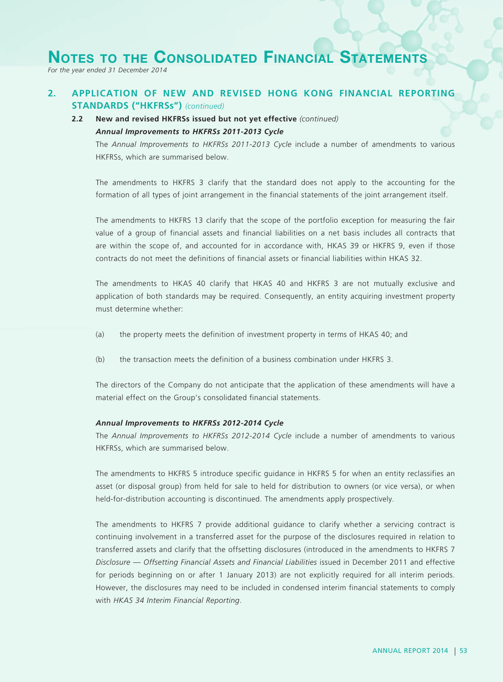*For the year ended 31 December 2014*

#### **2. APPLICATION OF NEW AND REVISED HONG KONG FINANCIAL REPORTING STANDARDS ("HKFRSs")** *(continued)*

#### **2.2 New and revised HKFRSs issued but not yet effective** *(continued) Annual Improvements to HKFRSs 2011-2013 Cycle*

The *Annual Improvements to HKFRSs 2011-2013 Cycle* include a number of amendments to various HKFRSs, which are summarised below.

The amendments to HKFRS 3 clarify that the standard does not apply to the accounting for the formation of all types of joint arrangement in the financial statements of the joint arrangement itself.

The amendments to HKFRS 13 clarify that the scope of the portfolio exception for measuring the fair value of a group of financial assets and financial liabilities on a net basis includes all contracts that are within the scope of, and accounted for in accordance with, HKAS 39 or HKFRS 9, even if those contracts do not meet the definitions of financial assets or financial liabilities within HKAS 32.

The amendments to HKAS 40 clarify that HKAS 40 and HKFRS 3 are not mutually exclusive and application of both standards may be required. Consequently, an entity acquiring investment property must determine whether:

- (a) the property meets the definition of investment property in terms of HKAS 40; and
- (b) the transaction meets the definition of a business combination under HKFRS 3.

The directors of the Company do not anticipate that the application of these amendments will have a material effect on the Group's consolidated financial statements.

#### *Annual Improvements to HKFRSs 2012-2014 Cycle*

The *Annual Improvements to HKFRSs 2012-2014 Cycle* include a number of amendments to various HKFRSs, which are summarised below.

The amendments to HKFRS 5 introduce specific guidance in HKFRS 5 for when an entity reclassifies an asset (or disposal group) from held for sale to held for distribution to owners (or vice versa), or when held-for-distribution accounting is discontinued. The amendments apply prospectively.

The amendments to HKFRS 7 provide additional guidance to clarify whether a servicing contract is continuing involvement in a transferred asset for the purpose of the disclosures required in relation to transferred assets and clarify that the offsetting disclosures (introduced in the amendments to HKFRS 7 *Disclosure — Offsetting Financial Assets and Financial Liabilities* issued in December 2011 and effective for periods beginning on or after 1 January 2013) are not explicitly required for all interim periods. However, the disclosures may need to be included in condensed interim financial statements to comply with *HKAS 34 Interim Financial Reporting*.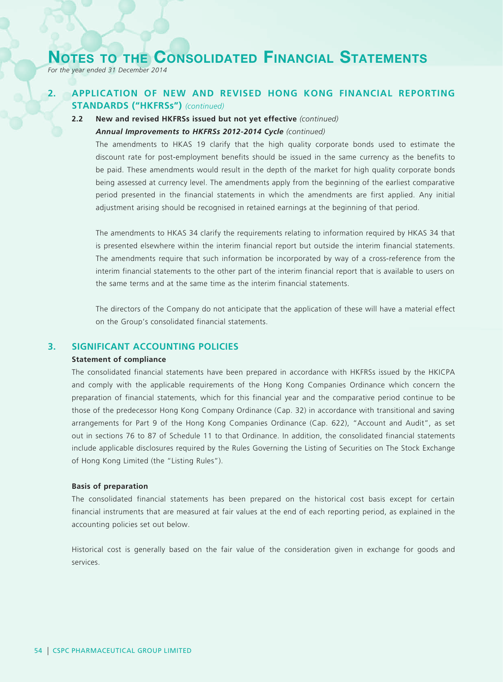*For the year ended 31 December 2014*

#### **2. APPLICATION OF NEW AND REVISED HONG KONG FINANCIAL REPORTING STANDARDS ("HKFRSs")** *(continued)*

#### **2.2 New and revised HKFRSs issued but not yet effective** *(continued)*

#### *Annual Improvements to HKFRSs 2012-2014 Cycle (continued)*

The amendments to HKAS 19 clarify that the high quality corporate bonds used to estimate the discount rate for post-employment benefits should be issued in the same currency as the benefits to be paid. These amendments would result in the depth of the market for high quality corporate bonds being assessed at currency level. The amendments apply from the beginning of the earliest comparative period presented in the financial statements in which the amendments are first applied. Any initial adjustment arising should be recognised in retained earnings at the beginning of that period.

The amendments to HKAS 34 clarify the requirements relating to information required by HKAS 34 that is presented elsewhere within the interim financial report but outside the interim financial statements. The amendments require that such information be incorporated by way of a cross-reference from the interim financial statements to the other part of the interim financial report that is available to users on the same terms and at the same time as the interim financial statements.

The directors of the Company do not anticipate that the application of these will have a material effect on the Group's consolidated financial statements.

#### **3. SIGNIFICANT ACCOUNTING POLICIES**

#### **Statement of compliance**

The consolidated financial statements have been prepared in accordance with HKFRSs issued by the HKICPA and comply with the applicable requirements of the Hong Kong Companies Ordinance which concern the preparation of financial statements, which for this financial year and the comparative period continue to be those of the predecessor Hong Kong Company Ordinance (Cap. 32) in accordance with transitional and saving arrangements for Part 9 of the Hong Kong Companies Ordinance (Cap. 622), "Account and Audit", as set out in sections 76 to 87 of Schedule 11 to that Ordinance. In addition, the consolidated financial statements include applicable disclosures required by the Rules Governing the Listing of Securities on The Stock Exchange of Hong Kong Limited (the "Listing Rules").

#### **Basis of preparation**

The consolidated financial statements has been prepared on the historical cost basis except for certain financial instruments that are measured at fair values at the end of each reporting period, as explained in the accounting policies set out below.

Historical cost is generally based on the fair value of the consideration given in exchange for goods and services.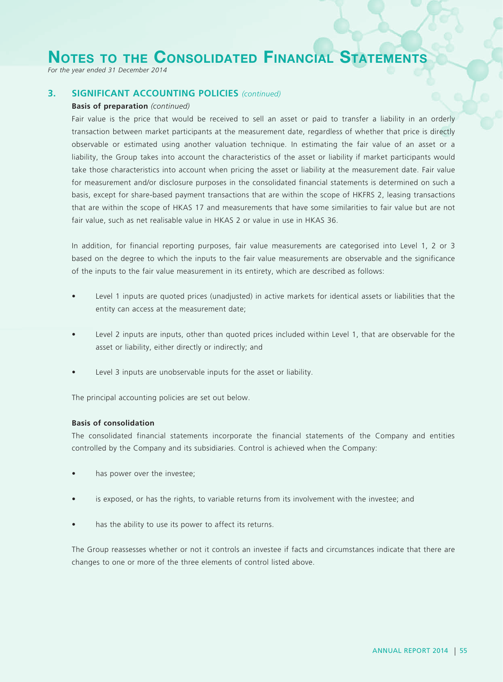*For the year ended 31 December 2014*

#### **3. SIGNIFICANT ACCOUNTING POLICIES** *(continued)*

#### **Basis of preparation** *(continued)*

Fair value is the price that would be received to sell an asset or paid to transfer a liability in an orderly transaction between market participants at the measurement date, regardless of whether that price is directly observable or estimated using another valuation technique. In estimating the fair value of an asset or a liability, the Group takes into account the characteristics of the asset or liability if market participants would take those characteristics into account when pricing the asset or liability at the measurement date. Fair value for measurement and/or disclosure purposes in the consolidated financial statements is determined on such a basis, except for share-based payment transactions that are within the scope of HKFRS 2, leasing transactions that are within the scope of HKAS 17 and measurements that have some similarities to fair value but are not fair value, such as net realisable value in HKAS 2 or value in use in HKAS 36.

In addition, for financial reporting purposes, fair value measurements are categorised into Level 1, 2 or 3 based on the degree to which the inputs to the fair value measurements are observable and the significance of the inputs to the fair value measurement in its entirety, which are described as follows:

- Level 1 inputs are quoted prices (unadjusted) in active markets for identical assets or liabilities that the entity can access at the measurement date;
- Level 2 inputs are inputs, other than quoted prices included within Level 1, that are observable for the asset or liability, either directly or indirectly; and
- Level 3 inputs are unobservable inputs for the asset or liability.

The principal accounting policies are set out below.

#### **Basis of consolidation**

The consolidated financial statements incorporate the financial statements of the Company and entities controlled by the Company and its subsidiaries. Control is achieved when the Company:

- has power over the investee;
- is exposed, or has the rights, to variable returns from its involvement with the investee; and
- has the ability to use its power to affect its returns.

The Group reassesses whether or not it controls an investee if facts and circumstances indicate that there are changes to one or more of the three elements of control listed above.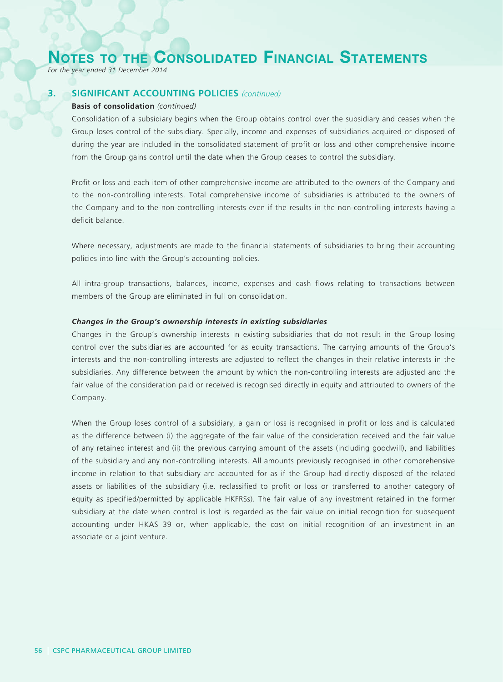*For the year ended 31 December 2014*

#### **3. SIGNIFICANT ACCOUNTING POLICIES** *(continued)*

#### **Basis of consolidation** *(continued)*

Consolidation of a subsidiary begins when the Group obtains control over the subsidiary and ceases when the Group loses control of the subsidiary. Specially, income and expenses of subsidiaries acquired or disposed of during the year are included in the consolidated statement of profit or loss and other comprehensive income from the Group gains control until the date when the Group ceases to control the subsidiary.

Profit or loss and each item of other comprehensive income are attributed to the owners of the Company and to the non-controlling interests. Total comprehensive income of subsidiaries is attributed to the owners of the Company and to the non-controlling interests even if the results in the non-controlling interests having a deficit balance.

Where necessary, adjustments are made to the financial statements of subsidiaries to bring their accounting policies into line with the Group's accounting policies.

All intra-group transactions, balances, income, expenses and cash flows relating to transactions between members of the Group are eliminated in full on consolidation.

#### *Changes in the Group's ownership interests in existing subsidiaries*

Changes in the Group's ownership interests in existing subsidiaries that do not result in the Group losing control over the subsidiaries are accounted for as equity transactions. The carrying amounts of the Group's interests and the non-controlling interests are adjusted to reflect the changes in their relative interests in the subsidiaries. Any difference between the amount by which the non-controlling interests are adjusted and the fair value of the consideration paid or received is recognised directly in equity and attributed to owners of the Company.

When the Group loses control of a subsidiary, a gain or loss is recognised in profit or loss and is calculated as the difference between (i) the aggregate of the fair value of the consideration received and the fair value of any retained interest and (ii) the previous carrying amount of the assets (including goodwill), and liabilities of the subsidiary and any non-controlling interests. All amounts previously recognised in other comprehensive income in relation to that subsidiary are accounted for as if the Group had directly disposed of the related assets or liabilities of the subsidiary (i.e. reclassified to profit or loss or transferred to another category of equity as specified/permitted by applicable HKFRSs). The fair value of any investment retained in the former subsidiary at the date when control is lost is regarded as the fair value on initial recognition for subsequent accounting under HKAS 39 or, when applicable, the cost on initial recognition of an investment in an associate or a joint venture.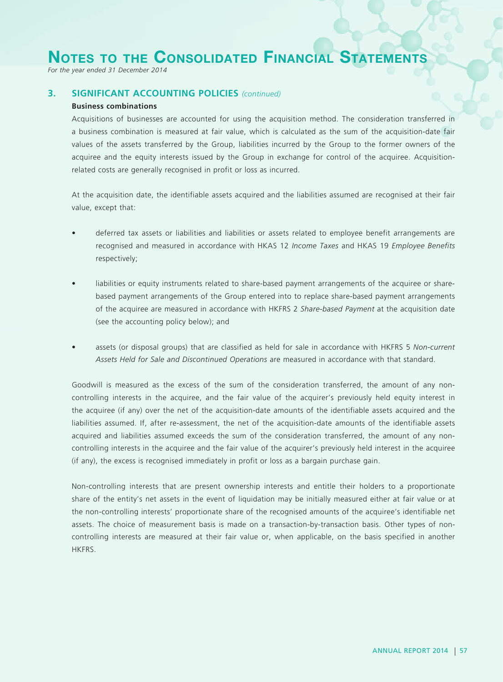*For the year ended 31 December 2014*

#### **3. SIGNIFICANT ACCOUNTING POLICIES** *(continued)*

#### **Business combinations**

Acquisitions of businesses are accounted for using the acquisition method. The consideration transferred in a business combination is measured at fair value, which is calculated as the sum of the acquisition-date fair values of the assets transferred by the Group, liabilities incurred by the Group to the former owners of the acquiree and the equity interests issued by the Group in exchange for control of the acquiree. Acquisitionrelated costs are generally recognised in profit or loss as incurred.

At the acquisition date, the identifiable assets acquired and the liabilities assumed are recognised at their fair value, except that:

- deferred tax assets or liabilities and liabilities or assets related to employee benefit arrangements are recognised and measured in accordance with HKAS 12 *Income Taxes* and HKAS 19 *Employee Benefits* respectively;
- liabilities or equity instruments related to share-based payment arrangements of the acquiree or sharebased payment arrangements of the Group entered into to replace share-based payment arrangements of the acquiree are measured in accordance with HKFRS 2 *Share-based Payment* at the acquisition date (see the accounting policy below); and
- assets (or disposal groups) that are classified as held for sale in accordance with HKFRS 5 *Non-current Assets Held for Sale and Discontinued Operations* are measured in accordance with that standard.

Goodwill is measured as the excess of the sum of the consideration transferred, the amount of any noncontrolling interests in the acquiree, and the fair value of the acquirer's previously held equity interest in the acquiree (if any) over the net of the acquisition-date amounts of the identifiable assets acquired and the liabilities assumed. If, after re-assessment, the net of the acquisition-date amounts of the identifiable assets acquired and liabilities assumed exceeds the sum of the consideration transferred, the amount of any noncontrolling interests in the acquiree and the fair value of the acquirer's previously held interest in the acquiree (if any), the excess is recognised immediately in profit or loss as a bargain purchase gain.

Non-controlling interests that are present ownership interests and entitle their holders to a proportionate share of the entity's net assets in the event of liquidation may be initially measured either at fair value or at the non-controlling interests' proportionate share of the recognised amounts of the acquiree's identifiable net assets. The choice of measurement basis is made on a transaction-by-transaction basis. Other types of noncontrolling interests are measured at their fair value or, when applicable, on the basis specified in another HKFRS.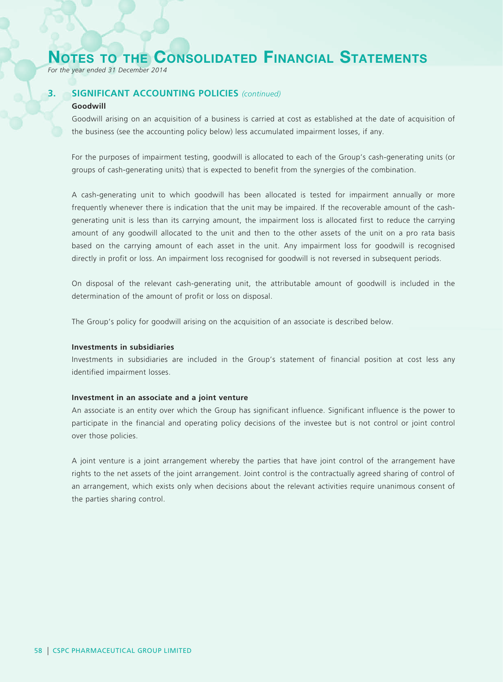*For the year ended 31 December 2014*

#### **3. SIGNIFICANT ACCOUNTING POLICIES** *(continued)*

#### **Goodwill**

Goodwill arising on an acquisition of a business is carried at cost as established at the date of acquisition of the business (see the accounting policy below) less accumulated impairment losses, if any.

For the purposes of impairment testing, goodwill is allocated to each of the Group's cash-generating units (or groups of cash-generating units) that is expected to benefit from the synergies of the combination.

A cash-generating unit to which goodwill has been allocated is tested for impairment annually or more frequently whenever there is indication that the unit may be impaired. If the recoverable amount of the cashgenerating unit is less than its carrying amount, the impairment loss is allocated first to reduce the carrying amount of any goodwill allocated to the unit and then to the other assets of the unit on a pro rata basis based on the carrying amount of each asset in the unit. Any impairment loss for goodwill is recognised directly in profit or loss. An impairment loss recognised for goodwill is not reversed in subsequent periods.

On disposal of the relevant cash-generating unit, the attributable amount of goodwill is included in the determination of the amount of profit or loss on disposal.

The Group's policy for goodwill arising on the acquisition of an associate is described below.

#### **Investments in subsidiaries**

Investments in subsidiaries are included in the Group's statement of financial position at cost less any identified impairment losses.

#### **Investment in an associate and a joint venture**

An associate is an entity over which the Group has significant influence. Significant influence is the power to participate in the financial and operating policy decisions of the investee but is not control or joint control over those policies.

A joint venture is a joint arrangement whereby the parties that have joint control of the arrangement have rights to the net assets of the joint arrangement. Joint control is the contractually agreed sharing of control of an arrangement, which exists only when decisions about the relevant activities require unanimous consent of the parties sharing control.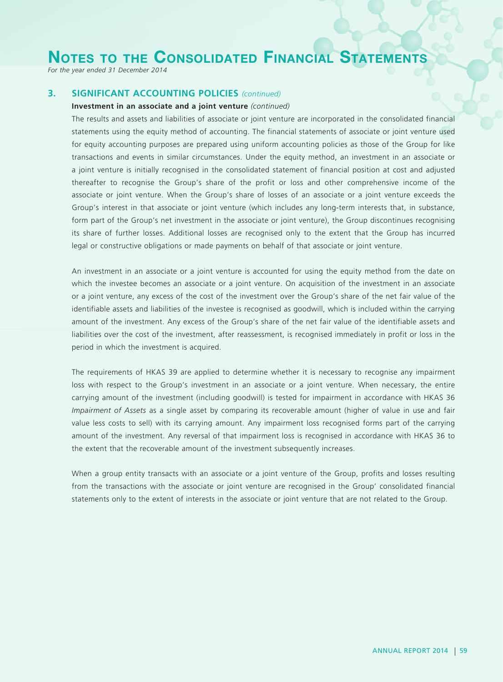*For the year ended 31 December 2014*

#### **3. SIGNIFICANT ACCOUNTING POLICIES** *(continued)*

#### **Investment in an associate and a joint venture** *(continued)*

The results and assets and liabilities of associate or joint venture are incorporated in the consolidated financial statements using the equity method of accounting. The financial statements of associate or joint venture used for equity accounting purposes are prepared using uniform accounting policies as those of the Group for like transactions and events in similar circumstances. Under the equity method, an investment in an associate or a joint venture is initially recognised in the consolidated statement of financial position at cost and adjusted thereafter to recognise the Group's share of the profit or loss and other comprehensive income of the associate or joint venture. When the Group's share of losses of an associate or a joint venture exceeds the Group's interest in that associate or joint venture (which includes any long-term interests that, in substance, form part of the Group's net investment in the associate or joint venture), the Group discontinues recognising its share of further losses. Additional losses are recognised only to the extent that the Group has incurred legal or constructive obligations or made payments on behalf of that associate or joint venture.

An investment in an associate or a joint venture is accounted for using the equity method from the date on which the investee becomes an associate or a joint venture. On acquisition of the investment in an associate or a joint venture, any excess of the cost of the investment over the Group's share of the net fair value of the identifiable assets and liabilities of the investee is recognised as goodwill, which is included within the carrying amount of the investment. Any excess of the Group's share of the net fair value of the identifiable assets and liabilities over the cost of the investment, after reassessment, is recognised immediately in profit or loss in the period in which the investment is acquired.

The requirements of HKAS 39 are applied to determine whether it is necessary to recognise any impairment loss with respect to the Group's investment in an associate or a joint venture. When necessary, the entire carrying amount of the investment (including goodwill) is tested for impairment in accordance with HKAS 36 *Impairment of Assets* as a single asset by comparing its recoverable amount (higher of value in use and fair value less costs to sell) with its carrying amount. Any impairment loss recognised forms part of the carrying amount of the investment. Any reversal of that impairment loss is recognised in accordance with HKAS 36 to the extent that the recoverable amount of the investment subsequently increases.

When a group entity transacts with an associate or a joint venture of the Group, profits and losses resulting from the transactions with the associate or joint venture are recognised in the Group' consolidated financial statements only to the extent of interests in the associate or joint venture that are not related to the Group.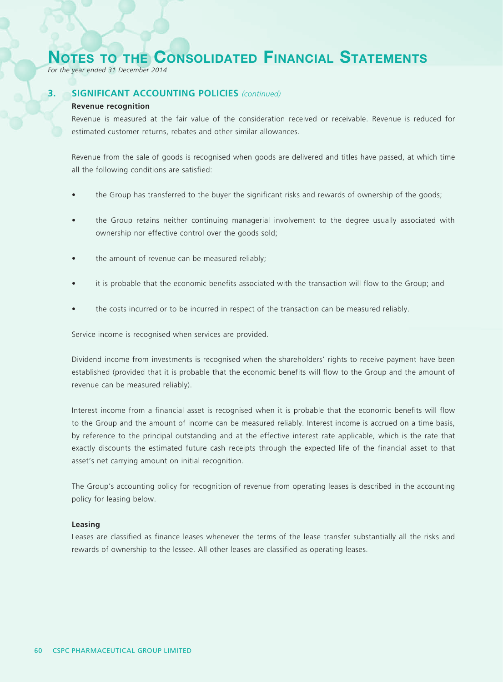*For the year ended 31 December 2014*

#### **3. SIGNIFICANT ACCOUNTING POLICIES** *(continued)*

#### **Revenue recognition**

Revenue is measured at the fair value of the consideration received or receivable. Revenue is reduced for estimated customer returns, rebates and other similar allowances.

Revenue from the sale of goods is recognised when goods are delivered and titles have passed, at which time all the following conditions are satisfied:

- the Group has transferred to the buyer the significant risks and rewards of ownership of the goods;
- the Group retains neither continuing managerial involvement to the degree usually associated with ownership nor effective control over the goods sold;
- the amount of revenue can be measured reliably;
- it is probable that the economic benefits associated with the transaction will flow to the Group; and
- the costs incurred or to be incurred in respect of the transaction can be measured reliably.

Service income is recognised when services are provided.

Dividend income from investments is recognised when the shareholders' rights to receive payment have been established (provided that it is probable that the economic benefits will flow to the Group and the amount of revenue can be measured reliably).

Interest income from a financial asset is recognised when it is probable that the economic benefits will flow to the Group and the amount of income can be measured reliably. Interest income is accrued on a time basis, by reference to the principal outstanding and at the effective interest rate applicable, which is the rate that exactly discounts the estimated future cash receipts through the expected life of the financial asset to that asset's net carrying amount on initial recognition.

The Group's accounting policy for recognition of revenue from operating leases is described in the accounting policy for leasing below.

#### **Leasing**

Leases are classified as finance leases whenever the terms of the lease transfer substantially all the risks and rewards of ownership to the lessee. All other leases are classified as operating leases.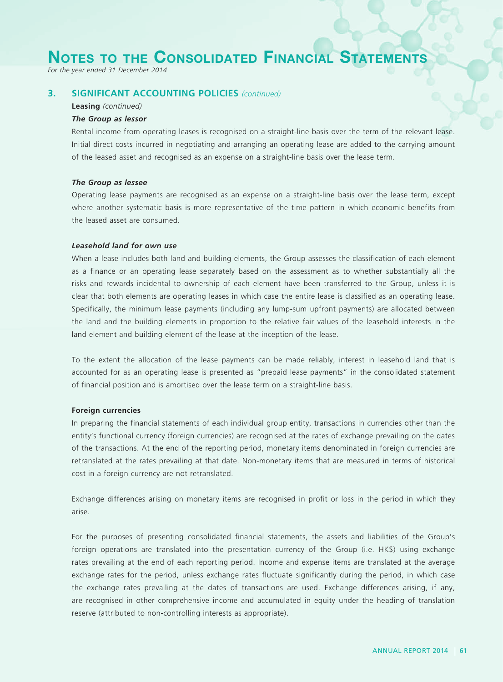*For the year ended 31 December 2014*

#### **3. SIGNIFICANT ACCOUNTING POLICIES** *(continued)*

#### **Leasing** *(continued)*

#### *The Group as lessor*

Rental income from operating leases is recognised on a straight-line basis over the term of the relevant lease. Initial direct costs incurred in negotiating and arranging an operating lease are added to the carrying amount of the leased asset and recognised as an expense on a straight-line basis over the lease term.

#### *The Group as lessee*

Operating lease payments are recognised as an expense on a straight-line basis over the lease term, except where another systematic basis is more representative of the time pattern in which economic benefits from the leased asset are consumed.

#### *Leasehold land for own use*

When a lease includes both land and building elements, the Group assesses the classification of each element as a finance or an operating lease separately based on the assessment as to whether substantially all the risks and rewards incidental to ownership of each element have been transferred to the Group, unless it is clear that both elements are operating leases in which case the entire lease is classified as an operating lease. Specifically, the minimum lease payments (including any lump-sum upfront payments) are allocated between the land and the building elements in proportion to the relative fair values of the leasehold interests in the land element and building element of the lease at the inception of the lease.

To the extent the allocation of the lease payments can be made reliably, interest in leasehold land that is accounted for as an operating lease is presented as "prepaid lease payments" in the consolidated statement of financial position and is amortised over the lease term on a straight-line basis.

#### **Foreign currencies**

In preparing the financial statements of each individual group entity, transactions in currencies other than the entity's functional currency (foreign currencies) are recognised at the rates of exchange prevailing on the dates of the transactions. At the end of the reporting period, monetary items denominated in foreign currencies are retranslated at the rates prevailing at that date. Non-monetary items that are measured in terms of historical cost in a foreign currency are not retranslated.

Exchange differences arising on monetary items are recognised in profit or loss in the period in which they arise.

For the purposes of presenting consolidated financial statements, the assets and liabilities of the Group's foreign operations are translated into the presentation currency of the Group (i.e. HK\$) using exchange rates prevailing at the end of each reporting period. Income and expense items are translated at the average exchange rates for the period, unless exchange rates fluctuate significantly during the period, in which case the exchange rates prevailing at the dates of transactions are used. Exchange differences arising, if any, are recognised in other comprehensive income and accumulated in equity under the heading of translation reserve (attributed to non-controlling interests as appropriate).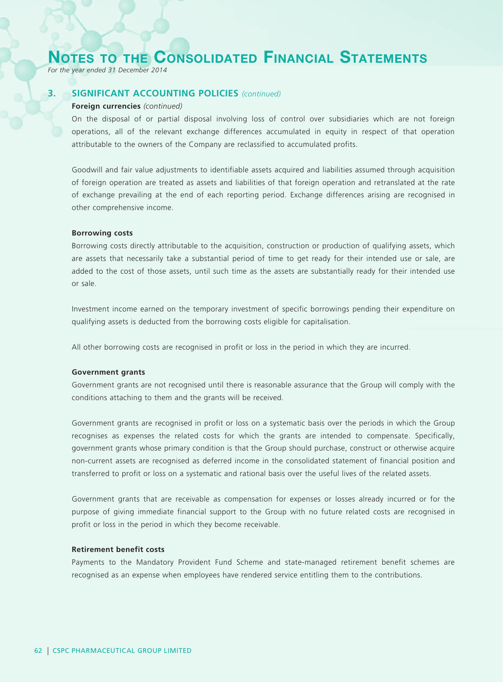*For the year ended 31 December 2014*

#### **3. SIGNIFICANT ACCOUNTING POLICIES** *(continued)*

#### **Foreign currencies** *(continued)*

On the disposal of or partial disposal involving loss of control over subsidiaries which are not foreign operations, all of the relevant exchange differences accumulated in equity in respect of that operation attributable to the owners of the Company are reclassified to accumulated profits.

Goodwill and fair value adjustments to identifiable assets acquired and liabilities assumed through acquisition of foreign operation are treated as assets and liabilities of that foreign operation and retranslated at the rate of exchange prevailing at the end of each reporting period. Exchange differences arising are recognised in other comprehensive income.

#### **Borrowing costs**

Borrowing costs directly attributable to the acquisition, construction or production of qualifying assets, which are assets that necessarily take a substantial period of time to get ready for their intended use or sale, are added to the cost of those assets, until such time as the assets are substantially ready for their intended use or sale.

Investment income earned on the temporary investment of specific borrowings pending their expenditure on qualifying assets is deducted from the borrowing costs eligible for capitalisation.

All other borrowing costs are recognised in profit or loss in the period in which they are incurred.

#### **Government grants**

Government grants are not recognised until there is reasonable assurance that the Group will comply with the conditions attaching to them and the grants will be received.

Government grants are recognised in profit or loss on a systematic basis over the periods in which the Group recognises as expenses the related costs for which the grants are intended to compensate. Specifically, government grants whose primary condition is that the Group should purchase, construct or otherwise acquire non-current assets are recognised as deferred income in the consolidated statement of financial position and transferred to profit or loss on a systematic and rational basis over the useful lives of the related assets.

Government grants that are receivable as compensation for expenses or losses already incurred or for the purpose of giving immediate financial support to the Group with no future related costs are recognised in profit or loss in the period in which they become receivable.

#### **Retirement benefit costs**

Payments to the Mandatory Provident Fund Scheme and state-managed retirement benefit schemes are recognised as an expense when employees have rendered service entitling them to the contributions.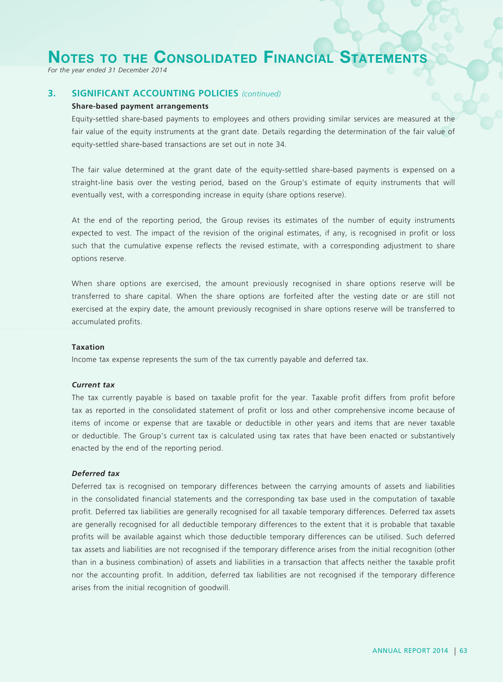*For the year ended 31 December 2014*

#### **3. SIGNIFICANT ACCOUNTING POLICIES** *(continued)*

#### **Share-based payment arrangements**

Equity-settled share-based payments to employees and others providing similar services are measured at the fair value of the equity instruments at the grant date. Details regarding the determination of the fair value of equity-settled share-based transactions are set out in note 34.

The fair value determined at the grant date of the equity-settled share-based payments is expensed on a straight-line basis over the vesting period, based on the Group's estimate of equity instruments that will eventually vest, with a corresponding increase in equity (share options reserve).

At the end of the reporting period, the Group revises its estimates of the number of equity instruments expected to vest. The impact of the revision of the original estimates, if any, is recognised in profit or loss such that the cumulative expense reflects the revised estimate, with a corresponding adjustment to share options reserve.

When share options are exercised, the amount previously recognised in share options reserve will be transferred to share capital. When the share options are forfeited after the vesting date or are still not exercised at the expiry date, the amount previously recognised in share options reserve will be transferred to accumulated profits.

#### **Taxation**

Income tax expense represents the sum of the tax currently payable and deferred tax.

#### *Current tax*

The tax currently payable is based on taxable profit for the year. Taxable profit differs from profit before tax as reported in the consolidated statement of profit or loss and other comprehensive income because of items of income or expense that are taxable or deductible in other years and items that are never taxable or deductible. The Group's current tax is calculated using tax rates that have been enacted or substantively enacted by the end of the reporting period.

#### *Deferred tax*

Deferred tax is recognised on temporary differences between the carrying amounts of assets and liabilities in the consolidated financial statements and the corresponding tax base used in the computation of taxable profit. Deferred tax liabilities are generally recognised for all taxable temporary differences. Deferred tax assets are generally recognised for all deductible temporary differences to the extent that it is probable that taxable profits will be available against which those deductible temporary differences can be utilised. Such deferred tax assets and liabilities are not recognised if the temporary difference arises from the initial recognition (other than in a business combination) of assets and liabilities in a transaction that affects neither the taxable profit nor the accounting profit. In addition, deferred tax liabilities are not recognised if the temporary difference arises from the initial recognition of goodwill.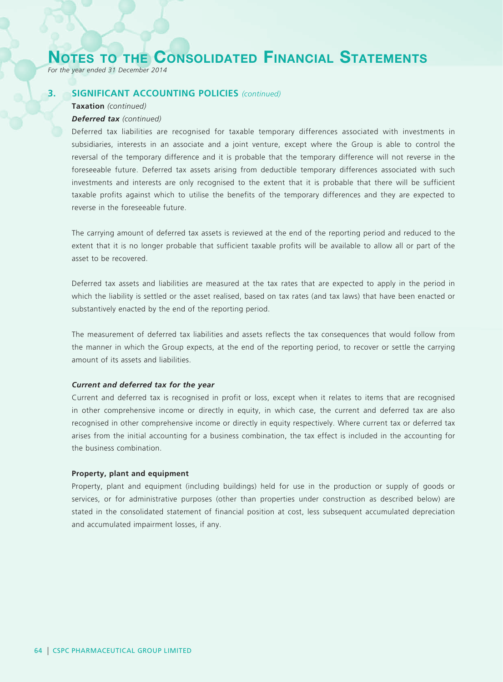*For the year ended 31 December 2014*

#### **3. SIGNIFICANT ACCOUNTING POLICIES** *(continued)*

#### **Taxation** *(continued)*

#### *Deferred tax (continued)*

Deferred tax liabilities are recognised for taxable temporary differences associated with investments in subsidiaries, interests in an associate and a joint venture, except where the Group is able to control the reversal of the temporary difference and it is probable that the temporary difference will not reverse in the foreseeable future. Deferred tax assets arising from deductible temporary differences associated with such investments and interests are only recognised to the extent that it is probable that there will be sufficient taxable profits against which to utilise the benefits of the temporary differences and they are expected to reverse in the foreseeable future.

The carrying amount of deferred tax assets is reviewed at the end of the reporting period and reduced to the extent that it is no longer probable that sufficient taxable profits will be available to allow all or part of the asset to be recovered.

Deferred tax assets and liabilities are measured at the tax rates that are expected to apply in the period in which the liability is settled or the asset realised, based on tax rates (and tax laws) that have been enacted or substantively enacted by the end of the reporting period.

The measurement of deferred tax liabilities and assets reflects the tax consequences that would follow from the manner in which the Group expects, at the end of the reporting period, to recover or settle the carrying amount of its assets and liabilities.

#### *Current and deferred tax for the year*

Current and deferred tax is recognised in profit or loss, except when it relates to items that are recognised in other comprehensive income or directly in equity, in which case, the current and deferred tax are also recognised in other comprehensive income or directly in equity respectively. Where current tax or deferred tax arises from the initial accounting for a business combination, the tax effect is included in the accounting for the business combination.

#### **Property, plant and equipment**

Property, plant and equipment (including buildings) held for use in the production or supply of goods or services, or for administrative purposes (other than properties under construction as described below) are stated in the consolidated statement of financial position at cost, less subsequent accumulated depreciation and accumulated impairment losses, if any.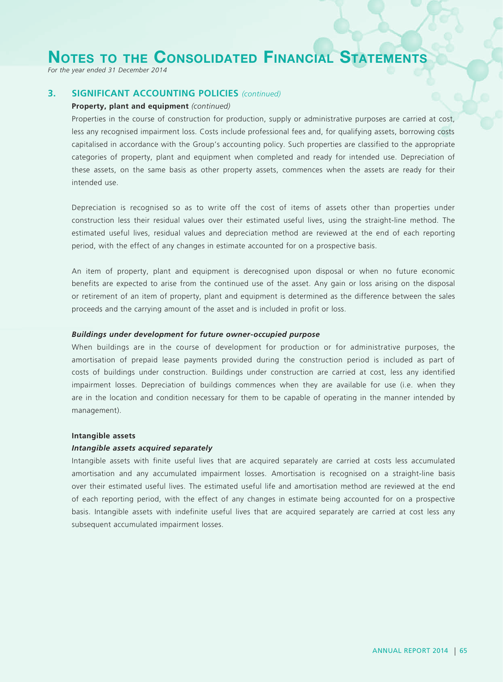*For the year ended 31 December 2014*

#### **3. SIGNIFICANT ACCOUNTING POLICIES** *(continued)*

#### **Property, plant and equipment** *(continued)*

Properties in the course of construction for production, supply or administrative purposes are carried at cost, less any recognised impairment loss. Costs include professional fees and, for qualifying assets, borrowing costs capitalised in accordance with the Group's accounting policy. Such properties are classified to the appropriate categories of property, plant and equipment when completed and ready for intended use. Depreciation of these assets, on the same basis as other property assets, commences when the assets are ready for their intended use.

Depreciation is recognised so as to write off the cost of items of assets other than properties under construction less their residual values over their estimated useful lives, using the straight-line method. The estimated useful lives, residual values and depreciation method are reviewed at the end of each reporting period, with the effect of any changes in estimate accounted for on a prospective basis.

An item of property, plant and equipment is derecognised upon disposal or when no future economic benefits are expected to arise from the continued use of the asset. Any gain or loss arising on the disposal or retirement of an item of property, plant and equipment is determined as the difference between the sales proceeds and the carrying amount of the asset and is included in profit or loss.

#### *Buildings under development for future owner-occupied purpose*

When buildings are in the course of development for production or for administrative purposes, the amortisation of prepaid lease payments provided during the construction period is included as part of costs of buildings under construction. Buildings under construction are carried at cost, less any identified impairment losses. Depreciation of buildings commences when they are available for use (i.e. when they are in the location and condition necessary for them to be capable of operating in the manner intended by management).

#### **Intangible assets**

#### *Intangible assets acquired separately*

Intangible assets with finite useful lives that are acquired separately are carried at costs less accumulated amortisation and any accumulated impairment losses. Amortisation is recognised on a straight-line basis over their estimated useful lives. The estimated useful life and amortisation method are reviewed at the end of each reporting period, with the effect of any changes in estimate being accounted for on a prospective basis. Intangible assets with indefinite useful lives that are acquired separately are carried at cost less any subsequent accumulated impairment losses.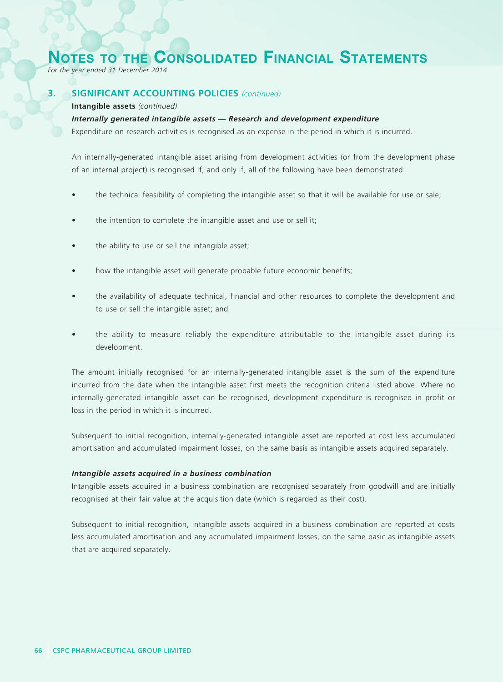*For the year ended 31 December 2014*

#### **3. SIGNIFICANT ACCOUNTING POLICIES** *(continued)*

#### **Intangible assets** *(continued)*

#### *Internally generated intangible assets — Research and development expenditure*

Expenditure on research activities is recognised as an expense in the period in which it is incurred.

An internally-generated intangible asset arising from development activities (or from the development phase of an internal project) is recognised if, and only if, all of the following have been demonstrated:

- the technical feasibility of completing the intangible asset so that it will be available for use or sale;
- the intention to complete the intangible asset and use or sell it;
- the ability to use or sell the intangible asset;
- how the intangible asset will generate probable future economic benefits;
- the availability of adequate technical, financial and other resources to complete the development and to use or sell the intangible asset; and
- the ability to measure reliably the expenditure attributable to the intangible asset during its development.

The amount initially recognised for an internally-generated intangible asset is the sum of the expenditure incurred from the date when the intangible asset first meets the recognition criteria listed above. Where no internally-generated intangible asset can be recognised, development expenditure is recognised in profit or loss in the period in which it is incurred.

Subsequent to initial recognition, internally-generated intangible asset are reported at cost less accumulated amortisation and accumulated impairment losses, on the same basis as intangible assets acquired separately.

#### *Intangible assets acquired in a business combination*

Intangible assets acquired in a business combination are recognised separately from goodwill and are initially recognised at their fair value at the acquisition date (which is regarded as their cost).

Subsequent to initial recognition, intangible assets acquired in a business combination are reported at costs less accumulated amortisation and any accumulated impairment losses, on the same basic as intangible assets that are acquired separately.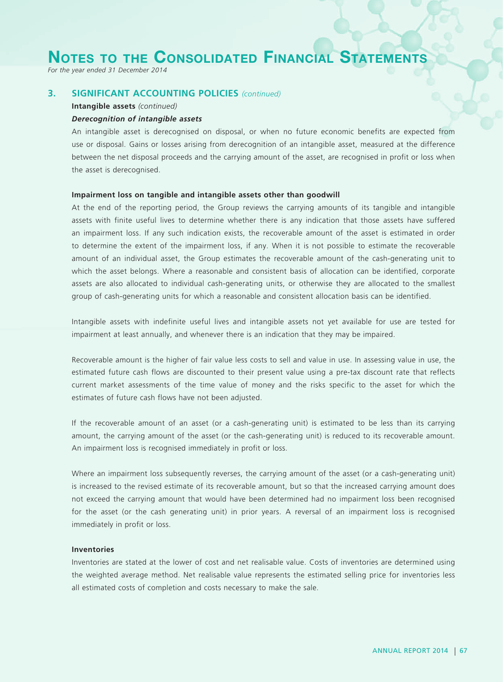*For the year ended 31 December 2014*

#### **3. SIGNIFICANT ACCOUNTING POLICIES** *(continued)*

#### **Intangible assets** *(continued)*

#### *Derecognition of intangible assets*

An intangible asset is derecognised on disposal, or when no future economic benefits are expected from use or disposal. Gains or losses arising from derecognition of an intangible asset, measured at the difference between the net disposal proceeds and the carrying amount of the asset, are recognised in profit or loss when the asset is derecognised.

#### **Impairment loss on tangible and intangible assets other than goodwill**

At the end of the reporting period, the Group reviews the carrying amounts of its tangible and intangible assets with finite useful lives to determine whether there is any indication that those assets have suffered an impairment loss. If any such indication exists, the recoverable amount of the asset is estimated in order to determine the extent of the impairment loss, if any. When it is not possible to estimate the recoverable amount of an individual asset, the Group estimates the recoverable amount of the cash-generating unit to which the asset belongs. Where a reasonable and consistent basis of allocation can be identified, corporate assets are also allocated to individual cash-generating units, or otherwise they are allocated to the smallest group of cash-generating units for which a reasonable and consistent allocation basis can be identified.

Intangible assets with indefinite useful lives and intangible assets not yet available for use are tested for impairment at least annually, and whenever there is an indication that they may be impaired.

Recoverable amount is the higher of fair value less costs to sell and value in use. In assessing value in use, the estimated future cash flows are discounted to their present value using a pre-tax discount rate that reflects current market assessments of the time value of money and the risks specific to the asset for which the estimates of future cash flows have not been adjusted.

If the recoverable amount of an asset (or a cash-generating unit) is estimated to be less than its carrying amount, the carrying amount of the asset (or the cash-generating unit) is reduced to its recoverable amount. An impairment loss is recognised immediately in profit or loss.

Where an impairment loss subsequently reverses, the carrying amount of the asset (or a cash-generating unit) is increased to the revised estimate of its recoverable amount, but so that the increased carrying amount does not exceed the carrying amount that would have been determined had no impairment loss been recognised for the asset (or the cash generating unit) in prior years. A reversal of an impairment loss is recognised immediately in profit or loss.

#### **Inventories**

Inventories are stated at the lower of cost and net realisable value. Costs of inventories are determined using the weighted average method. Net realisable value represents the estimated selling price for inventories less all estimated costs of completion and costs necessary to make the sale.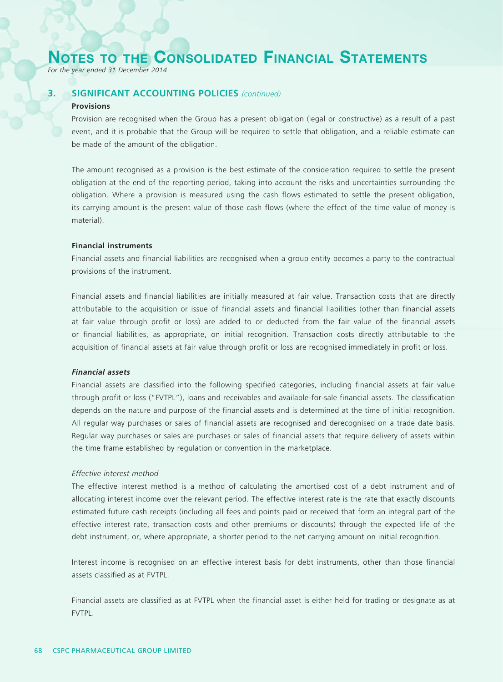*For the year ended 31 December 2014*

#### **3. SIGNIFICANT ACCOUNTING POLICIES** *(continued)*

#### **Provisions**

Provision are recognised when the Group has a present obligation (legal or constructive) as a result of a past event, and it is probable that the Group will be required to settle that obligation, and a reliable estimate can be made of the amount of the obligation.

The amount recognised as a provision is the best estimate of the consideration required to settle the present obligation at the end of the reporting period, taking into account the risks and uncertainties surrounding the obligation. Where a provision is measured using the cash flows estimated to settle the present obligation, its carrying amount is the present value of those cash flows (where the effect of the time value of money is material).

#### **Financial instruments**

Financial assets and financial liabilities are recognised when a group entity becomes a party to the contractual provisions of the instrument.

Financial assets and financial liabilities are initially measured at fair value. Transaction costs that are directly attributable to the acquisition or issue of financial assets and financial liabilities (other than financial assets at fair value through profit or loss) are added to or deducted from the fair value of the financial assets or financial liabilities, as appropriate, on initial recognition. Transaction costs directly attributable to the acquisition of financial assets at fair value through profit or loss are recognised immediately in profit or loss.

#### *Financial assets*

Financial assets are classified into the following specified categories, including financial assets at fair value through profit or loss ("FVTPL"), loans and receivables and available-for-sale financial assets. The classification depends on the nature and purpose of the financial assets and is determined at the time of initial recognition. All regular way purchases or sales of financial assets are recognised and derecognised on a trade date basis. Regular way purchases or sales are purchases or sales of financial assets that require delivery of assets within the time frame established by regulation or convention in the marketplace.

#### *Effective interest method*

The effective interest method is a method of calculating the amortised cost of a debt instrument and of allocating interest income over the relevant period. The effective interest rate is the rate that exactly discounts estimated future cash receipts (including all fees and points paid or received that form an integral part of the effective interest rate, transaction costs and other premiums or discounts) through the expected life of the debt instrument, or, where appropriate, a shorter period to the net carrying amount on initial recognition.

Interest income is recognised on an effective interest basis for debt instruments, other than those financial assets classified as at FVTPL.

Financial assets are classified as at FVTPL when the financial asset is either held for trading or designate as at FVTPL.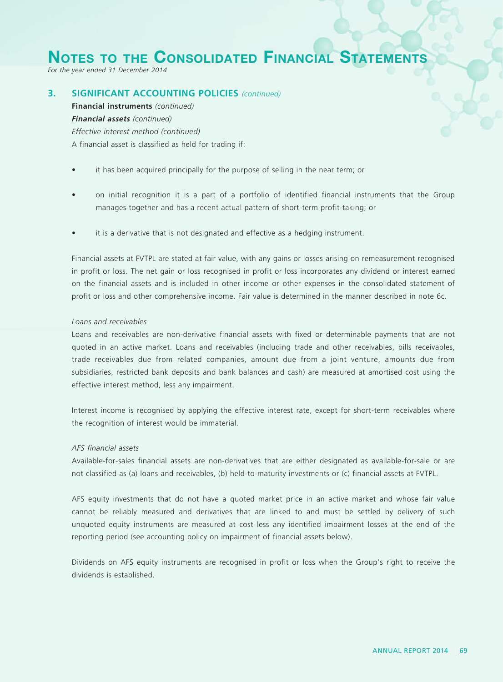*For the year ended 31 December 2014*

#### **3. SIGNIFICANT ACCOUNTING POLICIES** *(continued)*

**Financial instruments** *(continued) Financial assets (continued) Effective interest method (continued)* A financial asset is classified as held for trading if:

- it has been acquired principally for the purpose of selling in the near term; or
- on initial recognition it is a part of a portfolio of identified financial instruments that the Group manages together and has a recent actual pattern of short-term profit-taking; or
- it is a derivative that is not designated and effective as a hedging instrument.

Financial assets at FVTPL are stated at fair value, with any gains or losses arising on remeasurement recognised in profit or loss. The net gain or loss recognised in profit or loss incorporates any dividend or interest earned on the financial assets and is included in other income or other expenses in the consolidated statement of profit or loss and other comprehensive income. Fair value is determined in the manner described in note 6c.

#### *Loans and receivables*

Loans and receivables are non-derivative financial assets with fixed or determinable payments that are not quoted in an active market. Loans and receivables (including trade and other receivables, bills receivables, trade receivables due from related companies, amount due from a joint venture, amounts due from subsidiaries, restricted bank deposits and bank balances and cash) are measured at amortised cost using the effective interest method, less any impairment.

Interest income is recognised by applying the effective interest rate, except for short-term receivables where the recognition of interest would be immaterial.

#### *AFS financial assets*

Available-for-sales financial assets are non-derivatives that are either designated as available-for-sale or are not classified as (a) loans and receivables, (b) held-to-maturity investments or (c) financial assets at FVTPL.

AFS equity investments that do not have a quoted market price in an active market and whose fair value cannot be reliably measured and derivatives that are linked to and must be settled by delivery of such unquoted equity instruments are measured at cost less any identified impairment losses at the end of the reporting period (see accounting policy on impairment of financial assets below).

Dividends on AFS equity instruments are recognised in profit or loss when the Group's right to receive the dividends is established.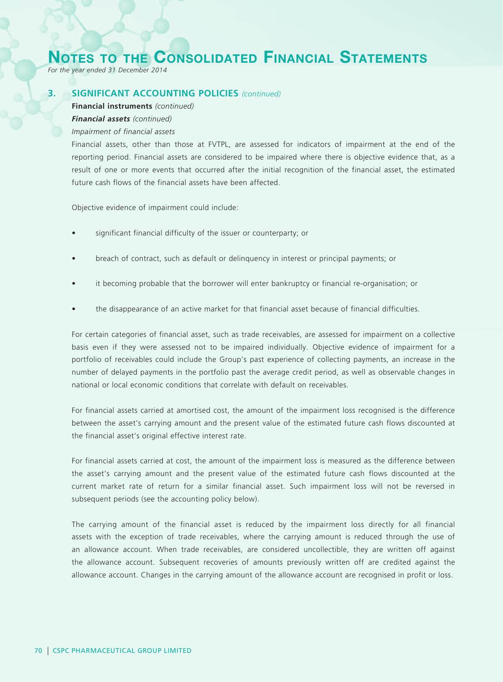*For the year ended 31 December 2014*

#### **3. SIGNIFICANT ACCOUNTING POLICIES** *(continued)*

**Financial instruments** *(continued)*

#### *Financial assets (continued)*

#### *Impairment of financial assets*

Financial assets, other than those at FVTPL, are assessed for indicators of impairment at the end of the reporting period. Financial assets are considered to be impaired where there is objective evidence that, as a result of one or more events that occurred after the initial recognition of the financial asset, the estimated future cash flows of the financial assets have been affected.

Objective evidence of impairment could include:

- significant financial difficulty of the issuer or counterparty; or
- breach of contract, such as default or delinquency in interest or principal payments; or
- it becoming probable that the borrower will enter bankruptcy or financial re-organisation; or
- the disappearance of an active market for that financial asset because of financial difficulties.

For certain categories of financial asset, such as trade receivables, are assessed for impairment on a collective basis even if they were assessed not to be impaired individually. Objective evidence of impairment for a portfolio of receivables could include the Group's past experience of collecting payments, an increase in the number of delayed payments in the portfolio past the average credit period, as well as observable changes in national or local economic conditions that correlate with default on receivables.

For financial assets carried at amortised cost, the amount of the impairment loss recognised is the difference between the asset's carrying amount and the present value of the estimated future cash flows discounted at the financial asset's original effective interest rate.

For financial assets carried at cost, the amount of the impairment loss is measured as the difference between the asset's carrying amount and the present value of the estimated future cash flows discounted at the current market rate of return for a similar financial asset. Such impairment loss will not be reversed in subsequent periods (see the accounting policy below).

The carrying amount of the financial asset is reduced by the impairment loss directly for all financial assets with the exception of trade receivables, where the carrying amount is reduced through the use of an allowance account. When trade receivables, are considered uncollectible, they are written off against the allowance account. Subsequent recoveries of amounts previously written off are credited against the allowance account. Changes in the carrying amount of the allowance account are recognised in profit or loss.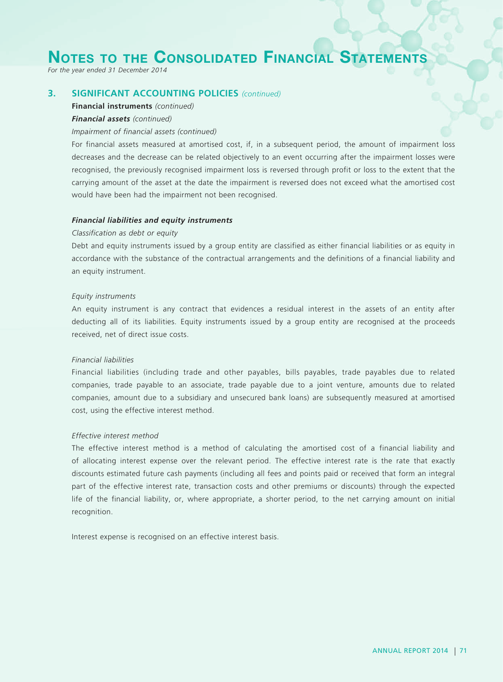*For the year ended 31 December 2014*

#### **3. SIGNIFICANT ACCOUNTING POLICIES** *(continued)*

#### **Financial instruments** *(continued)*

#### *Financial assets (continued)*

#### *Impairment of financial assets (continued)*

For financial assets measured at amortised cost, if, in a subsequent period, the amount of impairment loss decreases and the decrease can be related objectively to an event occurring after the impairment losses were recognised, the previously recognised impairment loss is reversed through profit or loss to the extent that the carrying amount of the asset at the date the impairment is reversed does not exceed what the amortised cost would have been had the impairment not been recognised.

#### *Financial liabilities and equity instruments*

#### *Classification as debt or equity*

Debt and equity instruments issued by a group entity are classified as either financial liabilities or as equity in accordance with the substance of the contractual arrangements and the definitions of a financial liability and an equity instrument.

#### *Equity instruments*

An equity instrument is any contract that evidences a residual interest in the assets of an entity after deducting all of its liabilities. Equity instruments issued by a group entity are recognised at the proceeds received, net of direct issue costs.

#### *Financial liabilities*

Financial liabilities (including trade and other payables, bills payables, trade payables due to related companies, trade payable to an associate, trade payable due to a joint venture, amounts due to related companies, amount due to a subsidiary and unsecured bank loans) are subsequently measured at amortised cost, using the effective interest method.

#### *Effective interest method*

The effective interest method is a method of calculating the amortised cost of a financial liability and of allocating interest expense over the relevant period. The effective interest rate is the rate that exactly discounts estimated future cash payments (including all fees and points paid or received that form an integral part of the effective interest rate, transaction costs and other premiums or discounts) through the expected life of the financial liability, or, where appropriate, a shorter period, to the net carrying amount on initial recognition.

Interest expense is recognised on an effective interest basis.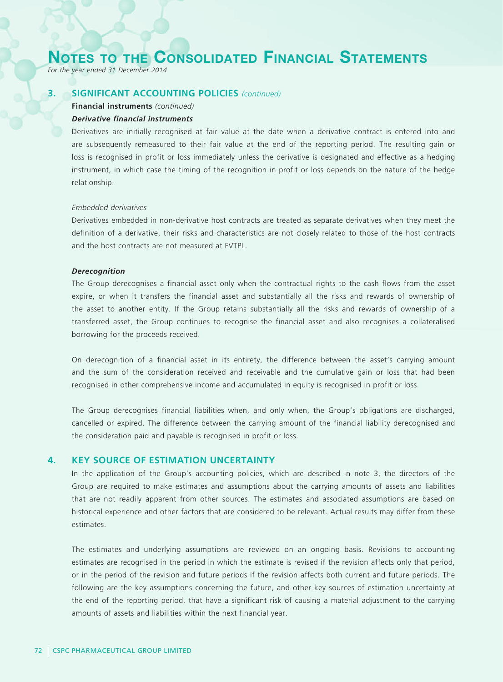*For the year ended 31 December 2014*

#### **3. SIGNIFICANT ACCOUNTING POLICIES** *(continued)*

# **Financial instruments** *(continued)*

### *Derivative financial instruments*

Derivatives are initially recognised at fair value at the date when a derivative contract is entered into and are subsequently remeasured to their fair value at the end of the reporting period. The resulting gain or loss is recognised in profit or loss immediately unless the derivative is designated and effective as a hedging instrument, in which case the timing of the recognition in profit or loss depends on the nature of the hedge relationship.

#### *Embedded derivatives*

Derivatives embedded in non-derivative host contracts are treated as separate derivatives when they meet the definition of a derivative, their risks and characteristics are not closely related to those of the host contracts and the host contracts are not measured at FVTPL.

#### *Derecognition*

The Group derecognises a financial asset only when the contractual rights to the cash flows from the asset expire, or when it transfers the financial asset and substantially all the risks and rewards of ownership of the asset to another entity. If the Group retains substantially all the risks and rewards of ownership of a transferred asset, the Group continues to recognise the financial asset and also recognises a collateralised borrowing for the proceeds received.

On derecognition of a financial asset in its entirety, the difference between the asset's carrying amount and the sum of the consideration received and receivable and the cumulative gain or loss that had been recognised in other comprehensive income and accumulated in equity is recognised in profit or loss.

The Group derecognises financial liabilities when, and only when, the Group's obligations are discharged, cancelled or expired. The difference between the carrying amount of the financial liability derecognised and the consideration paid and payable is recognised in profit or loss.

#### **4. KEY SOURCE OF ESTIMATION UNCERTAINTY**

In the application of the Group's accounting policies, which are described in note 3, the directors of the Group are required to make estimates and assumptions about the carrying amounts of assets and liabilities that are not readily apparent from other sources. The estimates and associated assumptions are based on historical experience and other factors that are considered to be relevant. Actual results may differ from these estimates.

The estimates and underlying assumptions are reviewed on an ongoing basis. Revisions to accounting estimates are recognised in the period in which the estimate is revised if the revision affects only that period, or in the period of the revision and future periods if the revision affects both current and future periods. The following are the key assumptions concerning the future, and other key sources of estimation uncertainty at the end of the reporting period, that have a significant risk of causing a material adjustment to the carrying amounts of assets and liabilities within the next financial year.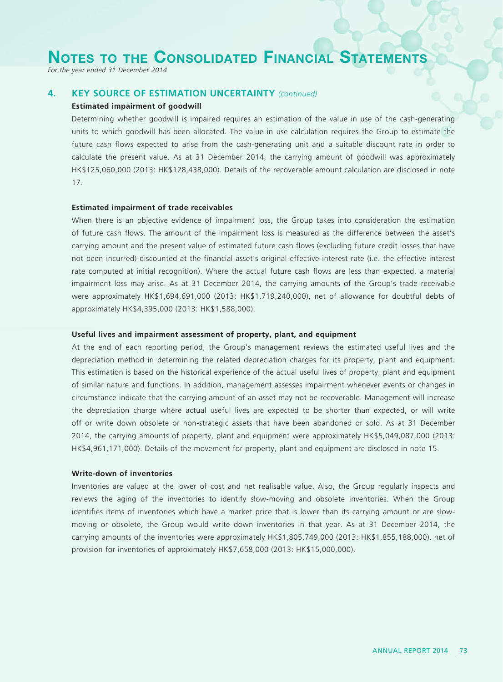*For the year ended 31 December 2014*

#### **4. KEY SOURCE OF ESTIMATION UNCERTAINTY** *(continued)*

#### **Estimated impairment of goodwill**

Determining whether goodwill is impaired requires an estimation of the value in use of the cash-generating units to which goodwill has been allocated. The value in use calculation requires the Group to estimate the future cash flows expected to arise from the cash-generating unit and a suitable discount rate in order to calculate the present value. As at 31 December 2014, the carrying amount of goodwill was approximately HK\$125,060,000 (2013: HK\$128,438,000). Details of the recoverable amount calculation are disclosed in note 17.

#### **Estimated impairment of trade receivables**

When there is an objective evidence of impairment loss, the Group takes into consideration the estimation of future cash flows. The amount of the impairment loss is measured as the difference between the asset's carrying amount and the present value of estimated future cash flows (excluding future credit losses that have not been incurred) discounted at the financial asset's original effective interest rate (i.e. the effective interest rate computed at initial recognition). Where the actual future cash flows are less than expected, a material impairment loss may arise. As at 31 December 2014, the carrying amounts of the Group's trade receivable were approximately HK\$1,694,691,000 (2013: HK\$1,719,240,000), net of allowance for doubtful debts of approximately HK\$4,395,000 (2013: HK\$1,588,000).

#### **Useful lives and impairment assessment of property, plant, and equipment**

At the end of each reporting period, the Group's management reviews the estimated useful lives and the depreciation method in determining the related depreciation charges for its property, plant and equipment. This estimation is based on the historical experience of the actual useful lives of property, plant and equipment of similar nature and functions. In addition, management assesses impairment whenever events or changes in circumstance indicate that the carrying amount of an asset may not be recoverable. Management will increase the depreciation charge where actual useful lives are expected to be shorter than expected, or will write off or write down obsolete or non-strategic assets that have been abandoned or sold. As at 31 December 2014, the carrying amounts of property, plant and equipment were approximately HK\$5,049,087,000 (2013: HK\$4,961,171,000). Details of the movement for property, plant and equipment are disclosed in note 15.

#### **Write-down of inventories**

Inventories are valued at the lower of cost and net realisable value. Also, the Group regularly inspects and reviews the aging of the inventories to identify slow-moving and obsolete inventories. When the Group identifies items of inventories which have a market price that is lower than its carrying amount or are slowmoving or obsolete, the Group would write down inventories in that year. As at 31 December 2014, the carrying amounts of the inventories were approximately HK\$1,805,749,000 (2013: HK\$1,855,188,000), net of provision for inventories of approximately HK\$7,658,000 (2013: HK\$15,000,000).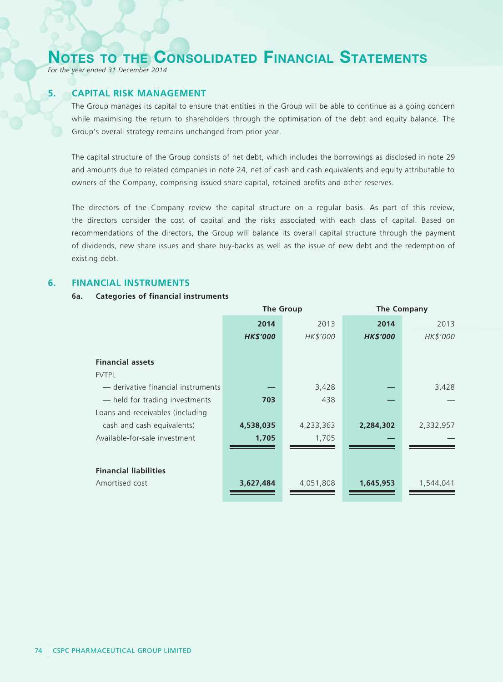*For the year ended 31 December 2014*

#### **5. CAPITAL RISK MANAGEMENT**

The Group manages its capital to ensure that entities in the Group will be able to continue as a going concern while maximising the return to shareholders through the optimisation of the debt and equity balance. The Group's overall strategy remains unchanged from prior year.

The capital structure of the Group consists of net debt, which includes the borrowings as disclosed in note 29 and amounts due to related companies in note 24, net of cash and cash equivalents and equity attributable to owners of the Company, comprising issued share capital, retained profits and other reserves.

The directors of the Company review the capital structure on a regular basis. As part of this review, the directors consider the cost of capital and the risks associated with each class of capital. Based on recommendations of the directors, the Group will balance its overall capital structure through the payment of dividends, new share issues and share buy-backs as well as the issue of new debt and the redemption of existing debt.

## **6. FINANCIAL INSTRUMENTS**

#### **6a. Categories of financial instruments**

|                                    |                 | The Group | The Company     |           |  |
|------------------------------------|-----------------|-----------|-----------------|-----------|--|
|                                    | 2014            | 2013      | 2014            | 2013      |  |
|                                    | <b>HK\$'000</b> | HK\$'000  | <b>HK\$'000</b> | HK\$'000  |  |
|                                    |                 |           |                 |           |  |
| <b>Financial assets</b>            |                 |           |                 |           |  |
| <b>FVTPL</b>                       |                 |           |                 |           |  |
| — derivative financial instruments |                 | 3,428     |                 | 3,428     |  |
| - held for trading investments     | 703             | 438       |                 |           |  |
| Loans and receivables (including   |                 |           |                 |           |  |
| cash and cash equivalents)         | 4,538,035       | 4,233,363 | 2,284,302       | 2,332,957 |  |
| Available-for-sale investment      | 1,705           | 1,705     |                 |           |  |
|                                    |                 |           |                 |           |  |
| <b>Financial liabilities</b>       |                 |           |                 |           |  |
|                                    |                 |           |                 |           |  |
| Amortised cost                     | 3,627,484       | 4,051,808 | 1,645,953       | 1,544,041 |  |
|                                    |                 |           |                 |           |  |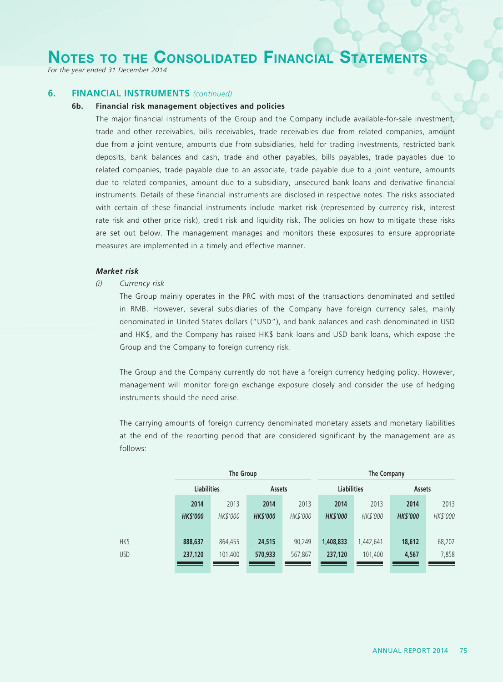*For the year ended 31 December 2014*

#### **6. FINANCIAL INSTRUMENTS** *(continued)*

#### **6b. Financial risk management objectives and policies**

The major financial instruments of the Group and the Company include available-for-sale investment, trade and other receivables, bills receivables, trade receivables due from related companies, amount due from a joint venture, amounts due from subsidiaries, held for trading investments, restricted bank deposits, bank balances and cash, trade and other payables, bills payables, trade payables due to related companies, trade payable due to an associate, trade payable due to a joint venture, amounts due to related companies, amount due to a subsidiary, unsecured bank loans and derivative financial instruments. Details of these financial instruments are disclosed in respective notes. The risks associated with certain of these financial instruments include market risk (represented by currency risk, interest rate risk and other price risk), credit risk and liquidity risk. The policies on how to mitigate these risks are set out below. The management manages and monitors these exposures to ensure appropriate measures are implemented in a timely and effective manner.

#### *Market risk*

*(i) Currency risk*

The Group mainly operates in the PRC with most of the transactions denominated and settled in RMB. However, several subsidiaries of the Company have foreign currency sales, mainly denominated in United States dollars ("USD"), and bank balances and cash denominated in USD and HK\$, and the Company has raised HK\$ bank loans and USD bank loans, which expose the Group and the Company to foreign currency risk.

The Group and the Company currently do not have a foreign currency hedging policy. However, management will monitor foreign exchange exposure closely and consider the use of hedging instruments should the need arise.

The carrying amounts of foreign currency denominated monetary assets and monetary liabilities at the end of the reporting period that are considered significant by the management are as follows:

|      |                    | The Group |                 |          | The Company        |           |                 |          |  |
|------|--------------------|-----------|-----------------|----------|--------------------|-----------|-----------------|----------|--|
|      | <b>Liabilities</b> |           | Assets          |          | <b>Liabilities</b> |           | Assets          |          |  |
|      | 2014               | 2013      | 2014            | 2013     | 2014               | 2013      | 2014            | 2013     |  |
|      | <b>HK\$'000</b>    | HK\$'000  | <b>HK\$'000</b> | HK\$'000 | <b>HK\$'000</b>    | HK\$'000  | <b>HK\$'000</b> | HK\$'000 |  |
|      |                    |           |                 |          |                    |           |                 |          |  |
| HK\$ | 888,637            | 864,455   | 24,515          | 90,249   | 1,408,833          | 1,442,641 | 18,612          | 68,202   |  |
| USD  | 237,120            | 101,400   | 570,933         | 567,867  | 237,120            | 101,400   | 4,567           | 7,858    |  |
|      |                    |           |                 |          |                    |           |                 |          |  |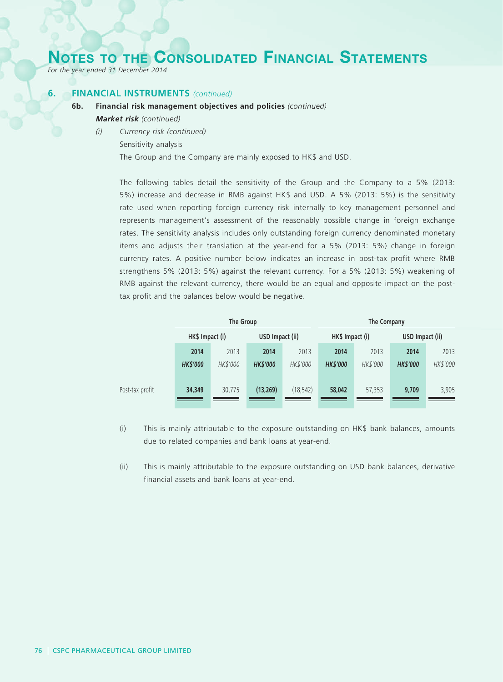*For the year ended 31 December 2014*

#### **6. FINANCIAL INSTRUMENTS** *(continued)*

# **6b. Financial risk management objectives and policies** *(continued)*

- *Market risk (continued)*
- *(i) Currency risk (continued)*

Sensitivity analysis

The Group and the Company are mainly exposed to HK\$ and USD.

The following tables detail the sensitivity of the Group and the Company to a 5% (2013: 5%) increase and decrease in RMB against HK\$ and USD. A 5% (2013: 5%) is the sensitivity rate used when reporting foreign currency risk internally to key management personnel and represents management's assessment of the reasonably possible change in foreign exchange rates. The sensitivity analysis includes only outstanding foreign currency denominated monetary items and adjusts their translation at the year-end for a 5% (2013: 5%) change in foreign currency rates. A positive number below indicates an increase in post-tax profit where RMB strengthens 5% (2013: 5%) against the relevant currency. For a 5% (2013: 5%) weakening of RMB against the relevant currency, there would be an equal and opposite impact on the posttax profit and the balances below would be negative.

|                 |                 | The Group |                 |           | The Company     |          |                 |          |  |
|-----------------|-----------------|-----------|-----------------|-----------|-----------------|----------|-----------------|----------|--|
|                 | HK\$ Impact (i) |           | USD Impact (ii) |           | HK\$ Impact (i) |          | USD Impact (ii) |          |  |
|                 | 2014            | 2013      | 2014            | 2013      | 2014            | 2013     | 2014            | 2013     |  |
|                 | <b>HK\$'000</b> | HK\$'000  | <b>HK\$'000</b> | HK\$'000  | <b>HK\$'000</b> | HK\$'000 | <b>HK\$'000</b> | HK\$'000 |  |
|                 |                 |           |                 |           |                 |          |                 |          |  |
| Post-tax profit | 34,349          | 30,775    | (13, 269)       | (18, 542) | 58,042          | 57.353   | 9.709           | 3,905    |  |
|                 |                 |           |                 |           |                 |          |                 |          |  |

- (i) This is mainly attributable to the exposure outstanding on HK\$ bank balances, amounts due to related companies and bank loans at year-end.
- (ii) This is mainly attributable to the exposure outstanding on USD bank balances, derivative financial assets and bank loans at year-end.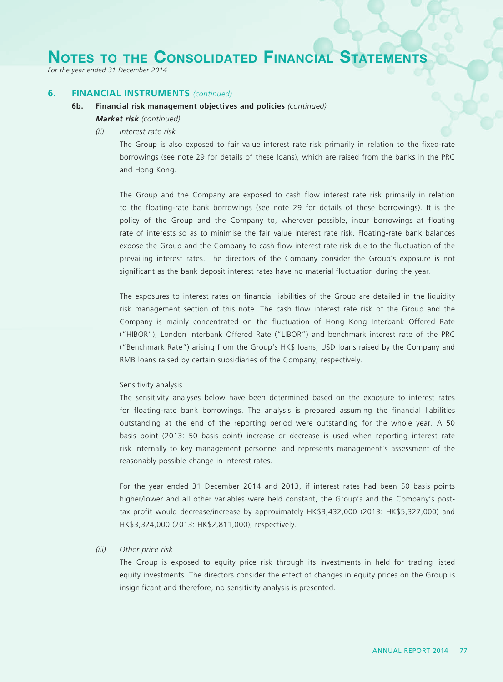*For the year ended 31 December 2014*

#### **6. FINANCIAL INSTRUMENTS** *(continued)*

### **6b. Financial risk management objectives and policies** *(continued)*

- *Market risk (continued)*
	- *(ii) Interest rate risk*

The Group is also exposed to fair value interest rate risk primarily in relation to the fixed-rate borrowings (see note 29 for details of these loans), which are raised from the banks in the PRC and Hong Kong.

The Group and the Company are exposed to cash flow interest rate risk primarily in relation to the floating-rate bank borrowings (see note 29 for details of these borrowings). It is the policy of the Group and the Company to, wherever possible, incur borrowings at floating rate of interests so as to minimise the fair value interest rate risk. Floating-rate bank balances expose the Group and the Company to cash flow interest rate risk due to the fluctuation of the prevailing interest rates. The directors of the Company consider the Group's exposure is not significant as the bank deposit interest rates have no material fluctuation during the year.

The exposures to interest rates on financial liabilities of the Group are detailed in the liquidity risk management section of this note. The cash flow interest rate risk of the Group and the Company is mainly concentrated on the fluctuation of Hong Kong Interbank Offered Rate ("HIBOR"), London Interbank Offered Rate ("LIBOR") and benchmark interest rate of the PRC ("Benchmark Rate") arising from the Group's HK\$ loans, USD loans raised by the Company and RMB loans raised by certain subsidiaries of the Company, respectively.

#### Sensitivity analysis

The sensitivity analyses below have been determined based on the exposure to interest rates for floating-rate bank borrowings. The analysis is prepared assuming the financial liabilities outstanding at the end of the reporting period were outstanding for the whole year. A 50 basis point (2013: 50 basis point) increase or decrease is used when reporting interest rate risk internally to key management personnel and represents management's assessment of the reasonably possible change in interest rates.

For the year ended 31 December 2014 and 2013, if interest rates had been 50 basis points higher/lower and all other variables were held constant, the Group's and the Company's posttax profit would decrease/increase by approximately HK\$3,432,000 (2013: HK\$5,327,000) and HK\$3,324,000 (2013: HK\$2,811,000), respectively.

#### *(iii) Other price risk*

The Group is exposed to equity price risk through its investments in held for trading listed equity investments. The directors consider the effect of changes in equity prices on the Group is insignificant and therefore, no sensitivity analysis is presented.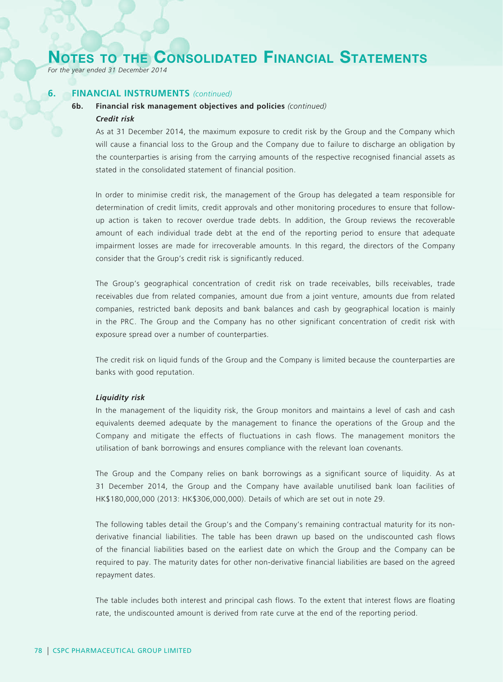*For the year ended 31 December 2014*

#### **6. FINANCIAL INSTRUMENTS** *(continued)*

### **6b. Financial risk management objectives and policies** *(continued) Credit risk*

As at 31 December 2014, the maximum exposure to credit risk by the Group and the Company which will cause a financial loss to the Group and the Company due to failure to discharge an obligation by the counterparties is arising from the carrying amounts of the respective recognised financial assets as stated in the consolidated statement of financial position.

In order to minimise credit risk, the management of the Group has delegated a team responsible for determination of credit limits, credit approvals and other monitoring procedures to ensure that followup action is taken to recover overdue trade debts. In addition, the Group reviews the recoverable amount of each individual trade debt at the end of the reporting period to ensure that adequate impairment losses are made for irrecoverable amounts. In this regard, the directors of the Company consider that the Group's credit risk is significantly reduced.

The Group's geographical concentration of credit risk on trade receivables, bills receivables, trade receivables due from related companies, amount due from a joint venture, amounts due from related companies, restricted bank deposits and bank balances and cash by geographical location is mainly in the PRC. The Group and the Company has no other significant concentration of credit risk with exposure spread over a number of counterparties.

The credit risk on liquid funds of the Group and the Company is limited because the counterparties are banks with good reputation.

#### *Liquidity risk*

In the management of the liquidity risk, the Group monitors and maintains a level of cash and cash equivalents deemed adequate by the management to finance the operations of the Group and the Company and mitigate the effects of fluctuations in cash flows. The management monitors the utilisation of bank borrowings and ensures compliance with the relevant loan covenants.

The Group and the Company relies on bank borrowings as a significant source of liquidity. As at 31 December 2014, the Group and the Company have available unutilised bank loan facilities of HK\$180,000,000 (2013: HK\$306,000,000). Details of which are set out in note 29.

The following tables detail the Group's and the Company's remaining contractual maturity for its nonderivative financial liabilities. The table has been drawn up based on the undiscounted cash flows of the financial liabilities based on the earliest date on which the Group and the Company can be required to pay. The maturity dates for other non-derivative financial liabilities are based on the agreed repayment dates.

The table includes both interest and principal cash flows. To the extent that interest flows are floating rate, the undiscounted amount is derived from rate curve at the end of the reporting period.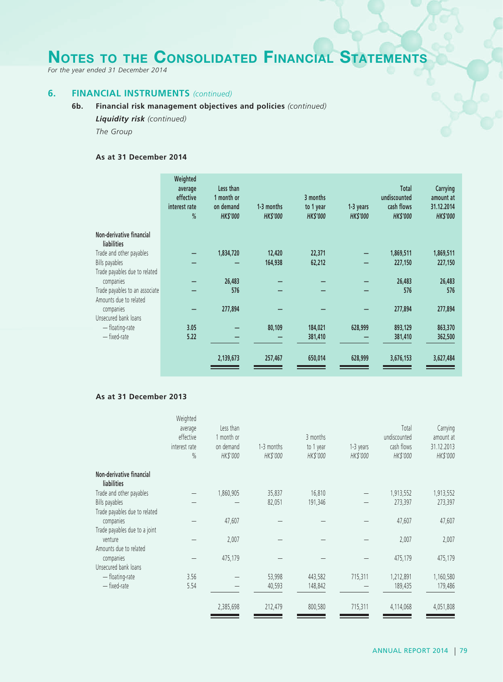*For the year ended 31 December 2014*

### **6. FINANCIAL INSTRUMENTS** *(continued)*

### **6b. Financial risk management objectives and policies** *(continued)*

*Liquidity risk (continued)*

*The Group*

### **As at 31 December 2014**

|                                                | Weighted<br>average<br>effective<br>interest rate<br>% | Less than<br>1 month or<br>on demand<br><b>HK\$'000</b> | 1-3 months<br><b>HK\$'000</b> | 3 months<br>to 1 year<br><b>HK\$'000</b> | 1-3 years<br><b>HK\$'000</b> | Total<br>undiscounted<br>cash flows<br><b>HK\$'000</b> | Carrying<br>amount at<br>31.12.2014<br><b>HK\$'000</b> |
|------------------------------------------------|--------------------------------------------------------|---------------------------------------------------------|-------------------------------|------------------------------------------|------------------------------|--------------------------------------------------------|--------------------------------------------------------|
| Non-derivative financial<br><b>liabilities</b> |                                                        |                                                         |                               |                                          |                              |                                                        |                                                        |
| Trade and other payables                       |                                                        | 1,834,720                                               | 12,420                        | 22,371                                   |                              | 1,869,511                                              | 1,869,511                                              |
| Bills payables                                 |                                                        |                                                         | 164,938                       | 62,212                                   |                              | 227,150                                                | 227,150                                                |
| Trade payables due to related                  |                                                        |                                                         |                               |                                          |                              |                                                        |                                                        |
| companies                                      |                                                        | 26,483                                                  |                               |                                          |                              | 26,483                                                 | 26,483                                                 |
| Trade payables to an associate                 |                                                        | 576                                                     |                               |                                          |                              | 576                                                    | 576                                                    |
| Amounts due to related                         |                                                        |                                                         |                               |                                          |                              |                                                        |                                                        |
| companies                                      |                                                        | 277,894                                                 |                               |                                          |                              | 277,894                                                | 277,894                                                |
| Unsecured bank loans                           |                                                        |                                                         |                               |                                          |                              |                                                        |                                                        |
| - floating-rate                                | 3.05                                                   |                                                         | 80,109                        | 184,021                                  | 628,999                      | 893,129                                                | 863,370                                                |
| - fixed-rate                                   | 5.22                                                   |                                                         |                               | 381,410                                  |                              | 381,410                                                | 362,500                                                |
|                                                |                                                        | 2,139,673                                               | 257,467                       | 650,014                                  | 628,999                      | 3,676,153                                              | 3,627,484                                              |

### **As at 31 December 2013**

|                                         | Weighted<br>average<br>effective<br>interest rate<br>$\frac{0}{0}$ | Less than<br>1 month or<br>on demand<br>HK\$'000 | 1-3 months<br>HK\$'000 | 3 months<br>to 1 year<br>HK\$'000 | 1-3 years<br>HK\$'000 | Total<br>undiscounted<br>cash flows<br>HK\$'000 | Carrying<br>amount at<br>31.12.2013<br>HK\$'000 |
|-----------------------------------------|--------------------------------------------------------------------|--------------------------------------------------|------------------------|-----------------------------------|-----------------------|-------------------------------------------------|-------------------------------------------------|
| Non-derivative financial<br>liabilities |                                                                    |                                                  |                        |                                   |                       |                                                 |                                                 |
| Trade and other payables                |                                                                    | 1,860,905                                        | 35,837                 | 16,810                            |                       | 1,913,552                                       | 1,913,552                                       |
| Bills payables                          |                                                                    |                                                  | 82,051                 | 191,346                           |                       | 273,397                                         | 273,397                                         |
| Trade payables due to related           |                                                                    |                                                  |                        |                                   |                       |                                                 |                                                 |
| companies                               |                                                                    | 47,607                                           |                        |                                   |                       | 47,607                                          | 47,607                                          |
| Trade payables due to a joint           |                                                                    |                                                  |                        |                                   |                       |                                                 |                                                 |
| venture                                 |                                                                    | 2,007                                            |                        |                                   |                       | 2,007                                           | 2,007                                           |
| Amounts due to related                  |                                                                    |                                                  |                        |                                   |                       |                                                 |                                                 |
| companies                               |                                                                    | 475,179                                          |                        |                                   |                       | 475,179                                         | 475,179                                         |
| Unsecured bank loans                    |                                                                    |                                                  |                        |                                   |                       |                                                 |                                                 |
| — floating-rate                         | 3.56                                                               |                                                  | 53,998                 | 443,582                           | 715,311               | 1,212,891                                       | 1,160,580                                       |
| - fixed-rate                            | 5.54                                                               |                                                  | 40,593                 | 148,842                           |                       | 189,435                                         | 179,486                                         |
|                                         |                                                                    | 2,385,698                                        | 212,479                | 800,580                           | 715,311               | 4,114,068                                       | 4,051,808                                       |
|                                         |                                                                    |                                                  |                        |                                   |                       |                                                 |                                                 |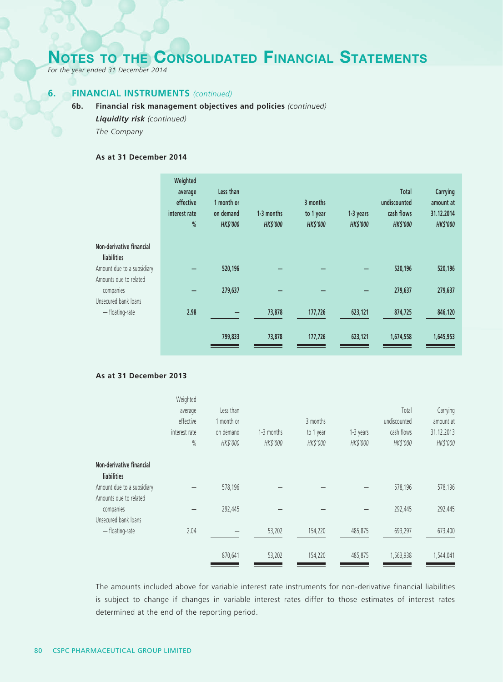*For the year ended 31 December 2014*

#### **6. FINANCIAL INSTRUMENTS** *(continued)*

## **6b. Financial risk management objectives and policies** *(continued)*

*Liquidity risk (continued)*

*The Company*

#### **As at 31 December 2014**

|                                                      | Weighted<br>average<br>effective<br>interest rate<br>$\%$ | Less than<br>1 month or<br>on demand<br><b>HK\$'000</b> | 1-3 months<br><b>HK\$'000</b> | 3 months<br>to 1 year<br><b>HK\$'000</b> | 1-3 years<br><b>HK\$'000</b> | Total<br>undiscounted<br>cash flows<br><b>HK\$'000</b> | Carrying<br>amount at<br>31.12.2014<br><b>HK\$'000</b> |
|------------------------------------------------------|-----------------------------------------------------------|---------------------------------------------------------|-------------------------------|------------------------------------------|------------------------------|--------------------------------------------------------|--------------------------------------------------------|
| Non-derivative financial<br><b>liabilities</b>       |                                                           |                                                         |                               |                                          |                              |                                                        |                                                        |
| Amount due to a subsidiary<br>Amounts due to related |                                                           | 520,196                                                 |                               |                                          |                              | 520,196                                                | 520,196                                                |
| companies<br>Unsecured bank loans                    |                                                           | 279,637                                                 |                               |                                          |                              | 279,637                                                | 279,637                                                |
| — floating-rate                                      | 2.98                                                      |                                                         | 73,878                        | 177,726                                  | 623,121                      | 874,725                                                | 846,120                                                |
|                                                      |                                                           | 799,833                                                 | 73,878                        | 177,726                                  | 623,121                      | 1,674,558                                              | 1,645,953                                              |

#### **As at 31 December 2013**

|                                                      | Weighted      |           |            |           |           |              |            |
|------------------------------------------------------|---------------|-----------|------------|-----------|-----------|--------------|------------|
|                                                      | average       | Less than |            |           |           | Total        | Carrying   |
|                                                      | effective     | month or  |            | 3 months  |           | undiscounted | amount at  |
|                                                      | interest rate | on demand | 1-3 months | to 1 year | 1-3 years | cash flows   | 31.12.2013 |
|                                                      | $\%$          | HK\$'000  | HK\$'000   | HK\$'000  | HK\$'000  | HK\$'000     | HK\$'000   |
| Non-derivative financial<br>liabilities              |               |           |            |           |           |              |            |
| Amount due to a subsidiary<br>Amounts due to related |               | 578,196   |            |           |           | 578,196      | 578,196    |
| companies<br>Unsecured bank loans                    |               | 292,445   |            |           |           | 292,445      | 292,445    |
| — floating-rate                                      | 2.04          |           | 53,202     | 154,220   | 485,875   | 693,297      | 673,400    |
|                                                      |               | 870,641   | 53,202     | 154,220   | 485,875   | 1,563,938    | 1,544,041  |

The amounts included above for variable interest rate instruments for non-derivative financial liabilities is subject to change if changes in variable interest rates differ to those estimates of interest rates determined at the end of the reporting period.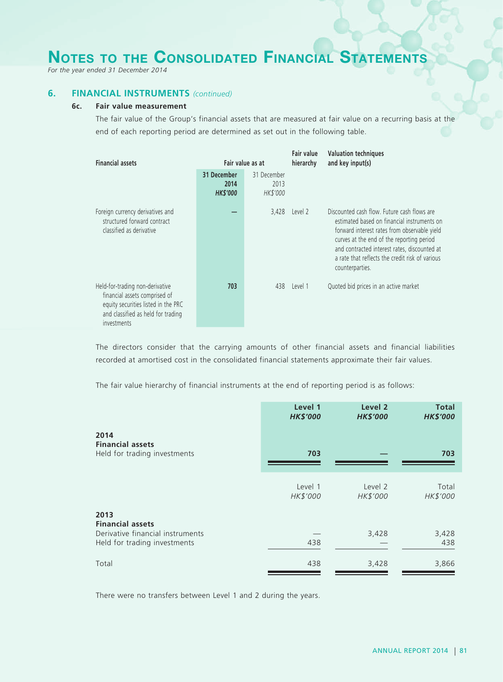*For the year ended 31 December 2014*

#### **6. FINANCIAL INSTRUMENTS** *(continued)*

#### **6c. Fair value measurement**

The fair value of the Group's financial assets that are measured at fair value on a recurring basis at the end of each reporting period are determined as set out in the following table.

| <b>Financial assets</b>                                                                                                                                      |                                        | Fair value as at                | Fair value<br>hierarchy | <b>Valuation techniques</b><br>and key input(s)                                                                                                                                                                                                                                                               |  |
|--------------------------------------------------------------------------------------------------------------------------------------------------------------|----------------------------------------|---------------------------------|-------------------------|---------------------------------------------------------------------------------------------------------------------------------------------------------------------------------------------------------------------------------------------------------------------------------------------------------------|--|
|                                                                                                                                                              | 31 December<br>2014<br><b>HK\$'000</b> | 31 December<br>2013<br>HK\$'000 |                         |                                                                                                                                                                                                                                                                                                               |  |
| Foreign currency derivatives and<br>structured forward contract<br>classified as derivative                                                                  |                                        | 3,428                           | Level 2                 | Discounted cash flow. Future cash flows are<br>estimated based on financial instruments on<br>forward interest rates from observable yield<br>curves at the end of the reporting period<br>and contracted interest rates, discounted at<br>a rate that reflects the credit risk of various<br>counterparties. |  |
| Held-for-trading non-derivative<br>financial assets comprised of<br>equity securities listed in the PRC<br>and classified as held for trading<br>investments | 703                                    | 438                             | Level 1                 | Quoted bid prices in an active market                                                                                                                                                                                                                                                                         |  |

The directors consider that the carrying amounts of other financial assets and financial liabilities recorded at amortised cost in the consolidated financial statements approximate their fair values.

The fair value hierarchy of financial instruments at the end of reporting period is as follows:

|                                                                                                     | Level 1<br><b>HK\$'000</b> | Level 2<br><b>HK\$'000</b> | <b>Total</b><br><b>HK\$'000</b> |
|-----------------------------------------------------------------------------------------------------|----------------------------|----------------------------|---------------------------------|
| 2014<br><b>Financial assets</b><br>Held for trading investments                                     | 703                        |                            | 703                             |
|                                                                                                     | Level 1<br>HK\$'000        | Level 2<br>HK\$'000        | Total<br>HK\$'000               |
| 2013<br><b>Financial assets</b><br>Derivative financial instruments<br>Held for trading investments | 438                        | 3,428                      | 3,428<br>438                    |
| Total                                                                                               | 438                        | 3,428                      | 3,866                           |

There were no transfers between Level 1 and 2 during the years.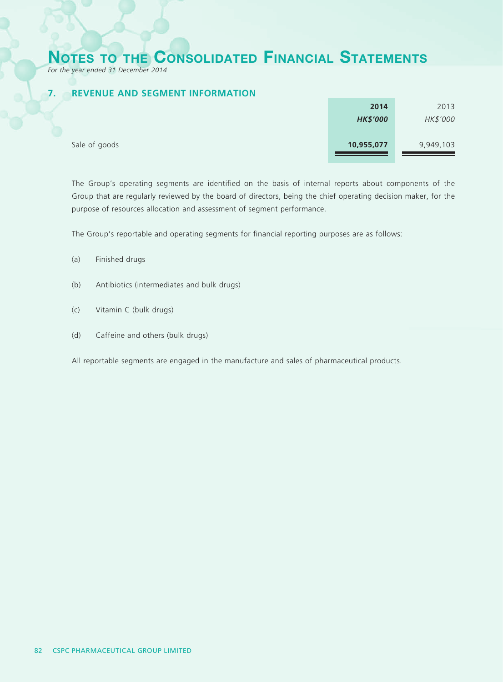*For the year ended 31 December 2014*

## **7. REVENUE AND SEGMENT INFORMATION**

|               | 2014            | 2013      |
|---------------|-----------------|-----------|
|               | <b>HK\$'000</b> | HK\$'000  |
|               |                 |           |
| Sale of goods | 10,955,077      | 9,949,103 |
|               |                 |           |

The Group's operating segments are identified on the basis of internal reports about components of the Group that are regularly reviewed by the board of directors, being the chief operating decision maker, for the purpose of resources allocation and assessment of segment performance.

The Group's reportable and operating segments for financial reporting purposes are as follows:

- (a) Finished drugs
- (b) Antibiotics (intermediates and bulk drugs)
- (c) Vitamin C (bulk drugs)
- (d) Caffeine and others (bulk drugs)

All reportable segments are engaged in the manufacture and sales of pharmaceutical products.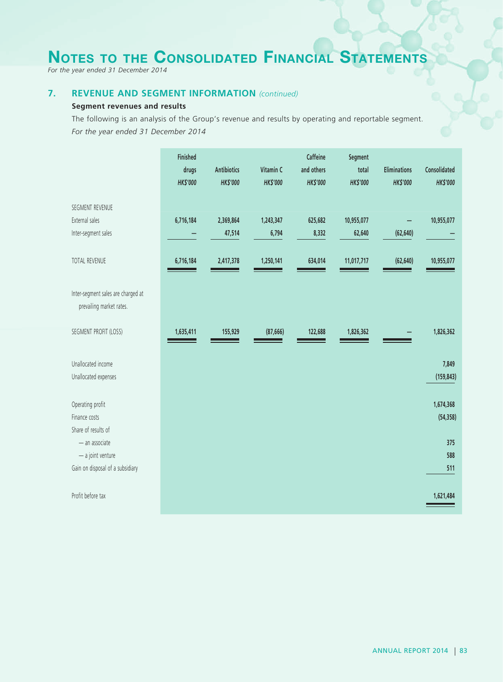*For the year ended 31 December 2014*

## **7. REVENUE AND SEGMENT INFORMATION** *(continued)*

## **Segment revenues and results**

The following is an analysis of the Group's revenue and results by operating and reportable segment. *For the year ended 31 December 2014*

|                                                                | <b>Finished</b><br>drugs<br><b>HK\$'000</b> | <b>Antibiotics</b><br><b>HK\$'000</b> | Vitamin C<br><b>HK\$'000</b> | Caffeine<br>and others<br><b>HK\$'000</b> | Segment<br>total<br><b>HK\$'000</b> | <b>Eliminations</b><br><b>HK\$'000</b> | Consolidated<br><b>HK\$'000</b> |
|----------------------------------------------------------------|---------------------------------------------|---------------------------------------|------------------------------|-------------------------------------------|-------------------------------------|----------------------------------------|---------------------------------|
| SEGMENT REVENUE<br>External sales                              | 6,716,184                                   | 2,369,864                             | 1,243,347                    | 625,682                                   | 10,955,077                          |                                        | 10,955,077                      |
| Inter-segment sales                                            |                                             | 47,514                                | 6,794                        | 8,332                                     | 62,640                              | (62, 640)                              |                                 |
| TOTAL REVENUE                                                  | 6,716,184                                   | 2,417,378                             | 1,250,141                    | 634,014                                   | 11,017,717                          | (62, 640)                              | 10,955,077                      |
| Inter-segment sales are charged at<br>prevailing market rates. |                                             |                                       |                              |                                           |                                     |                                        |                                 |
| SEGMENT PROFIT (LOSS)                                          | 1,635,411                                   | 155,929                               | (87, 666)                    | 122,688                                   | 1,826,362                           |                                        | 1,826,362                       |
| Unallocated income                                             |                                             |                                       |                              |                                           |                                     |                                        | 7,849                           |
| Unallocated expenses                                           |                                             |                                       |                              |                                           |                                     |                                        | (159, 843)                      |
| Operating profit                                               |                                             |                                       |                              |                                           |                                     |                                        | 1,674,368                       |
| Finance costs<br>Share of results of                           |                                             |                                       |                              |                                           |                                     |                                        | (54, 358)                       |
| - an associate                                                 |                                             |                                       |                              |                                           |                                     |                                        | 375                             |
| - a joint venture                                              |                                             |                                       |                              |                                           |                                     |                                        | 588                             |
| Gain on disposal of a subsidiary                               |                                             |                                       |                              |                                           |                                     |                                        | 511                             |
| Profit before tax                                              |                                             |                                       |                              |                                           |                                     |                                        | 1,621,484                       |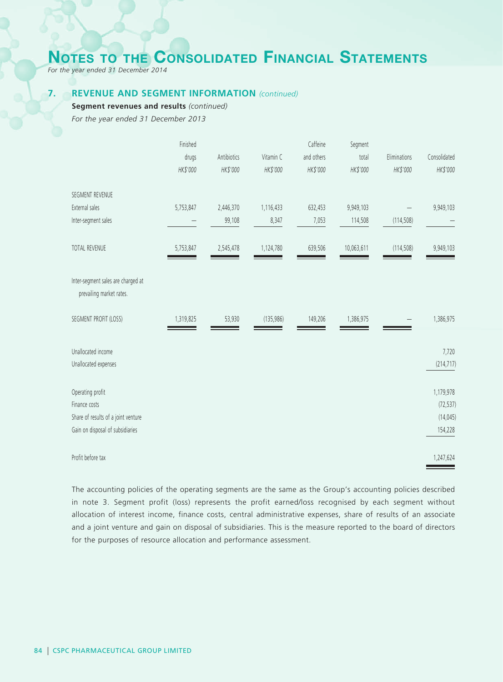*For the year ended 31 December 2014*

#### **7. REVENUE AND SEGMENT INFORMATION** *(continued)*

**Segment revenues and results** *(continued)*

*For the year ended 31 December 2013*

|                                                                                                              | Finished<br>drugs<br>HK\$'000 | Antibiotics<br>HK\$'000 | Vitamin C<br>HK\$'000 | Caffeine<br>and others<br>HK\$'000 | Segment<br>total<br>HK\$'000 | Eliminations<br>HK\$'000 | Consolidated<br>HK\$'000                       |
|--------------------------------------------------------------------------------------------------------------|-------------------------------|-------------------------|-----------------------|------------------------------------|------------------------------|--------------------------|------------------------------------------------|
| SEGMENT REVENUE<br>External sales<br>Inter-segment sales                                                     | 5,753,847                     | 2,446,370<br>99,108     | 1,116,433<br>8,347    | 632,453<br>7,053                   | 9,949,103<br>114,508         | (114, 508)               | 9,949,103                                      |
| TOTAL REVENUE                                                                                                | 5,753,847                     | 2,545,478               | 1,124,780             | 639,506                            | 10,063,611                   | (114, 508)               | 9,949,103                                      |
| Inter-segment sales are charged at<br>prevailing market rates.                                               |                               |                         |                       |                                    |                              |                          |                                                |
| SEGMENT PROFIT (LOSS)                                                                                        | 1,319,825                     | 53,930                  | (135, 986)            | 149,206                            | 1,386,975                    |                          | 1,386,975                                      |
| Unallocated income<br>Unallocated expenses                                                                   |                               |                         |                       |                                    |                              |                          | 7,720<br>(214, 717)                            |
| Operating profit<br>Finance costs<br>Share of results of a joint venture<br>Gain on disposal of subsidiaries |                               |                         |                       |                                    |                              |                          | 1,179,978<br>(72, 537)<br>(14, 045)<br>154,228 |
| Profit before tax                                                                                            |                               |                         |                       |                                    |                              |                          | 1,247,624                                      |

The accounting policies of the operating segments are the same as the Group's accounting policies described in note 3. Segment profit (loss) represents the profit earned/loss recognised by each segment without allocation of interest income, finance costs, central administrative expenses, share of results of an associate and a joint venture and gain on disposal of subsidiaries. This is the measure reported to the board of directors for the purposes of resource allocation and performance assessment.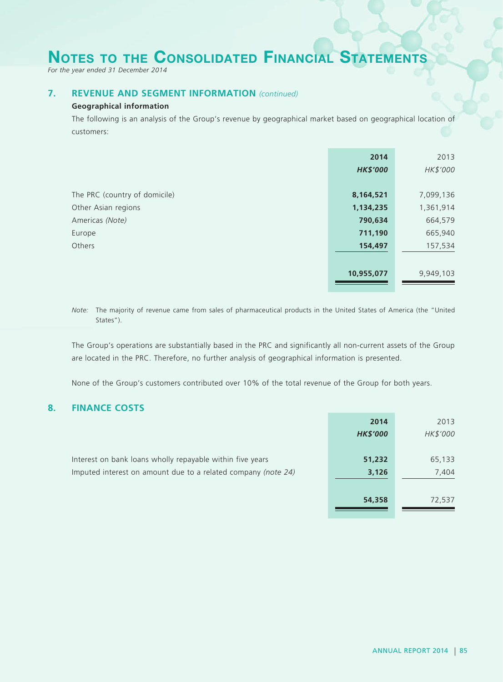*For the year ended 31 December 2014*

## **7. REVENUE AND SEGMENT INFORMATION** *(continued)*

#### **Geographical information**

The following is an analysis of the Group's revenue by geographical market based on geographical location of customers:

|                               | 2014            | 2013      |
|-------------------------------|-----------------|-----------|
|                               | <b>HK\$'000</b> | HK\$'000  |
|                               |                 |           |
| The PRC (country of domicile) | 8,164,521       | 7,099,136 |
| Other Asian regions           | 1,134,235       | 1,361,914 |
| Americas (Note)               | 790,634         | 664,579   |
| Europe                        | 711,190         | 665,940   |
| Others                        | 154,497         | 157,534   |
|                               |                 |           |
|                               | 10,955,077      | 9,949,103 |

*Note:* The majority of revenue came from sales of pharmaceutical products in the United States of America (the "United States").

The Group's operations are substantially based in the PRC and significantly all non-current assets of the Group are located in the PRC. Therefore, no further analysis of geographical information is presented.

None of the Group's customers contributed over 10% of the total revenue of the Group for both years.

## **8. FINANCE COSTS**

|                                                               | 2014            | 2013     |
|---------------------------------------------------------------|-----------------|----------|
|                                                               | <b>HK\$'000</b> | HK\$'000 |
|                                                               |                 |          |
| Interest on bank loans wholly repayable within five years     | 51,232          | 65,133   |
| Imputed interest on amount due to a related company (note 24) | 3,126           | 7,404    |
|                                                               |                 |          |
|                                                               | 54,358          | 72.537   |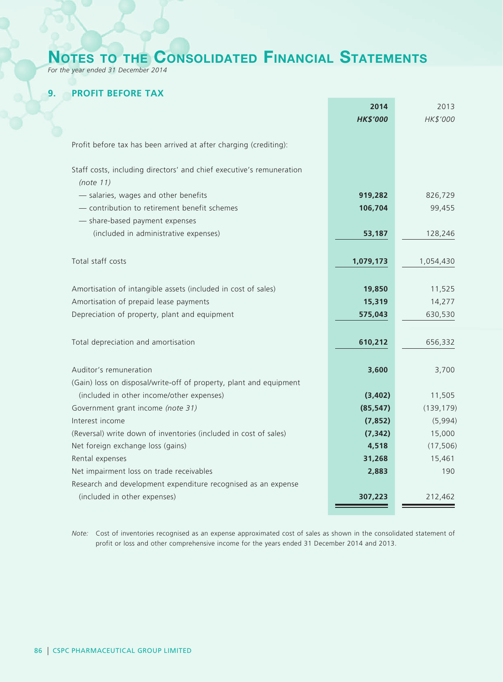*For the year ended 31 December 2014*

# **9. PROFIT BEFORE TAX**

|                                                                                   | 2014            | 2013       |
|-----------------------------------------------------------------------------------|-----------------|------------|
|                                                                                   | <b>HK\$'000</b> | HK\$'000   |
|                                                                                   |                 |            |
| Profit before tax has been arrived at after charging (crediting):                 |                 |            |
| Staff costs, including directors' and chief executive's remuneration<br>(note 11) |                 |            |
| - salaries, wages and other benefits                                              | 919,282         | 826,729    |
| - contribution to retirement benefit schemes                                      | 106,704         | 99,455     |
| - share-based payment expenses                                                    |                 |            |
| (included in administrative expenses)                                             | 53,187          | 128,246    |
|                                                                                   |                 |            |
| Total staff costs                                                                 | 1,079,173       | 1,054,430  |
|                                                                                   |                 |            |
| Amortisation of intangible assets (included in cost of sales)                     | 19,850          | 11,525     |
| Amortisation of prepaid lease payments                                            | 15,319          | 14,277     |
| Depreciation of property, plant and equipment                                     | 575,043         | 630,530    |
|                                                                                   |                 |            |
| Total depreciation and amortisation                                               | 610,212         | 656,332    |
|                                                                                   |                 |            |
| Auditor's remuneration                                                            |                 | 3,700      |
| (Gain) loss on disposal/write-off of property, plant and equipment                | 3,600           |            |
| (included in other income/other expenses)                                         | (3,402)         | 11,505     |
| Government grant income (note 31)                                                 | (85, 547)       | (139, 179) |
| Interest income                                                                   | (7, 852)        | (5,994)    |
| (Reversal) write down of inventories (included in cost of sales)                  | (7, 342)        | 15,000     |
| Net foreign exchange loss (gains)                                                 | 4,518           | (17, 506)  |
| Rental expenses                                                                   | 31,268          | 15,461     |
| Net impairment loss on trade receivables                                          | 2,883           | 190        |
| Research and development expenditure recognised as an expense                     |                 |            |
| (included in other expenses)                                                      | 307,223         | 212,462    |
|                                                                                   |                 |            |

*Note:* Cost of inventories recognised as an expense approximated cost of sales as shown in the consolidated statement of profit or loss and other comprehensive income for the years ended 31 December 2014 and 2013.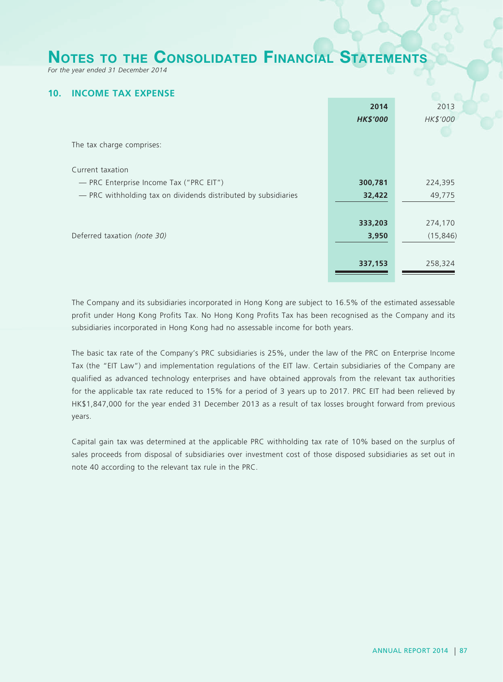*For the year ended 31 December 2014*

## **10. INCOME TAX EXPENSE**

|                                                                | 2014            | 2013      |
|----------------------------------------------------------------|-----------------|-----------|
|                                                                | <b>HK\$'000</b> | HK\$'000  |
|                                                                |                 |           |
| The tax charge comprises:                                      |                 |           |
|                                                                |                 |           |
| Current taxation                                               |                 |           |
| - PRC Enterprise Income Tax ("PRC EIT")                        | 300,781         | 224,395   |
| - PRC withholding tax on dividends distributed by subsidiaries | 32,422          | 49,775    |
|                                                                |                 |           |
|                                                                | 333,203         | 274,170   |
| Deferred taxation (note 30)                                    | 3,950           | (15, 846) |
|                                                                |                 |           |
|                                                                | 337,153         | 258,324   |
|                                                                |                 |           |

The Company and its subsidiaries incorporated in Hong Kong are subject to 16.5% of the estimated assessable profit under Hong Kong Profits Tax. No Hong Kong Profits Tax has been recognised as the Company and its subsidiaries incorporated in Hong Kong had no assessable income for both years.

The basic tax rate of the Company's PRC subsidiaries is 25%, under the law of the PRC on Enterprise Income Tax (the "EIT Law") and implementation regulations of the EIT law. Certain subsidiaries of the Company are qualified as advanced technology enterprises and have obtained approvals from the relevant tax authorities for the applicable tax rate reduced to 15% for a period of 3 years up to 2017. PRC EIT had been relieved by HK\$1,847,000 for the year ended 31 December 2013 as a result of tax losses brought forward from previous years.

Capital gain tax was determined at the applicable PRC withholding tax rate of 10% based on the surplus of sales proceeds from disposal of subsidiaries over investment cost of those disposed subsidiaries as set out in note 40 according to the relevant tax rule in the PRC.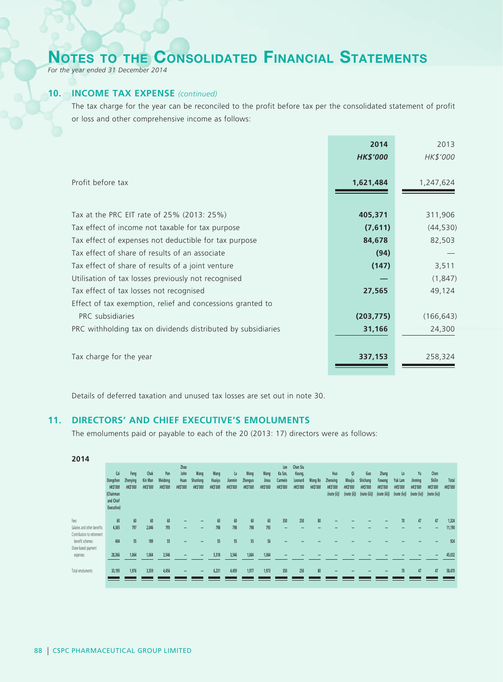*For the year ended 31 December 2014*

#### **10. INCOME TAX EXPENSE** *(continued)*

The tax charge for the year can be reconciled to the profit before tax per the consolidated statement of profit or loss and other comprehensive income as follows:

|                                                              | 2014<br><b>HK\$'000</b> | 2013<br>HK\$'000 |
|--------------------------------------------------------------|-------------------------|------------------|
| Profit before tax                                            | 1,621,484               | 1,247,624        |
| Tax at the PRC EIT rate of 25% (2013: 25%)                   | 405,371                 | 311,906          |
| Tax effect of income not taxable for tax purpose             | (7,611)                 | (44, 530)        |
| Tax effect of expenses not deductible for tax purpose        | 84,678                  | 82,503           |
| Tax effect of share of results of an associate               | (94)                    |                  |
| Tax effect of share of results of a joint venture            | (147)                   | 3,511            |
| Utilisation of tax losses previously not recognised          |                         | (1, 847)         |
| Tax effect of tax losses not recognised                      | 27,565                  | 49,124           |
| Effect of tax exemption, relief and concessions granted to   |                         |                  |
| PRC subsidiaries                                             | (203, 775)              | (166, 643)       |
| PRC withholding tax on dividends distributed by subsidiaries | 31,166                  | 24,300           |
| Tax charge for the year                                      | 337,153                 | 258,324          |

Details of deferred taxation and unused tax losses are set out in note 30.

## **11. DIRECTORS' AND CHIEF EXECUTIVE'S EMOLUMENTS**

The emoluments paid or payable to each of the 20 (2013: 17) directors were as follows:

|                                                                   | Cai<br>Dongchen<br><b>HKS'000</b><br>(Chairman<br>and Chief<br>Executive) | Feng<br>Zhenving<br><b>HKS'000</b> | Chak<br>Kin Man<br><b>HKS'000</b> | Pan<br>Weidong<br><b>HK\$'000</b> | Zhao<br>John<br>Huan<br><b>HK\$'000</b> | Wang<br>Shunlong<br><b>HK\$'000</b> | Wang<br>Huaiyu<br><b>HK\$'000</b> | Lu<br>Jianmin<br><b>HK\$'000</b> | Wang<br>Zhenguo<br><b>HK\$'000</b> | Wang<br><b>Jinxu</b><br><b>HK\$'000</b> | Lee<br>Ka Sze,<br>Carmelo<br><b>HK\$'000</b> | Chan Siu<br>Keung,<br>Leonard<br><b>HK\$'000</b> | Wang Bo<br><b>HK\$'000</b> | Huo<br>Zhenxing<br><b>HK\$'000</b><br>(note (ii)) | Qi<br>Moujia<br><b>HKS'000</b><br>(note (ii)) | Guo<br>Shichang<br><b>HKS'000</b><br>(note (iii)) | Zhang<br>Fawang<br><b>HKS'000</b><br>(note (iii)) | Lo<br>Yuk Lam<br><b>HKS'000</b><br>(note (iv)) | Yu<br>Jinmina<br><b>HK\$'000</b><br>(note (iv)) | Chen<br>Shilin<br><b>HK\$'000</b><br>(note (iv)) | Total<br><b>HKS'000</b> |
|-------------------------------------------------------------------|---------------------------------------------------------------------------|------------------------------------|-----------------------------------|-----------------------------------|-----------------------------------------|-------------------------------------|-----------------------------------|----------------------------------|------------------------------------|-----------------------------------------|----------------------------------------------|--------------------------------------------------|----------------------------|---------------------------------------------------|-----------------------------------------------|---------------------------------------------------|---------------------------------------------------|------------------------------------------------|-------------------------------------------------|--------------------------------------------------|-------------------------|
| Fees<br>Salaries and other benefits<br>Contribution to retirement | 60<br>4.365                                                               | 60<br>797                          | 60<br>2.046                       | 60<br>795                         | -                                       |                                     | 60<br>798                         | 60<br>798                        | 60<br>798                          | 60<br>793                               | 350<br>-                                     | 250                                              | 80                         |                                                   |                                               |                                                   |                                                   | 70                                             | 47                                              | 47<br>$\overline{\phantom{0}}$                   | 1,324<br>11,190         |
| benefit schemes<br>Share-based payment<br>expenses                | 404<br>28,366                                                             | 55<br>1,064                        | 189<br>1,064                      | 55<br>3,546                       |                                         |                                     | 55<br>5,318                       | 55<br>3,546                      | 55<br>1,064                        | 56<br>1,064                             |                                              |                                                  |                            |                                                   |                                               |                                                   |                                                   |                                                |                                                 |                                                  | 924<br>45,032           |
| Total emoluments                                                  | 33,195                                                                    | 1,976                              | 3,359                             | 4,456                             |                                         |                                     | 6,231                             | 4,459                            | 1,977                              | 1,973                                   | 350                                          | 250                                              | 80                         |                                                   |                                               |                                                   |                                                   | 70                                             | 47                                              | 47                                               | 58,470                  |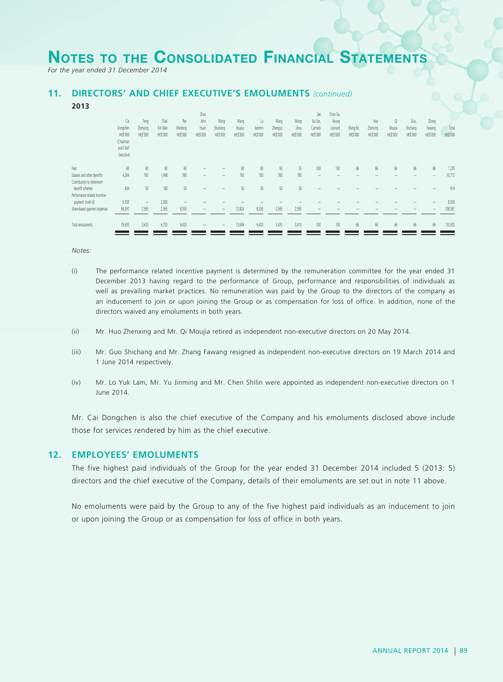*For the year ended 31 December 2014*

### **11. DIRECTORS' AND CHIEF EXECUTIVE'S EMOLUMENTS** *(continued)*

| ZU 13                                                     | Cai<br>Dongchen<br>HK\$'000<br>(Chairman<br>and Chief<br>Executive) | Feng<br>Zhenying<br>HK\$'000 | Chak<br>Kin Man<br>HK\$'000 | Pan<br>Weidong<br>HK\$'000 | Zhao<br>John<br>Huan<br>HK\$'000 | Wang<br>Shunlong<br>HK\$'000 | Wang<br>Huaiyu<br>HK\$'000 | Lu<br>Jianmin<br>HK\$'000 | Wang<br>Zhenguo<br>HK\$'000 | Wang<br>Jinxu<br>HK\$'000 | Lee<br>Ka Sze,<br>Carmelo<br>HK\$'000 | Chan Siu<br>Keung<br>Leonard<br>HK\$'000 | Wang Bo<br>HK\$'000 | Huo<br>Zhenxing<br>HK\$'000 | 0i<br>Moujia<br>HK\$'000 | Guo<br>Shichang<br>HK\$'000 | Zhang<br>Fawang<br>HK\$'000 | Total<br>HK\$'000 |
|-----------------------------------------------------------|---------------------------------------------------------------------|------------------------------|-----------------------------|----------------------------|----------------------------------|------------------------------|----------------------------|---------------------------|-----------------------------|---------------------------|---------------------------------------|------------------------------------------|---------------------|-----------------------------|--------------------------|-----------------------------|-----------------------------|-------------------|
| Fees                                                      | 60                                                                  | 60                           | 60                          | 60                         | $\overline{\phantom{0}}$         |                              | 60                         | 60                        | 60                          | 35                        | 300                                   | 150                                      | 66                  | 66                          | 66                       | 66                          | 66                          | 1,235             |
| Salaries and other benefits<br>Contribution to retirement | 4,264                                                               | 760                          | 1,948                       | 760                        | $\qquad \qquad -$                | $\qquad \qquad -$            | 760                        | 760                       | 760                         | 760                       | $\qquad \qquad -$                     | -                                        |                     |                             |                          | $\overline{\phantom{a}}$    | $\qquad \qquad -$           | 10,772            |
| benefit schemes<br>Performance related incentive          | 434                                                                 | 50                           | 180                         | 50                         | $\qquad \qquad -$                |                              | 50                         | 50                        | 50                          | 50                        |                                       |                                          |                     |                             |                          |                             | -                           | 914               |
| payment (note (i))                                        | 6,500                                                               | $\overline{\phantom{m}}$     | 2,000                       | $\qquad \qquad -$          |                                  |                              |                            |                           |                             |                           |                                       |                                          |                     |                             |                          |                             | $\overline{\phantom{0}}$    | 8,500             |
| Share-based payment expenses                              | 68,397                                                              | 2,565                        | 2,565                       | 8,550                      | $\qquad \qquad -$                | $\qquad \qquad -$            | 12,824                     | 8,550                     | 2,565                       | 2,565                     | $\qquad \qquad -$                     |                                          |                     |                             |                          |                             | $\qquad \qquad -$           | 108,581           |
| Total emoluments                                          | 79,655                                                              | 3,435                        | 6,753                       | 9,420                      | $\qquad \qquad$                  |                              | 13,694                     | 9,420                     | 3,435                       | 3,410                     | 300                                   | 150                                      | 66                  | 66                          | 66                       | 66                          | 66                          | 130,002           |

*Notes:*

**2013**

- (i) The performance related incentive payment is determined by the remuneration committee for the year ended 31 December 2013 having regard to the performance of Group, performance and responsibilities of individuals as well as prevailing market practices. No remuneration was paid by the Group to the directors of the company as an inducement to join or upon joining the Group or as compensation for loss of office. In addition, none of the directors waived any emoluments in both years.
- (ii) Mr. Huo Zhenxing and Mr. Qi Moujia retired as independent non-executive directors on 20 May 2014.
- (iii) Mr. Guo Shichang and Mr. Zhang Fawang resigned as independent non-executive directors on 19 March 2014 and 1 June 2014 respectively.
- (iv) Mr. Lo Yuk Lam, Mr. Yu Jinming and Mr. Chen Shilin were appointed as independent non-executive directors on 1 June 2014.

Mr. Cai Dongchen is also the chief executive of the Company and his emoluments disclosed above include those for services rendered by him as the chief executive.

#### **12. EMPLOYEES' EMOLUMENTS**

The five highest paid individuals of the Group for the year ended 31 December 2014 included 5 (2013: 5) directors and the chief executive of the Company, details of their emoluments are set out in note 11 above.

No emoluments were paid by the Group to any of the five highest paid individuals as an inducement to join or upon joining the Group or as compensation for loss of office in both years.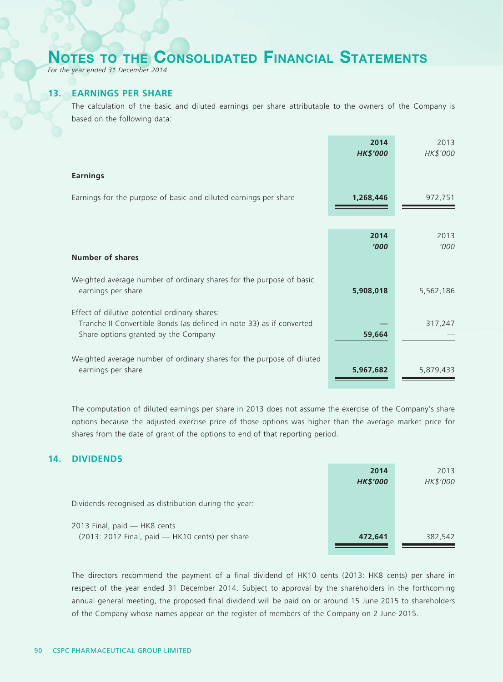*For the year ended 31 December 2014*

#### **13. EARNINGS PER SHARE**

The calculation of the basic and diluted earnings per share attributable to the owners of the Company is based on the following data:

|                                                                                                                                                               | 2014<br><b>HK\$'000</b> | 2013<br>HK\$'000 |
|---------------------------------------------------------------------------------------------------------------------------------------------------------------|-------------------------|------------------|
| <b>Earnings</b>                                                                                                                                               |                         |                  |
| Earnings for the purpose of basic and diluted earnings per share                                                                                              | 1,268,446               | 972,751          |
|                                                                                                                                                               | 2014<br>'000            | 2013<br>'000     |
| <b>Number of shares</b>                                                                                                                                       |                         |                  |
| Weighted average number of ordinary shares for the purpose of basic<br>earnings per share                                                                     | 5,908,018               | 5,562,186        |
| Effect of dilutive potential ordinary shares:<br>Tranche II Convertible Bonds (as defined in note 33) as if converted<br>Share options granted by the Company | 59,664                  | 317,247          |
| Weighted average number of ordinary shares for the purpose of diluted<br>earnings per share                                                                   | 5,967,682               | 5,879,433        |

The computation of diluted earnings per share in 2013 does not assume the exercise of the Company's share options because the adjusted exercise price of those options was higher than the average market price for shares from the date of grant of the options to end of that reporting period.

## **14. DIVIDENDS**

|                                                                                 | 2014            | 2013     |
|---------------------------------------------------------------------------------|-----------------|----------|
|                                                                                 | <b>HK\$'000</b> | HK\$'000 |
| Dividends recognised as distribution during the year:                           |                 |          |
| 2013 Final, paid - HK8 cents<br>(2013: 2012 Final, paid - HK10 cents) per share | 472,641         | 382,542  |

The directors recommend the payment of a final dividend of HK10 cents (2013: HK8 cents) per share in respect of the year ended 31 December 2014. Subject to approval by the shareholders in the forthcoming annual general meeting, the proposed final dividend will be paid on or around 15 June 2015 to shareholders of the Company whose names appear on the register of members of the Company on 2 June 2015.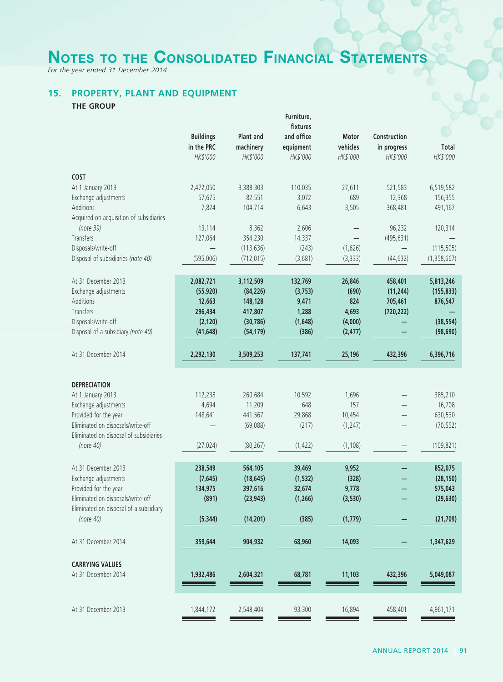*For the year ended 31 December 2014*

# **15. PROPERTY, PLANT AND EQUIPMENT**

## **THE GROUP**

|                                                                                                                                                                                          | <b>Buildings</b><br>in the PRC<br>HK\$'000                           | Plant and<br>machinery<br>HK\$'000                                     | Furniture,<br>fixtures<br>and office<br>equipment<br>HK\$'000 | Motor<br>vehicles<br>HK\$'000                          | Construction<br>in progress<br>HK\$'000       | Total<br>HK\$'000                                            |
|------------------------------------------------------------------------------------------------------------------------------------------------------------------------------------------|----------------------------------------------------------------------|------------------------------------------------------------------------|---------------------------------------------------------------|--------------------------------------------------------|-----------------------------------------------|--------------------------------------------------------------|
| COST<br>At 1 January 2013<br>Exchange adjustments<br>Additions                                                                                                                           | 2,472,050<br>57,675<br>7,824                                         | 3,388,303<br>82,551<br>104,714                                         | 110,035<br>3,072<br>6,643                                     | 27,611<br>689<br>3,505                                 | 521,583<br>12,368<br>368,481                  | 6,519,582<br>156,355<br>491,167                              |
| Acquired on acquisition of subsidiaries<br>(note 39)<br>Transfers<br>Disposals/write-off<br>Disposal of subsidiaries (note 40)                                                           | 13,114<br>127,064<br>(595,006)                                       | 8,362<br>354,230<br>(113, 636)<br>(712, 015)                           | 2,606<br>14,337<br>(243)<br>(3,681)                           | (1,626)<br>(3, 333)                                    | 96,232<br>(495, 631)<br>(44, 632)             | 120,314<br>(115, 505)<br>(1, 358, 667)                       |
| At 31 December 2013<br>Exchange adjustments<br>Additions<br>Transfers<br>Disposals/write-off<br>Disposal of a subsidiary (note 40)                                                       | 2,082,721<br>(55, 920)<br>12,663<br>296,434<br>(2, 120)<br>(41, 648) | 3,112,509<br>(84, 226)<br>148,128<br>417,807<br>(30, 786)<br>(54, 179) | 132,769<br>(3,753)<br>9,471<br>1,288<br>(1,648)<br>(386)      | 26,846<br>(690)<br>824<br>4,693<br>(4,000)<br>(2, 477) | 458,401<br>(11, 244)<br>705,461<br>(720, 222) | 5,813,246<br>(155, 833)<br>876,547<br>(38, 554)<br>(98, 690) |
| At 31 December 2014                                                                                                                                                                      | 2,292,130                                                            | 3,509,253                                                              | 137,741                                                       | 25,196                                                 | 432,396                                       | 6,396,716                                                    |
| <b>DEPRECIATION</b><br>At 1 January 2013<br>Exchange adjustments<br>Provided for the year<br>Eliminated on disposals/write-off<br>Eliminated on disposal of subsidiaries<br>(note $40$ ) | 112,238<br>4,694<br>148,641<br>(27, 024)                             | 260,684<br>11,209<br>441,567<br>(69, 088)<br>(80, 267)                 | 10,592<br>648<br>29,868<br>(217)<br>(1, 422)                  | 1,696<br>157<br>10,454<br>(1, 247)<br>(1, 108)         |                                               | 385,210<br>16,708<br>630,530<br>(70, 552)<br>(109, 821)      |
| At 31 December 2013<br>Exchange adjustments<br>Provided for the year<br>Eliminated on disposals/write-off<br>Eliminated on disposal of a subsidiary<br>(note 40)                         | 238,549<br>(7, 645)<br>134,975<br>(891)<br>(5, 344)                  | 564,105<br>(18, 645)<br>397,616<br>(23, 943)<br>(14, 201)              | 39,469<br>(1, 532)<br>32,674<br>(1, 266)<br>(385)             | 9,952<br>(328)<br>9,778<br>(3,530)<br>(1,779)          |                                               | 852,075<br>(28, 150)<br>575,043<br>(29, 630)<br>(21, 709)    |
| At 31 December 2014                                                                                                                                                                      | 359,644                                                              | 904,932                                                                | 68,960                                                        | 14,093                                                 |                                               | 1,347,629                                                    |
| <b>CARRYING VALUES</b><br>At 31 December 2014                                                                                                                                            | 1,932,486                                                            | 2,604,321                                                              | 68,781                                                        | 11,103                                                 | 432,396                                       | 5,049,087                                                    |
| At 31 December 2013                                                                                                                                                                      | 1,844,172                                                            | 2,548,404                                                              | 93,300                                                        | 16,894                                                 | 458,401                                       | 4,961,171                                                    |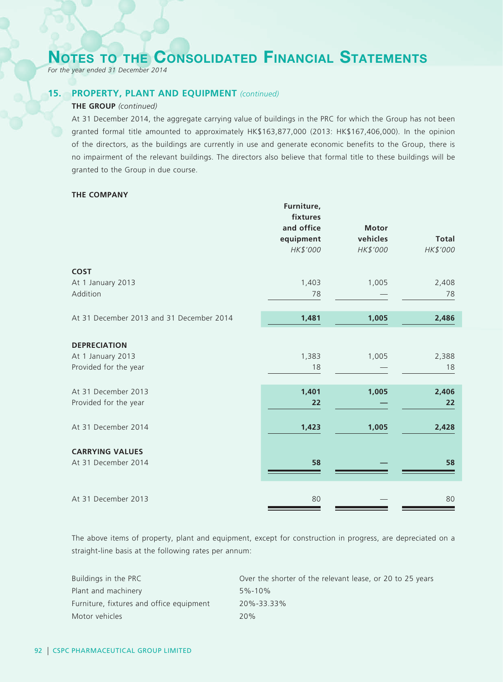*For the year ended 31 December 2014*

## **15. PROPERTY, PLANT AND EQUIPMENT** *(continued)*

#### **THE GROUP** *(continued)*

At 31 December 2014, the aggregate carrying value of buildings in the PRC for which the Group has not been granted formal title amounted to approximately HK\$163,877,000 (2013: HK\$167,406,000). In the opinion of the directors, as the buildings are currently in use and generate economic benefits to the Group, there is no impairment of the relevant buildings. The directors also believe that formal title to these buildings will be granted to the Group in due course.

#### **THE COMPANY**

|                                                                   | Furniture,<br>fixtures<br>and office<br>equipment<br>HK\$'000 | <b>Motor</b><br>vehicles<br>HK\$'000 | <b>Total</b><br>HK\$'000 |
|-------------------------------------------------------------------|---------------------------------------------------------------|--------------------------------------|--------------------------|
| <b>COST</b>                                                       |                                                               |                                      |                          |
| At 1 January 2013                                                 | 1,403                                                         | 1,005                                | 2,408                    |
| Addition                                                          | 78                                                            |                                      | 78                       |
| At 31 December 2013 and 31 December 2014                          | 1,481                                                         | 1,005                                | 2,486                    |
| <b>DEPRECIATION</b><br>At 1 January 2013<br>Provided for the year | 1,383<br>18                                                   | 1,005                                | 2,388<br>18              |
| At 31 December 2013<br>Provided for the year                      | 1,401<br>22                                                   | 1,005                                | 2,406<br>22              |
| At 31 December 2014                                               | 1,423                                                         | 1,005                                | 2,428                    |
| <b>CARRYING VALUES</b>                                            |                                                               |                                      |                          |
| At 31 December 2014                                               | 58                                                            |                                      | 58                       |
| At 31 December 2013                                               | 80                                                            |                                      | 80                       |

The above items of property, plant and equipment, except for construction in progress, are depreciated on a straight-line basis at the following rates per annum:

| Buildings in the PRC                     | Over the shorter of the relevant lease, or 20 to 25 years |
|------------------------------------------|-----------------------------------------------------------|
| Plant and machinery                      | $5\% - 10\%$                                              |
| Furniture, fixtures and office equipment | 20%-33.33%                                                |
| Motor vehicles                           | 20%                                                       |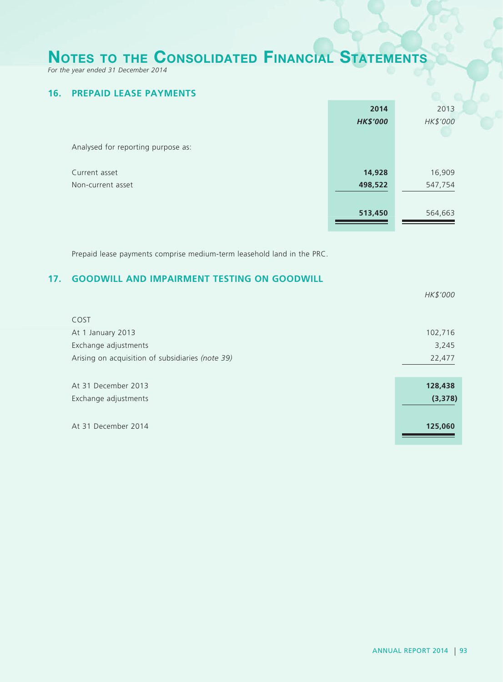*For the year ended 31 December 2014*

# **16. PREPAID LEASE PAYMENTS**

|                                    | 2014            | 2013     |
|------------------------------------|-----------------|----------|
|                                    | <b>HK\$'000</b> | HK\$'000 |
|                                    |                 |          |
| Analysed for reporting purpose as: |                 |          |
|                                    |                 |          |
| Current asset                      | 14,928          | 16,909   |
| Non-current asset                  | 498,522         | 547,754  |
|                                    |                 |          |
|                                    | 513,450         | 564,663  |
|                                    |                 |          |

Prepaid lease payments comprise medium-term leasehold land in the PRC.

## **17. GOODWILL AND IMPAIRMENT TESTING ON GOODWILL**

|                                                  | HK\$'000 |
|--------------------------------------------------|----------|
| COST                                             |          |
| At 1 January 2013                                | 102,716  |
| Exchange adjustments                             | 3,245    |
| Arising on acquisition of subsidiaries (note 39) | 22,477   |
|                                                  |          |
| At 31 December 2013                              | 128,438  |
| Exchange adjustments                             | (3, 378) |
|                                                  |          |
| At 31 December 2014                              | 125,060  |
|                                                  |          |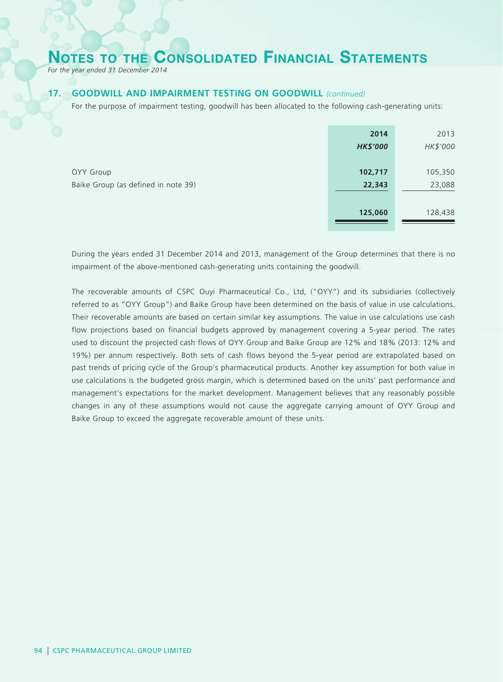*For the year ended 31 December 2014*

#### **17. GOODWILL AND IMPAIRMENT TESTING ON GOODWILL** *(continued)*

For the purpose of impairment testing, goodwill has been allocated to the following cash-generating units:

|                                     | 2014            | 2013     |
|-------------------------------------|-----------------|----------|
|                                     | <b>HK\$'000</b> | HK\$'000 |
|                                     |                 |          |
| OYY Group                           | 102,717         | 105,350  |
| Baike Group (as defined in note 39) | 22,343          | 23,088   |
|                                     |                 |          |
|                                     | 125,060         | 128,438  |
|                                     |                 |          |

During the years ended 31 December 2014 and 2013, management of the Group determines that there is no impairment of the above-mentioned cash-generating units containing the goodwill.

The recoverable amounts of CSPC Ouyi Pharmaceutical Co., Ltd, ("OYY") and its subsidiaries (collectively referred to as "OYY Group") and Baike Group have been determined on the basis of value in use calculations. Their recoverable amounts are based on certain similar key assumptions. The value in use calculations use cash flow projections based on financial budgets approved by management covering a 5-year period. The rates used to discount the projected cash flows of OYY Group and Baike Group are 12% and 18% (2013: 12% and 19%) per annum respectively. Both sets of cash flows beyond the 5-year period are extrapolated based on past trends of pricing cycle of the Group's pharmaceutical products. Another key assumption for both value in use calculations is the budgeted gross margin, which is determined based on the units' past performance and management's expectations for the market development. Management believes that any reasonably possible changes in any of these assumptions would not cause the aggregate carrying amount of OYY Group and Baike Group to exceed the aggregate recoverable amount of these units.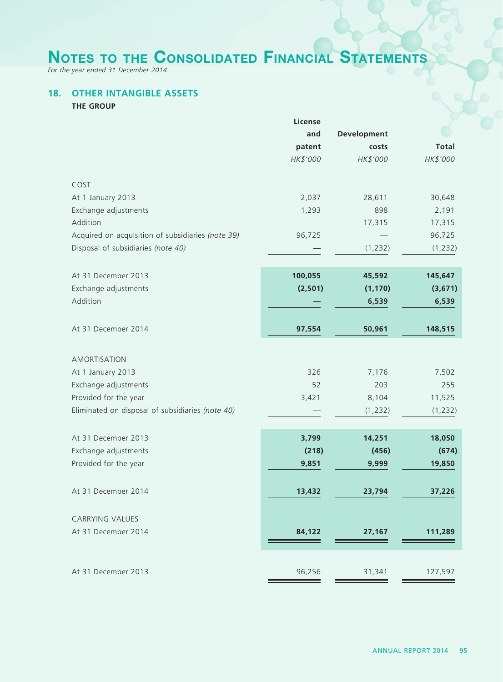*For the year ended 31 December 2014*

## **18. OTHER INTANGIBLE ASSETS**

## **THE GROUP**

|                                                   | License  |             |              |
|---------------------------------------------------|----------|-------------|--------------|
|                                                   | and      | Development |              |
|                                                   | patent   | costs       | <b>Total</b> |
|                                                   | HK\$'000 | HK\$'000    | HK\$'000     |
| COST                                              |          |             |              |
| At 1 January 2013                                 | 2,037    | 28,611      | 30,648       |
| Exchange adjustments                              | 1,293    | 898         | 2,191        |
| Addition                                          |          | 17,315      | 17,315       |
| Acquired on acquisition of subsidiaries (note 39) | 96,725   |             | 96,725       |
| Disposal of subsidiaries (note 40)                |          | (1, 232)    | (1, 232)     |
|                                                   |          |             |              |
| At 31 December 2013                               | 100,055  | 45,592      | 145,647      |
| Exchange adjustments                              | (2, 501) | (1, 170)    | (3,671)      |
| Addition                                          |          | 6,539       | 6,539        |
|                                                   |          |             |              |
| At 31 December 2014                               | 97,554   | 50,961      | 148,515      |
|                                                   |          |             |              |
| AMORTISATION                                      |          |             |              |
| At 1 January 2013                                 | 326      | 7,176       | 7,502        |
| Exchange adjustments                              | 52       | 203         | 255          |
| Provided for the year                             | 3,421    | 8,104       | 11,525       |
| Eliminated on disposal of subsidiaries (note 40)  |          | (1, 232)    | (1, 232)     |
|                                                   |          |             |              |
| At 31 December 2013                               | 3,799    | 14,251      | 18,050       |
| Exchange adjustments                              | (218)    | (456)       | (674)        |
| Provided for the year                             | 9,851    | 9,999       | 19,850       |
|                                                   |          |             |              |
| At 31 December 2014                               | 13,432   | 23,794      | 37,226       |
|                                                   |          |             |              |
| <b>CARRYING VALUES</b>                            |          |             |              |
| At 31 December 2014                               | 84,122   | 27,167      | 111,289      |
|                                                   |          |             |              |
|                                                   |          |             |              |
| At 31 December 2013                               | 96,256   | 31,341      | 127,597      |
|                                                   |          |             |              |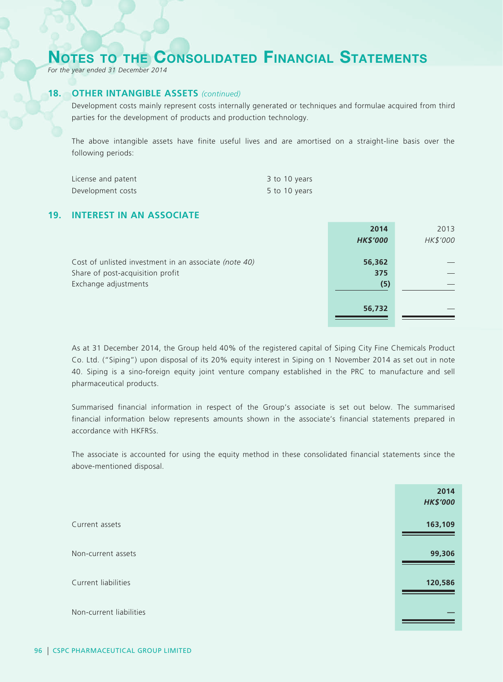*For the year ended 31 December 2014*

#### **18. OTHER INTANGIBLE ASSETS** *(continued)*

Development costs mainly represent costs internally generated or techniques and formulae acquired from third parties for the development of products and production technology.

The above intangible assets have finite useful lives and are amortised on a straight-line basis over the following periods:

| License and patent | 3 to 10 years |
|--------------------|---------------|
| Development costs  | 5 to 10 years |

## **19. INTEREST IN AN ASSOCIATE**

|                                                       | 2014            | 2013     |
|-------------------------------------------------------|-----------------|----------|
|                                                       | <b>HK\$'000</b> | HK\$'000 |
|                                                       |                 |          |
| Cost of unlisted investment in an associate (note 40) | 56,362          |          |
| Share of post-acquisition profit                      | 375             |          |
| Exchange adjustments                                  | (5)             |          |
|                                                       |                 |          |
|                                                       | 56,732          |          |
|                                                       |                 |          |

As at 31 December 2014, the Group held 40% of the registered capital of Siping City Fine Chemicals Product Co. Ltd. ("Siping") upon disposal of its 20% equity interest in Siping on 1 November 2014 as set out in note 40. Siping is a sino-foreign equity joint venture company established in the PRC to manufacture and sell pharmaceutical products.

Summarised financial information in respect of the Group's associate is set out below. The summarised financial information below represents amounts shown in the associate's financial statements prepared in accordance with HKFRSs.

The associate is accounted for using the equity method in these consolidated financial statements since the above-mentioned disposal.

|                         | 2014<br><b>HK\$'000</b> |
|-------------------------|-------------------------|
| Current assets          | 163,109                 |
| Non-current assets      | 99,306                  |
| Current liabilities     | 120,586                 |
| Non-current liabilities |                         |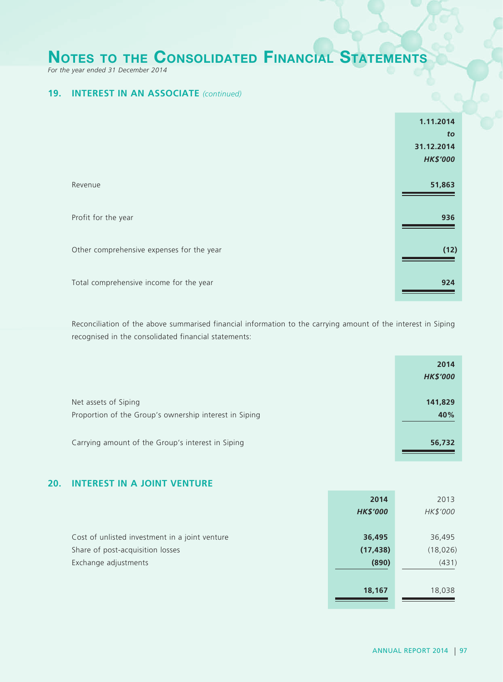*For the year ended 31 December 2014*

## **19. INTEREST IN AN ASSOCIATE** *(continued)*

|                                           | 1.11.2014       |
|-------------------------------------------|-----------------|
|                                           | to              |
|                                           | 31.12.2014      |
|                                           | <b>HK\$'000</b> |
| Revenue                                   | 51,863          |
| Profit for the year                       | 936             |
| Other comprehensive expenses for the year | (12)            |
| Total comprehensive income for the year   | 924             |

Reconciliation of the above summarised financial information to the carrying amount of the interest in Siping recognised in the consolidated financial statements:

|                                                        | 2014            |
|--------------------------------------------------------|-----------------|
|                                                        | <b>HK\$'000</b> |
|                                                        |                 |
| Net assets of Siping                                   | 141,829         |
| Proportion of the Group's ownership interest in Siping | 40%             |
|                                                        |                 |
| Carrying amount of the Group's interest in Siping      | 56,732          |
|                                                        |                 |

# **20. INTEREST IN A JOINT VENTURE**

|                                                | 2014            | 2013      |
|------------------------------------------------|-----------------|-----------|
|                                                | <b>HK\$'000</b> | HK\$'000  |
|                                                |                 |           |
| Cost of unlisted investment in a joint venture | 36,495          | 36,495    |
| Share of post-acquisition losses               | (17, 438)       | (18, 026) |
| Exchange adjustments                           | (890)           | (431)     |
|                                                |                 |           |
|                                                |                 |           |
|                                                | 18,167          | 18,038    |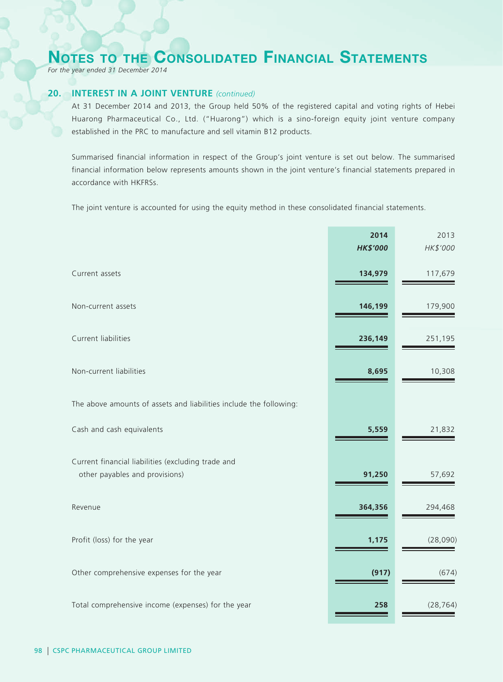*For the year ended 31 December 2014*

### **20. INTEREST IN A JOINT VENTURE** *(continued)*

At 31 December 2014 and 2013, the Group held 50% of the registered capital and voting rights of Hebei Huarong Pharmaceutical Co., Ltd. ("Huarong") which is a sino-foreign equity joint venture company established in the PRC to manufacture and sell vitamin B12 products.

Summarised financial information in respect of the Group's joint venture is set out below. The summarised financial information below represents amounts shown in the joint venture's financial statements prepared in accordance with HKFRSs.

The joint venture is accounted for using the equity method in these consolidated financial statements.

|                                                                                      | 2014            | 2013      |
|--------------------------------------------------------------------------------------|-----------------|-----------|
|                                                                                      | <b>HK\$'000</b> | HK\$'000  |
| Current assets                                                                       | 134,979         | 117,679   |
| Non-current assets                                                                   | 146,199         | 179,900   |
| Current liabilities                                                                  | 236,149         | 251,195   |
| Non-current liabilities                                                              | 8,695           | 10,308    |
| The above amounts of assets and liabilities include the following:                   |                 |           |
| Cash and cash equivalents                                                            | 5,559           | 21,832    |
| Current financial liabilities (excluding trade and<br>other payables and provisions) | 91,250          | 57,692    |
| Revenue                                                                              | 364,356         | 294,468   |
| Profit (loss) for the year                                                           | 1,175           | (28,090)  |
| Other comprehensive expenses for the year                                            | (917)           | (674)     |
| Total comprehensive income (expenses) for the year                                   | 258             | (28, 764) |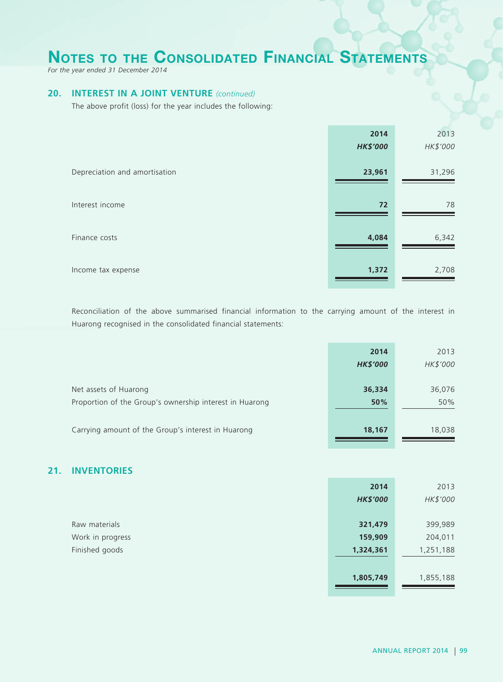*For the year ended 31 December 2014*

### **20. INTEREST IN A JOINT VENTURE** *(continued)*

The above profit (loss) for the year includes the following:

|                               | 2014            | 2013     |
|-------------------------------|-----------------|----------|
|                               | <b>HK\$'000</b> | HK\$'000 |
| Depreciation and amortisation | 23,961          | 31,296   |
| Interest income               | 72              | 78       |
| Finance costs                 | 4,084           | 6,342    |
| Income tax expense            | 1,372           | 2,708    |

Reconciliation of the above summarised financial information to the carrying amount of the interest in Huarong recognised in the consolidated financial statements:

|                                                         | 2014            | 2013     |
|---------------------------------------------------------|-----------------|----------|
|                                                         | <b>HK\$'000</b> | HK\$'000 |
|                                                         |                 |          |
| Net assets of Huarong                                   | 36,334          | 36,076   |
| Proportion of the Group's ownership interest in Huarong | 50%             | 50%      |
|                                                         |                 |          |
| Carrying amount of the Group's interest in Huarong      | 18,167          | 18,038   |

## **21. INVENTORIES**

|                  | 2014            | 2013      |
|------------------|-----------------|-----------|
|                  | <b>HK\$'000</b> | HK\$'000  |
|                  |                 |           |
| Raw materials    | 321,479         | 399,989   |
| Work in progress | 159,909         | 204,011   |
| Finished goods   | 1,324,361       | 1,251,188 |
|                  |                 |           |
|                  | 1,805,749       | 1,855,188 |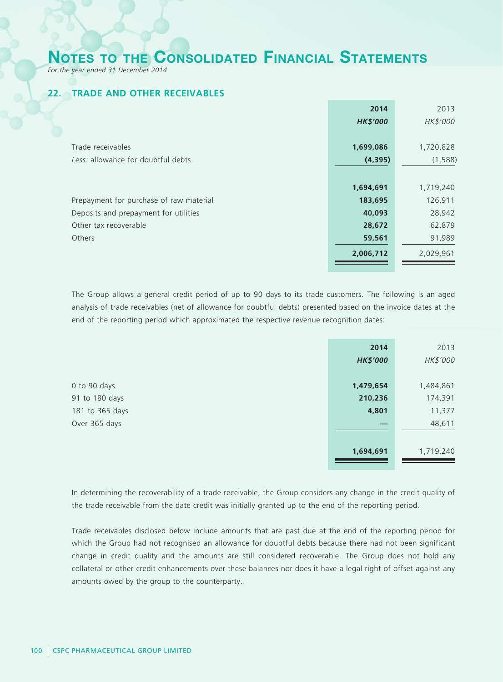*For the year ended 31 December 2014*

## **22. TRADE AND OTHER RECEIVABLES**

|                                         | 2014            | 2013      |
|-----------------------------------------|-----------------|-----------|
|                                         | <b>HK\$'000</b> | HK\$'000  |
|                                         |                 |           |
| Trade receivables                       | 1,699,086       | 1,720,828 |
| Less: allowance for doubtful debts      | (4, 395)        | (1, 588)  |
|                                         |                 |           |
|                                         | 1,694,691       | 1,719,240 |
| Prepayment for purchase of raw material | 183,695         | 126,911   |
| Deposits and prepayment for utilities   | 40,093          | 28,942    |
| Other tax recoverable                   | 28,672          | 62,879    |
| Others                                  | 59,561          | 91,989    |
|                                         | 2,006,712       | 2,029,961 |
|                                         |                 |           |

The Group allows a general credit period of up to 90 days to its trade customers. The following is an aged analysis of trade receivables (net of allowance for doubtful debts) presented based on the invoice dates at the end of the reporting period which approximated the respective revenue recognition dates:

|                 | 2014            | 2013      |
|-----------------|-----------------|-----------|
|                 | <b>HK\$'000</b> | HK\$'000  |
|                 |                 |           |
| 0 to 90 days    | 1,479,654       | 1,484,861 |
| 91 to 180 days  | 210,236         | 174,391   |
| 181 to 365 days | 4,801           | 11,377    |
| Over 365 days   |                 | 48,611    |
|                 |                 |           |
|                 | 1,694,691       | 1,719,240 |
|                 |                 |           |

In determining the recoverability of a trade receivable, the Group considers any change in the credit quality of the trade receivable from the date credit was initially granted up to the end of the reporting period.

Trade receivables disclosed below include amounts that are past due at the end of the reporting period for which the Group had not recognised an allowance for doubtful debts because there had not been significant change in credit quality and the amounts are still considered recoverable. The Group does not hold any collateral or other credit enhancements over these balances nor does it have a legal right of offset against any amounts owed by the group to the counterparty.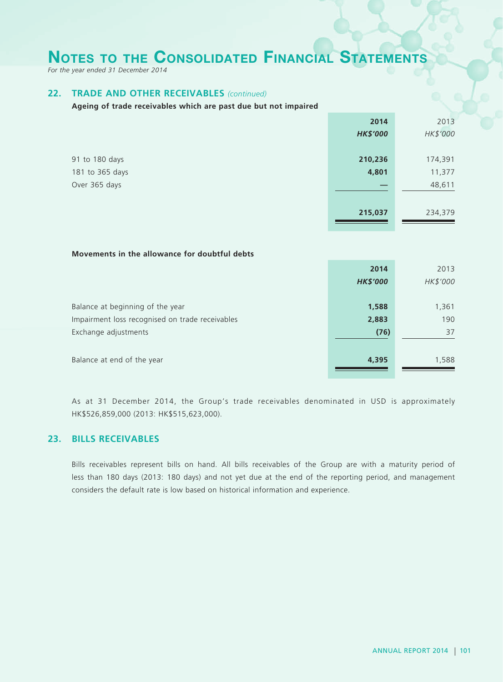*For the year ended 31 December 2014*

## **22. TRADE AND OTHER RECEIVABLES** *(continued)*

### **Ageing of trade receivables which are past due but not impaired**

|                 | 2014            | 2013     |
|-----------------|-----------------|----------|
|                 | <b>HK\$'000</b> | HK\$'000 |
|                 |                 |          |
| 91 to 180 days  | 210,236         | 174,391  |
| 181 to 365 days | 4,801           | 11,377   |
| Over 365 days   |                 | 48,611   |
|                 |                 |          |
|                 | 215,037         | 234,379  |
|                 |                 |          |

#### **Movements in the allowance for doubtful debts**

|                                                 | 2014            | 2013     |
|-------------------------------------------------|-----------------|----------|
|                                                 | <b>HK\$'000</b> | HK\$'000 |
|                                                 |                 |          |
| Balance at beginning of the year                | 1,588           | 1,361    |
| Impairment loss recognised on trade receivables | 2,883           | 190      |
| Exchange adjustments                            | (76)            | 37       |
|                                                 |                 |          |
| Balance at end of the year                      | 4,395           | 1,588    |
|                                                 |                 |          |

As at 31 December 2014, the Group's trade receivables denominated in USD is approximately HK\$526,859,000 (2013: HK\$515,623,000).

## **23. BILLS RECEIVABLES**

Bills receivables represent bills on hand. All bills receivables of the Group are with a maturity period of less than 180 days (2013: 180 days) and not yet due at the end of the reporting period, and management considers the default rate is low based on historical information and experience.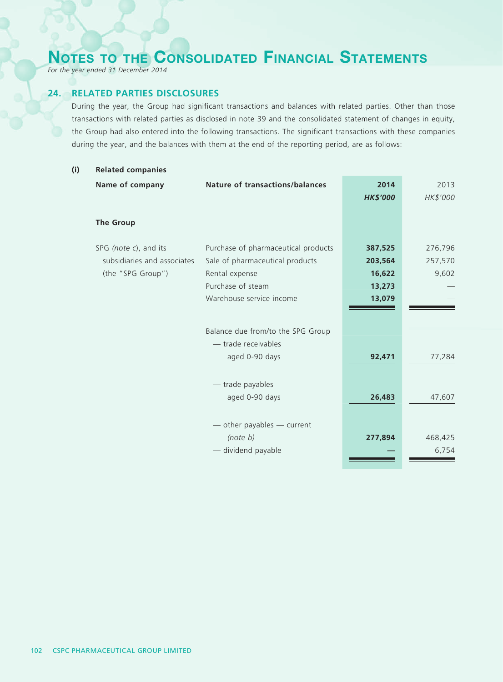*For the year ended 31 December 2014*

## **24. RELATED PARTIES DISCLOSURES**

During the year, the Group had significant transactions and balances with related parties. Other than those transactions with related parties as disclosed in note 39 and the consolidated statement of changes in equity, the Group had also entered into the following transactions. The significant transactions with these companies during the year, and the balances with them at the end of the reporting period, are as follows:

| (i) | <b>Related companies</b>    |                                        |                 |          |
|-----|-----------------------------|----------------------------------------|-----------------|----------|
|     | Name of company             | <b>Nature of transactions/balances</b> | 2014            | 2013     |
|     |                             |                                        | <b>HK\$'000</b> | HK\$'000 |
|     | <b>The Group</b>            |                                        |                 |          |
|     | SPG (note c), and its       | Purchase of pharmaceutical products    | 387,525         | 276,796  |
|     | subsidiaries and associates | Sale of pharmaceutical products        | 203,564         | 257,570  |
|     | (the "SPG Group")           | Rental expense                         | 16,622          | 9,602    |
|     |                             | Purchase of steam                      | 13,273          |          |
|     |                             | Warehouse service income               | 13,079          |          |
|     |                             |                                        |                 |          |
|     |                             | Balance due from/to the SPG Group      |                 |          |
|     |                             | - trade receivables                    |                 |          |
|     |                             | aged 0-90 days                         | 92,471          | 77,284   |
|     |                             |                                        |                 |          |
|     |                             | $-$ trade payables                     |                 |          |
|     |                             | aged 0-90 days                         | 26,483          | 47,607   |
|     |                             |                                        |                 |          |
|     |                             | - other payables - current             |                 |          |
|     |                             | (note b)                               | 277,894         | 468,425  |
|     |                             | - dividend payable                     |                 | 6,754    |
|     |                             |                                        |                 |          |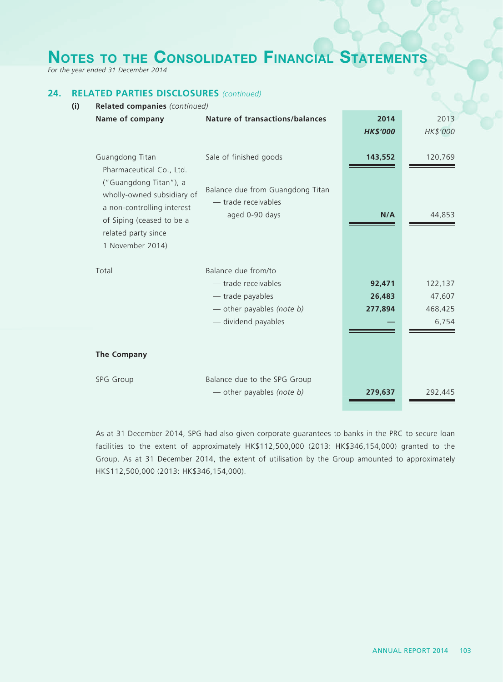*For the year ended 31 December 2014*

## **24. RELATED PARTIES DISCLOSURES** *(continued)*

| (i) | Related companies (continued)                                                                       |                                                                                                                      |                             |                                       |
|-----|-----------------------------------------------------------------------------------------------------|----------------------------------------------------------------------------------------------------------------------|-----------------------------|---------------------------------------|
|     | Name of company                                                                                     | <b>Nature of transactions/balances</b>                                                                               | 2014<br><b>HK\$'000</b>     | 2013<br>HK\$'000                      |
|     | Guangdong Titan<br>Pharmaceutical Co., Ltd.<br>("Guangdong Titan"), a<br>wholly-owned subsidiary of | Sale of finished goods<br>Balance due from Guangdong Titan<br>- trade receivables                                    | 143,552                     | 120,769                               |
|     | a non-controlling interest<br>of Siping (ceased to be a<br>related party since<br>1 November 2014)  | aged 0-90 days                                                                                                       | N/A                         | 44,853                                |
|     | Total                                                                                               | Balance due from/to<br>- trade receivables<br>$-$ trade payables<br>- other payables (note b)<br>- dividend payables | 92,471<br>26,483<br>277,894 | 122,137<br>47,607<br>468,425<br>6,754 |
|     | The Company                                                                                         |                                                                                                                      |                             |                                       |
|     | SPG Group                                                                                           | Balance due to the SPG Group<br>— other payables (note b)                                                            | 279,637                     | 292,445                               |

As at 31 December 2014, SPG had also given corporate guarantees to banks in the PRC to secure loan facilities to the extent of approximately HK\$112,500,000 (2013: HK\$346,154,000) granted to the Group. As at 31 December 2014, the extent of utilisation by the Group amounted to approximately HK\$112,500,000 (2013: HK\$346,154,000).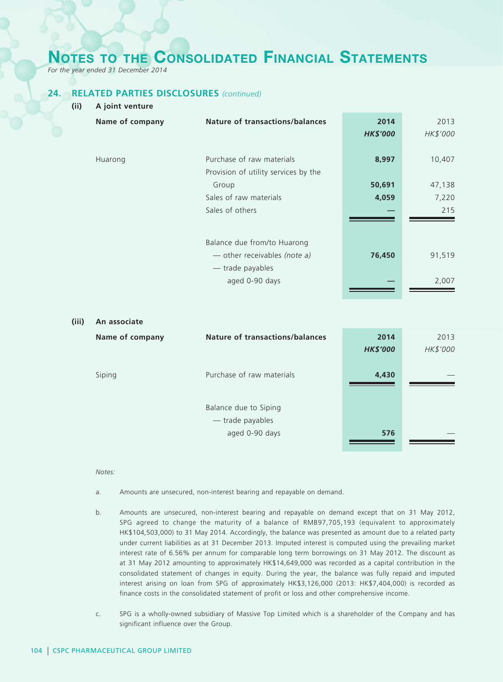*For the year ended 31 December 2014*

## **24. RELATED PARTIES DISCLOSURES** *(continued)*

| A joint venture |                                        |                                                                                                                             |                                   |
|-----------------|----------------------------------------|-----------------------------------------------------------------------------------------------------------------------------|-----------------------------------|
| Name of company | <b>Nature of transactions/balances</b> | 2014                                                                                                                        | 2013                              |
|                 |                                        | <b>HK\$'000</b>                                                                                                             | HK\$'000                          |
| Huarong         | Purchase of raw materials              | 8,997                                                                                                                       | 10,407                            |
|                 | Provision of utility services by the   |                                                                                                                             |                                   |
|                 | Group                                  | 50,691                                                                                                                      | 47,138                            |
|                 | Sales of raw materials                 | 4,059                                                                                                                       | 7,220                             |
|                 | Sales of others                        |                                                                                                                             | 215                               |
|                 |                                        |                                                                                                                             |                                   |
|                 |                                        |                                                                                                                             | 91,519                            |
|                 |                                        |                                                                                                                             |                                   |
|                 | aged 0-90 days                         |                                                                                                                             | 2,007                             |
|                 |                                        |                                                                                                                             |                                   |
|                 |                                        |                                                                                                                             |                                   |
|                 |                                        |                                                                                                                             |                                   |
|                 |                                        |                                                                                                                             | 2013                              |
|                 |                                        |                                                                                                                             | HK\$'000                          |
| Siping          | Purchase of raw materials              | 4,430                                                                                                                       |                                   |
|                 | An associate<br>Name of company        | Balance due from/to Huarong<br>- other receivables (note a)<br>$-$ trade payables<br><b>Nature of transactions/balances</b> | 76,450<br>2014<br><b>HK\$'000</b> |

Balance due to Siping — trade payables aged 0-90 days **576** 

#### *Notes:*

- a. Amounts are unsecured, non-interest bearing and repayable on demand.
- b. Amounts are unsecured, non-interest bearing and repayable on demand except that on 31 May 2012, SPG agreed to change the maturity of a balance of RMB97,705,193 (equivalent to approximately HK\$104,503,000) to 31 May 2014. Accordingly, the balance was presented as amount due to a related party under current liabilities as at 31 December 2013. Imputed interest is computed using the prevailing market interest rate of 6.56% per annum for comparable long term borrowings on 31 May 2012. The discount as at 31 May 2012 amounting to approximately HK\$14,649,000 was recorded as a capital contribution in the consolidated statement of changes in equity. During the year, the balance was fully repaid and imputed interest arising on loan from SPG of approximately HK\$3,126,000 (2013: HK\$7,404,000) is recorded as finance costs in the consolidated statement of profit or loss and other comprehensive income.
- c. SPG is a wholly-owned subsidiary of Massive Top Limited which is a shareholder of the Company and has significant influence over the Group.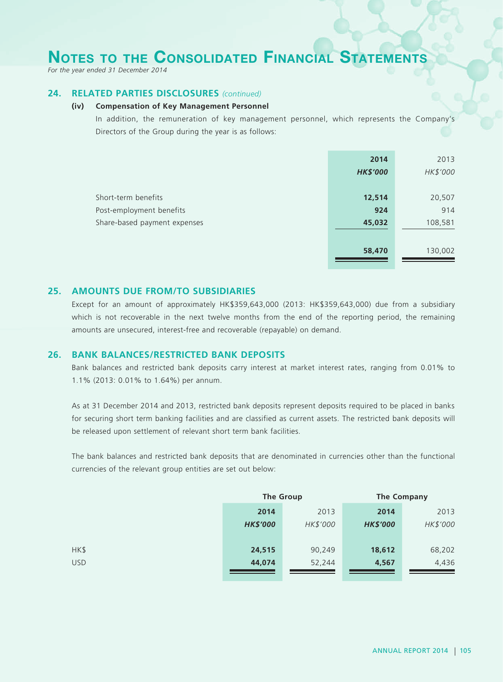*For the year ended 31 December 2014*

#### **24. RELATED PARTIES DISCLOSURES** *(continued)*

#### **(iv) Compensation of Key Management Personnel**

In addition, the remuneration of key management personnel, which represents the Company's Directors of the Group during the year is as follows:

|                              | 2014            | 2013     |
|------------------------------|-----------------|----------|
|                              | <b>HK\$'000</b> | HK\$'000 |
|                              |                 |          |
| Short-term benefits          | 12,514          | 20,507   |
| Post-employment benefits     | 924             | 914      |
| Share-based payment expenses | 45,032          | 108,581  |
|                              |                 |          |
|                              | 58,470          | 130,002  |

#### **25. AMOUNTS DUE FROM/TO SUBSIDIARIES**

Except for an amount of approximately HK\$359,643,000 (2013: HK\$359,643,000) due from a subsidiary which is not recoverable in the next twelve months from the end of the reporting period, the remaining amounts are unsecured, interest-free and recoverable (repayable) on demand.

### **26. BANK BALANCES/RESTRICTED BANK DEPOSITS**

Bank balances and restricted bank deposits carry interest at market interest rates, ranging from 0.01% to 1.1% (2013: 0.01% to 1.64%) per annum.

As at 31 December 2014 and 2013, restricted bank deposits represent deposits required to be placed in banks for securing short term banking facilities and are classified as current assets. The restricted bank deposits will be released upon settlement of relevant short term bank facilities.

The bank balances and restricted bank deposits that are denominated in currencies other than the functional currencies of the relevant group entities are set out below:

|            | The Group       |          | <b>The Company</b> |          |
|------------|-----------------|----------|--------------------|----------|
|            | 2014            | 2013     | 2014               | 2013     |
|            | <b>HK\$'000</b> | HK\$'000 | <b>HK\$'000</b>    | HK\$'000 |
|            |                 |          |                    |          |
| HK\$       | 24,515          | 90,249   | 18,612             | 68,202   |
| <b>USD</b> | 44,074          | 52,244   | 4,567              | 4,436    |
|            |                 |          |                    |          |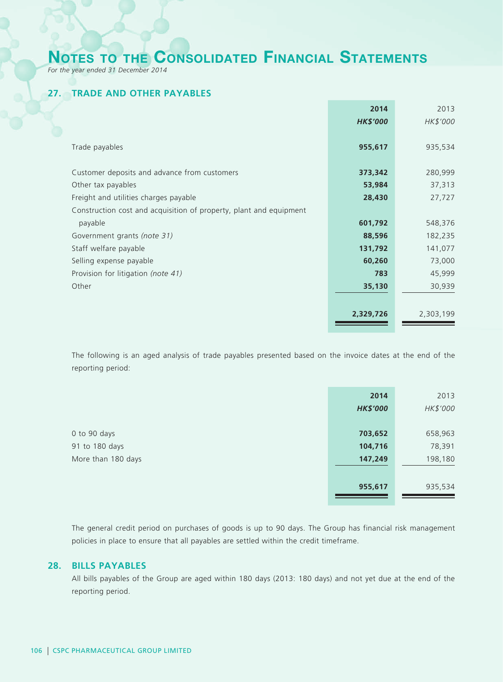*For the year ended 31 December 2014*

## **27. TRADE AND OTHER PAYABLES**

|                                                                    | 2014            | 2013      |
|--------------------------------------------------------------------|-----------------|-----------|
|                                                                    | <b>HK\$'000</b> | HK\$'000  |
|                                                                    |                 |           |
| Trade payables                                                     | 955,617         | 935,534   |
|                                                                    |                 |           |
| Customer deposits and advance from customers                       | 373,342         | 280,999   |
| Other tax payables                                                 | 53,984          | 37,313    |
| Freight and utilities charges payable                              | 28,430          | 27,727    |
| Construction cost and acquisition of property, plant and equipment |                 |           |
| payable                                                            | 601,792         | 548,376   |
| Government grants (note 31)                                        | 88,596          | 182,235   |
| Staff welfare payable                                              | 131,792         | 141,077   |
| Selling expense payable                                            | 60,260          | 73,000    |
| Provision for litigation (note 41)                                 | 783             | 45,999    |
| Other                                                              | 35,130          | 30,939    |
|                                                                    |                 |           |
|                                                                    | 2,329,726       | 2,303,199 |
|                                                                    |                 |           |

The following is an aged analysis of trade payables presented based on the invoice dates at the end of the reporting period:

|                    | 2014            | 2013     |
|--------------------|-----------------|----------|
|                    | <b>HK\$'000</b> | HK\$'000 |
|                    |                 |          |
| 0 to 90 days       | 703,652         | 658,963  |
| 91 to 180 days     | 104,716         | 78,391   |
| More than 180 days | 147,249         | 198,180  |
|                    |                 |          |
|                    | 955,617         | 935,534  |
|                    |                 |          |

The general credit period on purchases of goods is up to 90 days. The Group has financial risk management policies in place to ensure that all payables are settled within the credit timeframe.

### **28. BILLS PAYABLES**

All bills payables of the Group are aged within 180 days (2013: 180 days) and not yet due at the end of the reporting period.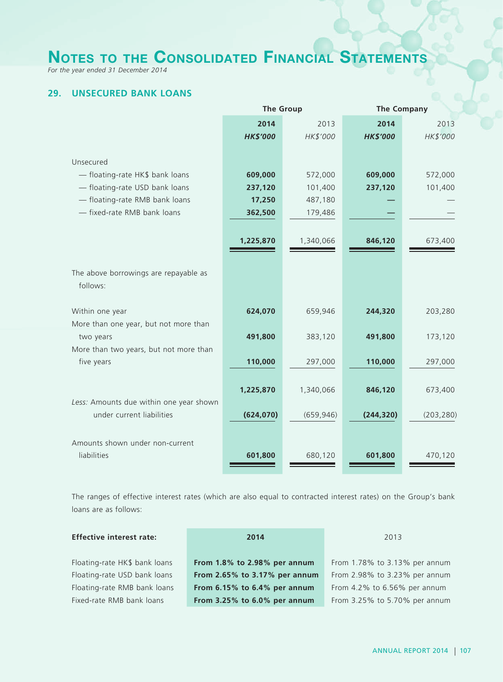*For the year ended 31 December 2014*

## **29. UNSECURED BANK LOANS**

|                                         | <b>The Group</b> |            | <b>The Company</b> |            |
|-----------------------------------------|------------------|------------|--------------------|------------|
|                                         | 2014             | 2013       | 2014               | 2013       |
|                                         | <b>HK\$'000</b>  | HK\$'000   | <b>HK\$'000</b>    | HK\$'000   |
|                                         |                  |            |                    |            |
| Unsecured                               |                  |            |                    |            |
| - floating-rate HK\$ bank loans         | 609,000          | 572,000    | 609,000            | 572,000    |
| - floating-rate USD bank loans          | 237,120          | 101,400    | 237,120            | 101,400    |
| - floating-rate RMB bank loans          | 17,250           | 487,180    |                    |            |
| - fixed-rate RMB bank loans             | 362,500          | 179,486    |                    |            |
|                                         |                  |            |                    |            |
|                                         | 1,225,870        | 1,340,066  | 846,120            | 673,400    |
|                                         |                  |            |                    |            |
|                                         |                  |            |                    |            |
| The above borrowings are repayable as   |                  |            |                    |            |
| follows:                                |                  |            |                    |            |
| Within one year                         | 624,070          | 659,946    | 244,320            | 203,280    |
| More than one year, but not more than   |                  |            |                    |            |
| two years                               | 491,800          | 383,120    | 491,800            | 173,120    |
| More than two years, but not more than  |                  |            |                    |            |
| five years                              | 110,000          | 297,000    | 110,000            | 297,000    |
|                                         |                  |            |                    |            |
|                                         | 1,225,870        | 1,340,066  | 846,120            | 673,400    |
| Less: Amounts due within one year shown |                  |            |                    |            |
| under current liabilities               | (624, 070)       | (659, 946) | (244, 320)         | (203, 280) |
|                                         |                  |            |                    |            |
|                                         |                  |            |                    |            |
| Amounts shown under non-current         |                  |            |                    |            |
| liabilities                             | 601,800          | 680,120    | 601,800            | 470,120    |
|                                         |                  |            |                    |            |

The ranges of effective interest rates (which are also equal to contracted interest rates) on the Group's bank loans are as follows:

| <b>Effective interest rate:</b> | 2014                          | 2013                          |  |
|---------------------------------|-------------------------------|-------------------------------|--|
| Floating-rate HK\$ bank loans   | From 1.8% to 2.98% per annum  | From 1.78% to 3.13% per annum |  |
| Floating-rate USD bank loans    | From 2.65% to 3.17% per annum | From 2.98% to 3.23% per annum |  |
| Floating-rate RMB bank loans    | From 6.15% to 6.4% per annum  | From 4.2% to 6.56% per annum  |  |
| Fixed-rate RMB bank loans       | From 3.25% to 6.0% per annum  | From 3.25% to 5.70% per annum |  |
|                                 |                               |                               |  |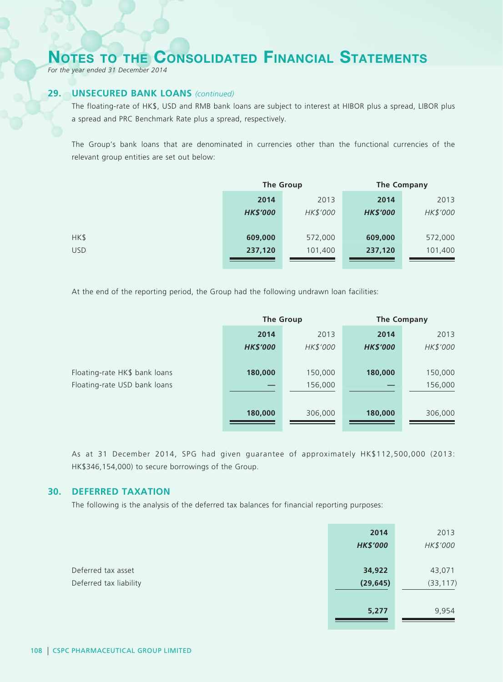*For the year ended 31 December 2014*

### **29. UNSECURED BANK LOANS** *(continued)*

The floating-rate of HK\$, USD and RMB bank loans are subject to interest at HIBOR plus a spread, LIBOR plus a spread and PRC Benchmark Rate plus a spread, respectively.

The Group's bank loans that are denominated in currencies other than the functional currencies of the relevant group entities are set out below:

|            | <b>The Group</b> |          | <b>The Company</b> |          |
|------------|------------------|----------|--------------------|----------|
|            | 2014             | 2013     | 2014               | 2013     |
|            | <b>HK\$'000</b>  | HK\$'000 | <b>HK\$'000</b>    | HK\$'000 |
|            |                  |          |                    |          |
| HK\$       | 609,000          | 572,000  | 609,000            | 572,000  |
| <b>USD</b> | 237,120          | 101,400  | 237,120            | 101,400  |
|            |                  |          |                    |          |

At the end of the reporting period, the Group had the following undrawn loan facilities:

|                 | <b>The Group</b> |          | The Company     |          |  |
|-----------------|------------------|----------|-----------------|----------|--|
|                 | 2014             | 2013     | 2014            | 2013     |  |
|                 | <b>HK\$'000</b>  | HK\$'000 | <b>HK\$'000</b> | HK\$'000 |  |
|                 |                  |          |                 |          |  |
| HK\$ bank loans | 180,000          | 150,000  | 180,000         | 150,000  |  |
| USD bank loans  |                  | 156,000  |                 | 156,000  |  |
|                 |                  |          |                 |          |  |
|                 | 180,000          | 306,000  | 180,000         | 306,000  |  |
|                 |                  |          |                 |          |  |

As at 31 December 2014, SPG had given guarantee of approximately HK\$112,500,000 (2013: HK\$346,154,000) to secure borrowings of the Group.

### **30. DEFERRED TAXATION**

Floating-rate HK\$ bank loans **180,000** 150,000 **180,000** 150,000 Floating-rate

The following is the analysis of the deferred tax balances for financial reporting purposes:

|                        | 2014            | 2013      |
|------------------------|-----------------|-----------|
|                        | <b>HK\$'000</b> | HK\$'000  |
|                        |                 |           |
| Deferred tax asset     | 34,922          | 43,071    |
| Deferred tax liability | (29, 645)       | (33, 117) |
|                        |                 |           |
|                        | 5,277           | 9,954     |
|                        |                 |           |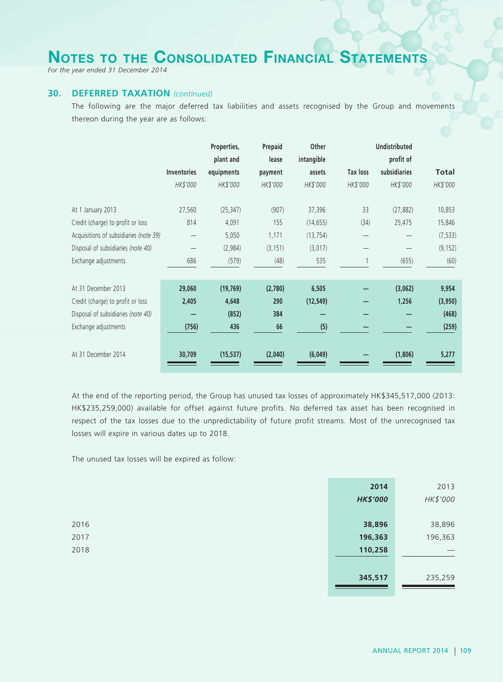*For the year ended 31 December 2014*

### **30. DEFERRED TAXATION** *(continued)*

The following are the major deferred tax liabilities and assets recognised by the Group and movements thereon during the year are as follows:

|                                        |                    | Properties,<br>plant and | Prepaid<br>lease | Other<br>intangible |          | <b>Undistributed</b><br>profit of |              |
|----------------------------------------|--------------------|--------------------------|------------------|---------------------|----------|-----------------------------------|--------------|
|                                        | <b>Inventories</b> | equipments               | payment          | assets              | Tax loss | subsidiaries                      | <b>Total</b> |
|                                        | HK\$'000           | HK\$'000                 | HK\$'000         | HK\$'000            | HK\$'000 | HK\$'000                          | HK\$'000     |
| At 1 January 2013                      | 27,560             | (25, 347)                | (907)            | 37,396              | 33       | (27, 882)                         | 10,853       |
| Credit (charge) to profit or loss      | 814                | 4,091                    | 155              | (14, 655)           | (34)     | 25,475                            | 15,846       |
| Acquisitions of subsidiaries (note 39) |                    | 5,050                    | 1,171            | (13, 754)           |          |                                   | (7, 533)     |
| Disposal of subsidiaries (note 40)     |                    | (2,984)                  | (3, 151)         | (3,017)             |          |                                   | (9, 152)     |
| Exchange adjustments                   | 686                | (579)                    | (48)             | 535                 |          | (655)                             | (60)         |
| At 31 December 2013                    | 29,060             | (19, 769)                | (2,780)          | 6,505               |          | (3,062)                           | 9,954        |
| Credit (charge) to profit or loss      | 2,405              | 4,648                    | 290              | (12, 549)           |          | 1,256                             | (3,950)      |
| Disposal of subsidiaries (note 40)     |                    | (852)                    | 384              |                     |          |                                   | (468)        |
| Exchange adjustments                   | (756)              | 436                      | 66               | (5)                 |          |                                   | (259)        |
| At 31 December 2014                    | 30,709             | (15, 537)                | (2,040)          | (6,049)             |          | (1,806)                           | 5,277        |

At the end of the reporting period, the Group has unused tax losses of approximately HK\$345,517,000 (2013: HK\$235,259,000) available for offset against future profits. No deferred tax asset has been recognised in respect of the tax losses due to the unpredictability of future profit streams. Most of the unrecognised tax losses will expire in various dates up to 2018.

The unused tax losses will be expired as follow:

|      | 2014            | 2013     |
|------|-----------------|----------|
|      | <b>HK\$'000</b> | HK\$'000 |
|      |                 |          |
| 2016 | 38,896          | 38,896   |
| 2017 | 196,363         | 196,363  |
| 2018 | 110,258         |          |
|      |                 |          |
|      | 345,517         | 235,259  |
|      |                 |          |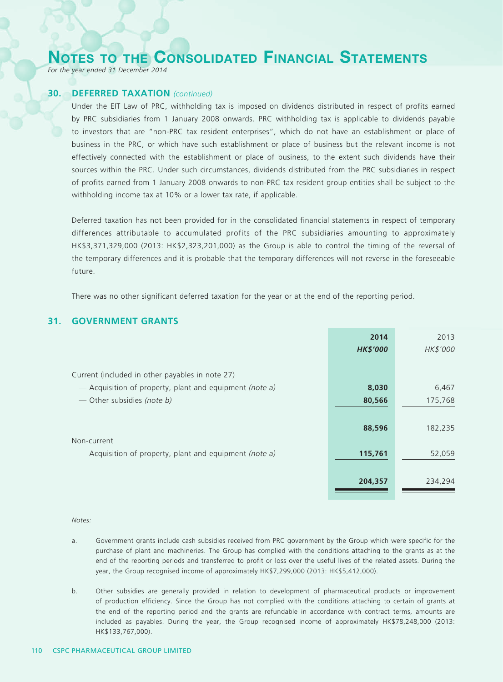*For the year ended 31 December 2014*

### **30. DEFERRED TAXATION** *(continued)*

Under the EIT Law of PRC, withholding tax is imposed on dividends distributed in respect of profits earned by PRC subsidiaries from 1 January 2008 onwards. PRC withholding tax is applicable to dividends payable to investors that are "non-PRC tax resident enterprises", which do not have an establishment or place of business in the PRC, or which have such establishment or place of business but the relevant income is not effectively connected with the establishment or place of business, to the extent such dividends have their sources within the PRC. Under such circumstances, dividends distributed from the PRC subsidiaries in respect of profits earned from 1 January 2008 onwards to non-PRC tax resident group entities shall be subject to the withholding income tax at 10% or a lower tax rate, if applicable.

Deferred taxation has not been provided for in the consolidated financial statements in respect of temporary differences attributable to accumulated profits of the PRC subsidiaries amounting to approximately HK\$3,371,329,000 (2013: HK\$2,323,201,000) as the Group is able to control the timing of the reversal of the temporary differences and it is probable that the temporary differences will not reverse in the foreseeable future.

There was no other significant deferred taxation for the year or at the end of the reporting period.

|                                                         | 2014            | 2013     |
|---------------------------------------------------------|-----------------|----------|
|                                                         | <b>HK\$'000</b> | HK\$'000 |
|                                                         |                 |          |
| Current (included in other payables in note 27)         |                 |          |
| - Acquisition of property, plant and equipment (note a) | 8,030           | 6,467    |
| - Other subsidies (note b)                              | 80,566          | 175,768  |
|                                                         |                 |          |
|                                                         | 88,596          | 182,235  |
| Non-current                                             |                 |          |
| - Acquisition of property, plant and equipment (note a) | 115,761         | 52,059   |
|                                                         |                 |          |
|                                                         | 204,357         | 234,294  |
|                                                         |                 |          |

### **31. GOVERNMENT GRANTS**

*Notes:*

- a. Government grants include cash subsidies received from PRC government by the Group which were specific for the purchase of plant and machineries. The Group has complied with the conditions attaching to the grants as at the end of the reporting periods and transferred to profit or loss over the useful lives of the related assets. During the year, the Group recognised income of approximately HK\$7,299,000 (2013: HK\$5,412,000).
- b. Other subsidies are generally provided in relation to development of pharmaceutical products or improvement of production efficiency. Since the Group has not complied with the conditions attaching to certain of grants at the end of the reporting period and the grants are refundable in accordance with contract terms, amounts are included as payables. During the year, the Group recognised income of approximately HK\$78,248,000 (2013: HK\$133,767,000).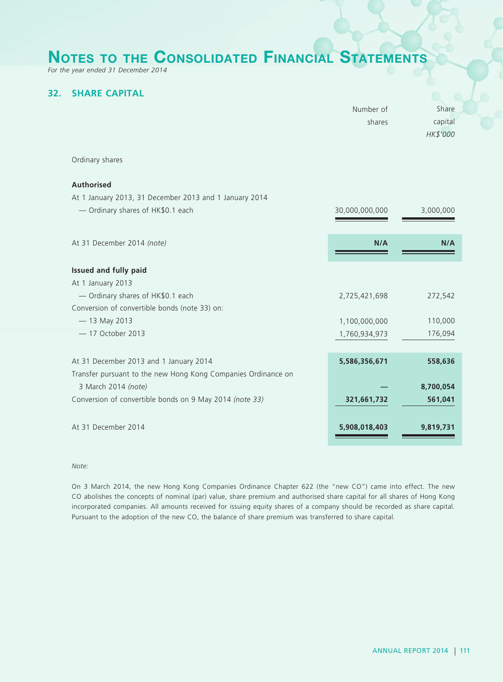*For the year ended 31 December 2014*

## **32. SHARE CAPITAL**

|                                                               | Number of<br>shares | Share<br>capital<br>HK\$'000 |
|---------------------------------------------------------------|---------------------|------------------------------|
| Ordinary shares                                               |                     |                              |
| <b>Authorised</b>                                             |                     |                              |
| At 1 January 2013, 31 December 2013 and 1 January 2014        |                     |                              |
| - Ordinary shares of HK\$0.1 each                             | 30,000,000,000      | 3,000,000                    |
| At 31 December 2014 (note)                                    | N/A                 | N/A                          |
| Issued and fully paid                                         |                     |                              |
| At 1 January 2013                                             |                     |                              |
| - Ordinary shares of HK\$0.1 each                             | 2,725,421,698       | 272,542                      |
| Conversion of convertible bonds (note 33) on:                 |                     |                              |
| $-13$ May 2013                                                | 1,100,000,000       | 110,000                      |
| - 17 October 2013                                             | 1,760,934,973       | 176,094                      |
|                                                               |                     |                              |
| At 31 December 2013 and 1 January 2014                        | 5,586,356,671       | 558,636                      |
| Transfer pursuant to the new Hong Kong Companies Ordinance on |                     |                              |
| 3 March 2014 (note)                                           |                     | 8,700,054                    |
| Conversion of convertible bonds on 9 May 2014 (note 33)       | 321,661,732         | 561,041                      |
| At 31 December 2014                                           | 5,908,018,403       | 9,819,731                    |

*Note:*

On 3 March 2014, the new Hong Kong Companies Ordinance Chapter 622 (the "new CO") came into effect. The new CO abolishes the concepts of nominal (par) value, share premium and authorised share capital for all shares of Hong Kong incorporated companies. All amounts received for issuing equity shares of a company should be recorded as share capital. Pursuant to the adoption of the new CO, the balance of share premium was transferred to share capital.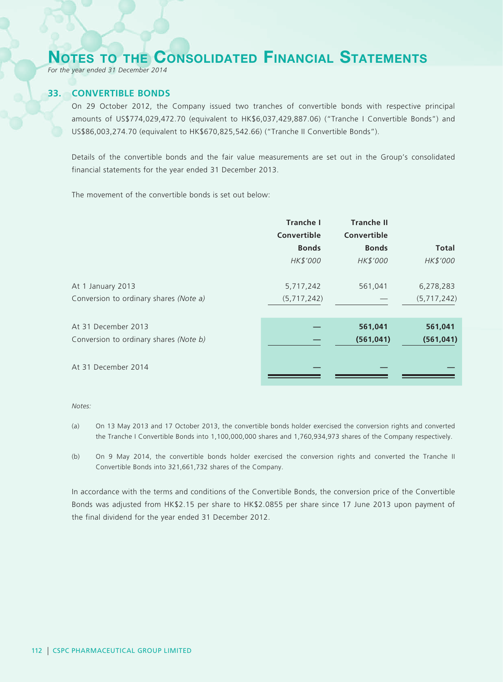*For the year ended 31 December 2014*

## **33. CONVERTIBLE BONDS**

On 29 October 2012, the Company issued two tranches of convertible bonds with respective principal amounts of US\$774,029,472.70 (equivalent to HK\$6,037,429,887.06) ("Tranche I Convertible Bonds") and US\$86,003,274.70 (equivalent to HK\$670,825,542.66) ("Tranche II Convertible Bonds").

Details of the convertible bonds and the fair value measurements are set out in the Group's consolidated financial statements for the year ended 31 December 2013.

The movement of the convertible bonds is set out below:

|                                        | <b>Tranche I</b><br>Convertible<br><b>Bonds</b><br>HK\$'000 | <b>Tranche II</b><br>Convertible<br><b>Bonds</b><br>HK\$'000 | <b>Total</b><br>HK\$'000 |
|----------------------------------------|-------------------------------------------------------------|--------------------------------------------------------------|--------------------------|
|                                        |                                                             |                                                              |                          |
| At 1 January 2013                      | 5,717,242                                                   | 561,041                                                      | 6,278,283                |
| Conversion to ordinary shares (Note a) | (5,717,242)                                                 |                                                              | (5,717,242)              |
| At 31 December 2013                    |                                                             | 561,041                                                      | 561,041                  |
| Conversion to ordinary shares (Note b) |                                                             | (561, 041)                                                   | (561, 041)               |
| At 31 December 2014                    |                                                             |                                                              |                          |

*Notes:*

- (a) On 13 May 2013 and 17 October 2013, the convertible bonds holder exercised the conversion rights and converted the Tranche I Convertible Bonds into 1,100,000,000 shares and 1,760,934,973 shares of the Company respectively.
- (b) On 9 May 2014, the convertible bonds holder exercised the conversion rights and converted the Tranche II Convertible Bonds into 321,661,732 shares of the Company.

In accordance with the terms and conditions of the Convertible Bonds, the conversion price of the Convertible Bonds was adjusted from HK\$2.15 per share to HK\$2.0855 per share since 17 June 2013 upon payment of the final dividend for the year ended 31 December 2012.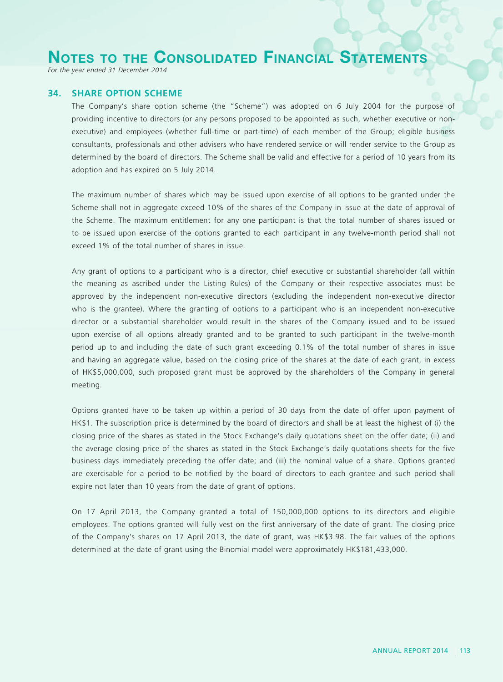*For the year ended 31 December 2014*

### **34. SHARE OPTION SCHEME**

The Company's share option scheme (the "Scheme") was adopted on 6 July 2004 for the purpose of providing incentive to directors (or any persons proposed to be appointed as such, whether executive or nonexecutive) and employees (whether full-time or part-time) of each member of the Group; eligible business consultants, professionals and other advisers who have rendered service or will render service to the Group as determined by the board of directors. The Scheme shall be valid and effective for a period of 10 years from its adoption and has expired on 5 July 2014.

The maximum number of shares which may be issued upon exercise of all options to be granted under the Scheme shall not in aggregate exceed 10% of the shares of the Company in issue at the date of approval of the Scheme. The maximum entitlement for any one participant is that the total number of shares issued or to be issued upon exercise of the options granted to each participant in any twelve-month period shall not exceed 1% of the total number of shares in issue.

Any grant of options to a participant who is a director, chief executive or substantial shareholder (all within the meaning as ascribed under the Listing Rules) of the Company or their respective associates must be approved by the independent non-executive directors (excluding the independent non-executive director who is the grantee). Where the granting of options to a participant who is an independent non-executive director or a substantial shareholder would result in the shares of the Company issued and to be issued upon exercise of all options already granted and to be granted to such participant in the twelve-month period up to and including the date of such grant exceeding 0.1% of the total number of shares in issue and having an aggregate value, based on the closing price of the shares at the date of each grant, in excess of HK\$5,000,000, such proposed grant must be approved by the shareholders of the Company in general meeting.

Options granted have to be taken up within a period of 30 days from the date of offer upon payment of HK\$1. The subscription price is determined by the board of directors and shall be at least the highest of (i) the closing price of the shares as stated in the Stock Exchange's daily quotations sheet on the offer date; (ii) and the average closing price of the shares as stated in the Stock Exchange's daily quotations sheets for the five business days immediately preceding the offer date; and (iii) the nominal value of a share. Options granted are exercisable for a period to be notified by the board of directors to each grantee and such period shall expire not later than 10 years from the date of grant of options.

On 17 April 2013, the Company granted a total of 150,000,000 options to its directors and eligible employees. The options granted will fully vest on the first anniversary of the date of grant. The closing price of the Company's shares on 17 April 2013, the date of grant, was HK\$3.98. The fair values of the options determined at the date of grant using the Binomial model were approximately HK\$181,433,000.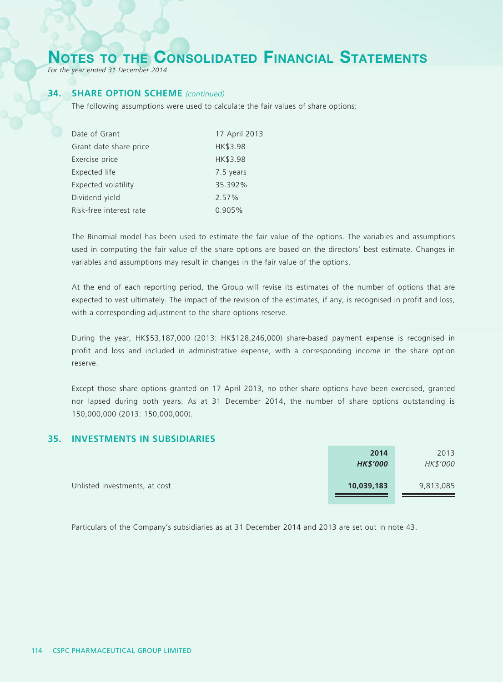*For the year ended 31 December 2014*

## **34. SHARE OPTION SCHEME** *(continued)*

The following assumptions were used to calculate the fair values of share options:

| Date of Grant           | 17 April 2013 |
|-------------------------|---------------|
| Grant date share price  | HK\$3.98      |
| Exercise price          | HK\$3.98      |
| Expected life           | 7.5 years     |
| Expected volatility     | 35.392%       |
| Dividend yield          | 2.57%         |
| Risk-free interest rate | 0.905%        |

The Binomial model has been used to estimate the fair value of the options. The variables and assumptions used in computing the fair value of the share options are based on the directors' best estimate. Changes in variables and assumptions may result in changes in the fair value of the options.

At the end of each reporting period, the Group will revise its estimates of the number of options that are expected to vest ultimately. The impact of the revision of the estimates, if any, is recognised in profit and loss, with a corresponding adjustment to the share options reserve.

During the year, HK\$53,187,000 (2013: HK\$128,246,000) share-based payment expense is recognised in profit and loss and included in administrative expense, with a corresponding income in the share option reserve.

Except those share options granted on 17 April 2013, no other share options have been exercised, granted nor lapsed during both years. As at 31 December 2014, the number of share options outstanding is 150,000,000 (2013: 150,000,000).

## **35. INVESTMENTS IN SUBSIDIARIES**

|                               | 2014            | 2013      |
|-------------------------------|-----------------|-----------|
|                               | <b>HK\$'000</b> | HK\$'000  |
|                               |                 |           |
| Unlisted investments, at cost | 10,039,183      | 9,813,085 |
|                               |                 |           |

Particulars of the Company's subsidiaries as at 31 December 2014 and 2013 are set out in note 43.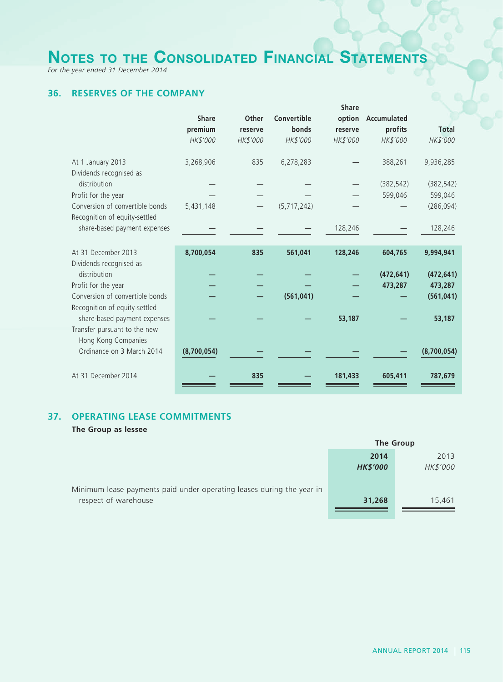*For the year ended 31 December 2014*

## **36. RESERVES OF THE COMPANY**

|                                                               |              |          |             | <b>Share</b> |             |              |
|---------------------------------------------------------------|--------------|----------|-------------|--------------|-------------|--------------|
|                                                               | <b>Share</b> | Other    | Convertible | option       | Accumulated |              |
|                                                               | premium      | reserve  | bonds       | reserve      | profits     | <b>Total</b> |
|                                                               | HK\$'000     | HK\$'000 | HK\$'000    | HK\$'000     | HK\$'000    | HK\$'000     |
| At 1 January 2013<br>Dividends recognised as                  | 3,268,906    | 835      | 6,278,283   |              | 388,261     | 9,936,285    |
| distribution                                                  |              |          |             |              | (382, 542)  | (382, 542)   |
| Profit for the year                                           |              |          |             |              | 599,046     | 599,046      |
| Conversion of convertible bonds                               | 5,431,148    |          | (5,717,242) |              |             | (286, 094)   |
| Recognition of equity-settled<br>share-based payment expenses |              |          |             | 128,246      |             | 128,246      |
| At 31 December 2013                                           | 8,700,054    | 835      | 561,041     | 128,246      | 604,765     | 9,994,941    |
| Dividends recognised as                                       |              |          |             |              |             |              |
| distribution                                                  |              |          |             |              | (472, 641)  | (472, 641)   |
| Profit for the year                                           |              |          |             |              | 473,287     | 473,287      |
| Conversion of convertible bonds                               |              |          | (561, 041)  |              |             | (561, 041)   |
| Recognition of equity-settled                                 |              |          |             |              |             |              |
| share-based payment expenses                                  |              |          |             | 53,187       |             | 53,187       |
| Transfer pursuant to the new                                  |              |          |             |              |             |              |
| Hong Kong Companies                                           |              |          |             |              |             |              |
| Ordinance on 3 March 2014                                     | (8,700,054)  |          |             |              |             | (8,700,054)  |
| At 31 December 2014                                           |              | 835      |             | 181,433      | 605,411     | 787,679      |

## **37. OPERATING LEASE COMMITMENTS**

## **The Group as lessee**

|                                                                       | The Group       |          |  |
|-----------------------------------------------------------------------|-----------------|----------|--|
|                                                                       | 2013<br>2014    |          |  |
|                                                                       | <b>HK\$'000</b> | HK\$'000 |  |
| Minimum lease payments paid under operating leases during the year in |                 |          |  |
| respect of warehouse                                                  | 31,268          | 15,461   |  |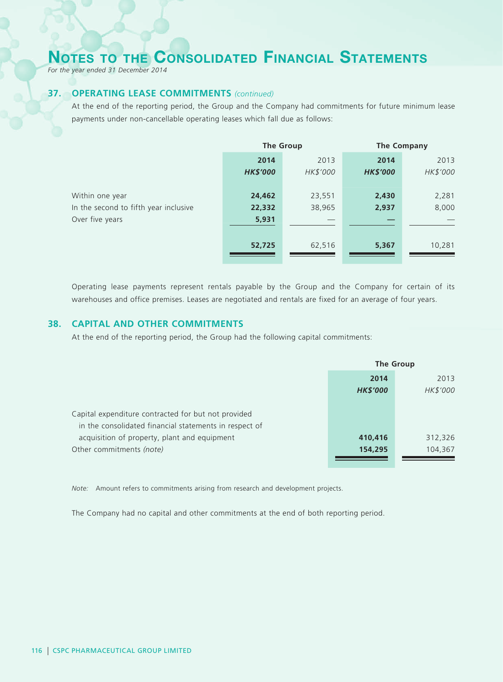*For the year ended 31 December 2014*

## **37. OPERATING LEASE COMMITMENTS** *(continued)*

At the end of the reporting period, the Group and the Company had commitments for future minimum lease payments under non-cancellable operating leases which fall due as follows:

|                                       |                 | The Group | The Company     |          |  |
|---------------------------------------|-----------------|-----------|-----------------|----------|--|
|                                       | 2014            | 2013      | 2014            | 2013     |  |
|                                       | <b>HK\$'000</b> | HK\$'000  | <b>HK\$'000</b> | HK\$'000 |  |
|                                       |                 |           |                 |          |  |
| Within one year                       | 24,462          | 23,551    | 2,430           | 2,281    |  |
| In the second to fifth year inclusive | 22,332          | 38,965    | 2,937           | 8,000    |  |
| Over five years                       | 5,931           |           |                 |          |  |
|                                       |                 |           |                 |          |  |
|                                       | 52,725          | 62,516    | 5,367           | 10,281   |  |
|                                       |                 |           |                 |          |  |

Operating lease payments represent rentals payable by the Group and the Company for certain of its warehouses and office premises. Leases are negotiated and rentals are fixed for an average of four years.

## **38. CAPITAL AND OTHER COMMITMENTS**

At the end of the reporting period, the Group had the following capital commitments:

|                                                        | The Group       |          |  |
|--------------------------------------------------------|-----------------|----------|--|
|                                                        | 2014<br>2013    |          |  |
|                                                        | <b>HK\$'000</b> | HK\$'000 |  |
|                                                        |                 |          |  |
| Capital expenditure contracted for but not provided    |                 |          |  |
| in the consolidated financial statements in respect of |                 |          |  |
| acquisition of property, plant and equipment           | 410,416         | 312,326  |  |
| Other commitments (note)                               | 154,295         | 104,367  |  |
|                                                        |                 |          |  |

*Note:* Amount refers to commitments arising from research and development projects.

The Company had no capital and other commitments at the end of both reporting period.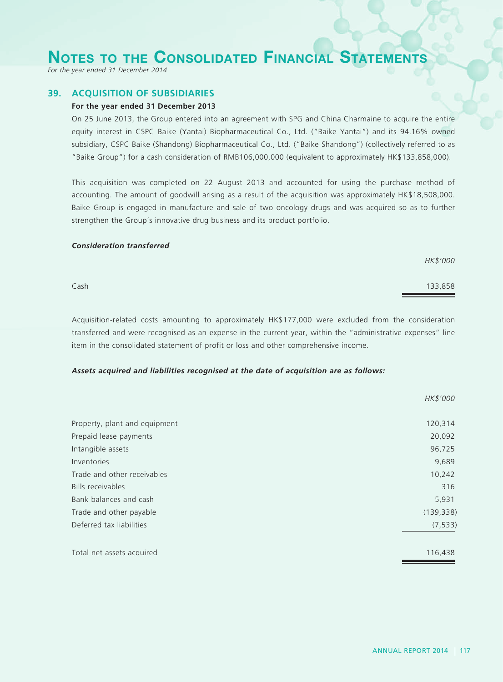*For the year ended 31 December 2014*

## **39. ACQUISITION OF SUBSIDIARIES**

#### **For the year ended 31 December 2013**

On 25 June 2013, the Group entered into an agreement with SPG and China Charmaine to acquire the entire equity interest in CSPC Baike (Yantai) Biopharmaceutical Co., Ltd. ("Baike Yantai") and its 94.16% owned subsidiary, CSPC Baike (Shandong) Biopharmaceutical Co., Ltd. ("Baike Shandong") (collectively referred to as "Baike Group") for a cash consideration of RMB106,000,000 (equivalent to approximately HK\$133,858,000).

This acquisition was completed on 22 August 2013 and accounted for using the purchase method of accounting. The amount of goodwill arising as a result of the acquisition was approximately HK\$18,508,000. Baike Group is engaged in manufacture and sale of two oncology drugs and was acquired so as to further strengthen the Group's innovative drug business and its product portfolio.

#### *Consideration transferred*

|      | HK\$'000 |
|------|----------|
| Cash | 133,858  |

Acquisition-related costs amounting to approximately HK\$177,000 were excluded from the consideration transferred and were recognised as an expense in the current year, within the "administrative expenses" line item in the consolidated statement of profit or loss and other comprehensive income.

#### *Assets acquired and liabilities recognised at the date of acquisition are as follows:*

|                               | HK\$'000   |
|-------------------------------|------------|
|                               |            |
| Property, plant and equipment | 120,314    |
| Prepaid lease payments        | 20,092     |
| Intangible assets             | 96,725     |
| Inventories                   | 9,689      |
| Trade and other receivables   | 10,242     |
| <b>Bills receivables</b>      | 316        |
| Bank balances and cash        | 5,931      |
| Trade and other payable       | (139, 338) |
| Deferred tax liabilities      | (7, 533)   |
| Total net assets acquired     | 116,438    |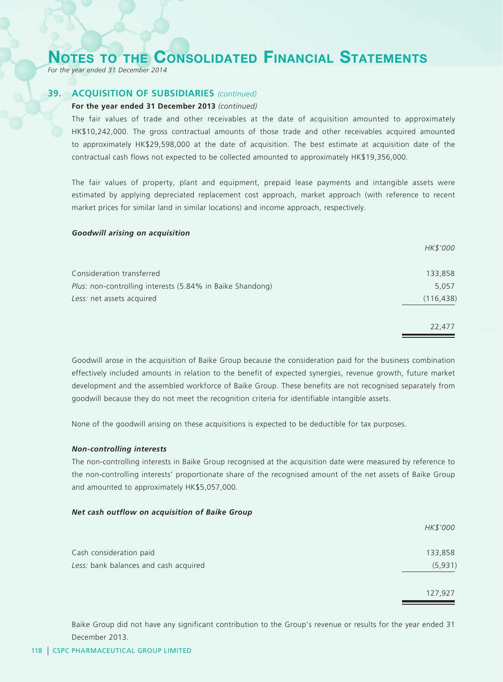*For the year ended 31 December 2014*

## **39. ACQUISITION OF SUBSIDIARIES** *(continued)*

#### **For the year ended 31 December 2013** *(continued)*

The fair values of trade and other receivables at the date of acquisition amounted to approximately HK\$10,242,000. The gross contractual amounts of those trade and other receivables acquired amounted to approximately HK\$29,598,000 at the date of acquisition. The best estimate at acquisition date of the contractual cash flows not expected to be collected amounted to approximately HK\$19,356,000.

The fair values of property, plant and equipment, prepaid lease payments and intangible assets were estimated by applying depreciated replacement cost approach, market approach (with reference to recent market prices for similar land in similar locations) and income approach, respectively.

#### *Goodwill arising on acquisition*

|                                                           | HK\$'000   |
|-----------------------------------------------------------|------------|
| Consideration transferred                                 | 133,858    |
| Plus: non-controlling interests (5.84% in Baike Shandong) | 5,057      |
| Less: net assets acquired                                 | (116, 438) |
|                                                           | 22,477     |

Goodwill arose in the acquisition of Baike Group because the consideration paid for the business combination effectively included amounts in relation to the benefit of expected synergies, revenue growth, future market development and the assembled workforce of Baike Group. These benefits are not recognised separately from goodwill because they do not meet the recognition criteria for identifiable intangible assets.

None of the goodwill arising on these acquisitions is expected to be deductible for tax purposes.

#### *Non-controlling interests*

The non-controlling interests in Baike Group recognised at the acquisition date were measured by reference to the non-controlling interests' proportionate share of the recognised amount of the net assets of Baike Group and amounted to approximately HK\$5,057,000.

#### *Net cash outflow on acquisition of Baike Group*

|                                       | HK\$'000 |
|---------------------------------------|----------|
| Cash consideration paid               | 133,858  |
| Less: bank balances and cash acquired | (5,931)  |
|                                       | 127,927  |

Baike Group did not have any significant contribution to the Group's revenue or results for the year ended 31 December 2013.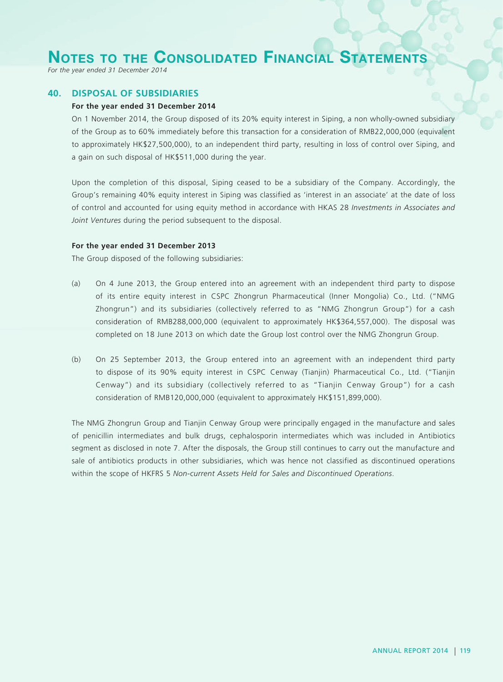*For the year ended 31 December 2014*

### **40. DISPOSAL OF SUBSIDIARIES**

#### **For the year ended 31 December 2014**

On 1 November 2014, the Group disposed of its 20% equity interest in Siping, a non wholly-owned subsidiary of the Group as to 60% immediately before this transaction for a consideration of RMB22,000,000 (equivalent to approximately HK\$27,500,000), to an independent third party, resulting in loss of control over Siping, and a gain on such disposal of HK\$511,000 during the year.

Upon the completion of this disposal, Siping ceased to be a subsidiary of the Company. Accordingly, the Group's remaining 40% equity interest in Siping was classified as 'interest in an associate' at the date of loss of control and accounted for using equity method in accordance with HKAS 28 *Investments in Associates and Joint Ventures* during the period subsequent to the disposal.

#### **For the year ended 31 December 2013**

The Group disposed of the following subsidiaries:

- (a) On 4 June 2013, the Group entered into an agreement with an independent third party to dispose of its entire equity interest in CSPC Zhongrun Pharmaceutical (Inner Mongolia) Co., Ltd. ("NMG Zhongrun") and its subsidiaries (collectively referred to as "NMG Zhongrun Group") for a cash consideration of RMB288,000,000 (equivalent to approximately HK\$364,557,000). The disposal was completed on 18 June 2013 on which date the Group lost control over the NMG Zhongrun Group.
- (b) On 25 September 2013, the Group entered into an agreement with an independent third party to dispose of its 90% equity interest in CSPC Cenway (Tianjin) Pharmaceutical Co., Ltd. ("Tianjin Cenway") and its subsidiary (collectively referred to as "Tianjin Cenway Group") for a cash consideration of RMB120,000,000 (equivalent to approximately HK\$151,899,000).

The NMG Zhongrun Group and Tianjin Cenway Group were principally engaged in the manufacture and sales of penicillin intermediates and bulk drugs, cephalosporin intermediates which was included in Antibiotics segment as disclosed in note 7. After the disposals, the Group still continues to carry out the manufacture and sale of antibiotics products in other subsidiaries, which was hence not classified as discontinued operations within the scope of HKFRS 5 *Non-current Assets Held for Sales and Discontinued Operations*.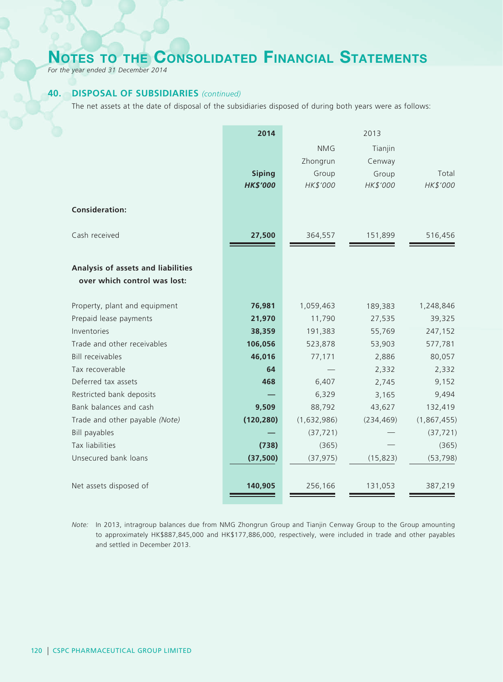*For the year ended 31 December 2014*

### **40. DISPOSAL OF SUBSIDIARIES** *(continued)*

The net assets at the date of disposal of the subsidiaries disposed of during both years were as follows:

|                                    | 2014            |             | 2013       |             |
|------------------------------------|-----------------|-------------|------------|-------------|
|                                    |                 | <b>NMG</b>  | Tianjin    |             |
|                                    |                 | Zhongrun    | Cenway     |             |
|                                    | <b>Siping</b>   | Group       | Group      | Total       |
|                                    | <b>HK\$'000</b> | HK\$'000    | HK\$'000   | HK\$'000    |
|                                    |                 |             |            |             |
| <b>Consideration:</b>              |                 |             |            |             |
| Cash received                      | 27,500          | 364,557     | 151,899    | 516,456     |
|                                    |                 |             |            |             |
| Analysis of assets and liabilities |                 |             |            |             |
| over which control was lost:       |                 |             |            |             |
|                                    |                 |             |            |             |
| Property, plant and equipment      | 76,981          | 1,059,463   | 189,383    | 1,248,846   |
| Prepaid lease payments             | 21,970          | 11,790      | 27,535     | 39,325      |
| Inventories                        | 38,359          | 191,383     | 55,769     | 247,152     |
| Trade and other receivables        | 106,056         | 523,878     | 53,903     | 577,781     |
| <b>Bill receivables</b>            | 46,016          | 77,171      | 2,886      | 80,057      |
| Tax recoverable                    | 64              |             | 2,332      | 2,332       |
| Deferred tax assets                | 468             | 6,407       | 2,745      | 9,152       |
| Restricted bank deposits           |                 | 6,329       | 3,165      | 9,494       |
| Bank balances and cash             | 9,509           | 88,792      | 43,627     | 132,419     |
| Trade and other payable (Note)     | (120, 280)      | (1,632,986) | (234, 469) | (1,867,455) |
| <b>Bill payables</b>               |                 | (37, 721)   |            | (37, 721)   |
| Tax liabilities                    | (738)           | (365)       |            | (365)       |
| Unsecured bank loans               | (37, 500)       | (37, 975)   | (15, 823)  | (53, 798)   |
|                                    |                 |             |            |             |
| Net assets disposed of             | 140,905         | 256,166     | 131,053    | 387,219     |

*Note:* In 2013, intragroup balances due from NMG Zhongrun Group and Tianjin Cenway Group to the Group amounting to approximately HK\$887,845,000 and HK\$177,886,000, respectively, were included in trade and other payables and settled in December 2013.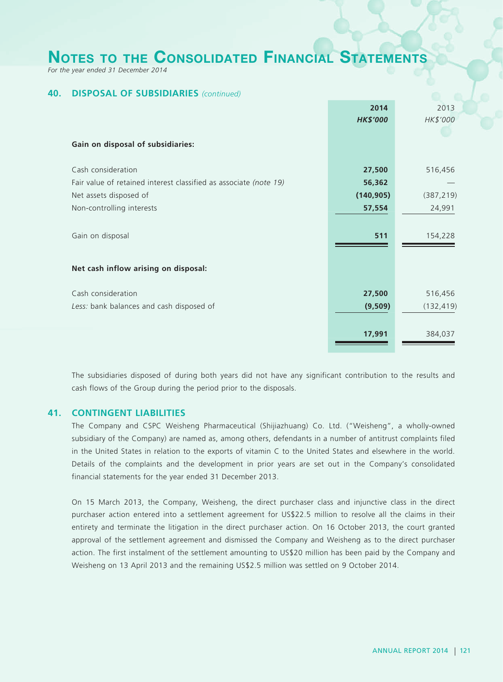*For the year ended 31 December 2014*

### **40. DISPOSAL OF SUBSIDIARIES** *(continued)*

|                                                                   | 2014            | 2013       |
|-------------------------------------------------------------------|-----------------|------------|
|                                                                   | <b>HK\$'000</b> | HK\$'000   |
|                                                                   |                 |            |
| Gain on disposal of subsidiaries:                                 |                 |            |
|                                                                   |                 |            |
| Cash consideration                                                | 27,500          | 516,456    |
| Fair value of retained interest classified as associate (note 19) | 56,362          |            |
| Net assets disposed of                                            | (140, 905)      | (387, 219) |
| Non-controlling interests                                         | 57,554          | 24,991     |
|                                                                   |                 |            |
| Gain on disposal                                                  | 511             | 154,228    |
|                                                                   |                 |            |
|                                                                   |                 |            |
| Net cash inflow arising on disposal:                              |                 |            |
|                                                                   |                 |            |
| Cash consideration                                                | 27,500          | 516,456    |
| Less: bank balances and cash disposed of                          | (9,509)         | (132, 419) |
|                                                                   |                 |            |
|                                                                   | 17,991          | 384,037    |
|                                                                   |                 |            |

The subsidiaries disposed of during both years did not have any significant contribution to the results and cash flows of the Group during the period prior to the disposals.

### **41. CONTINGENT LIABILITIES**

The Company and CSPC Weisheng Pharmaceutical (Shijiazhuang) Co. Ltd. ("Weisheng", a wholly-owned subsidiary of the Company) are named as, among others, defendants in a number of antitrust complaints filed in the United States in relation to the exports of vitamin C to the United States and elsewhere in the world. Details of the complaints and the development in prior years are set out in the Company's consolidated financial statements for the year ended 31 December 2013.

On 15 March 2013, the Company, Weisheng, the direct purchaser class and injunctive class in the direct purchaser action entered into a settlement agreement for US\$22.5 million to resolve all the claims in their entirety and terminate the litigation in the direct purchaser action. On 16 October 2013, the court granted approval of the settlement agreement and dismissed the Company and Weisheng as to the direct purchaser action. The first instalment of the settlement amounting to US\$20 million has been paid by the Company and Weisheng on 13 April 2013 and the remaining US\$2.5 million was settled on 9 October 2014.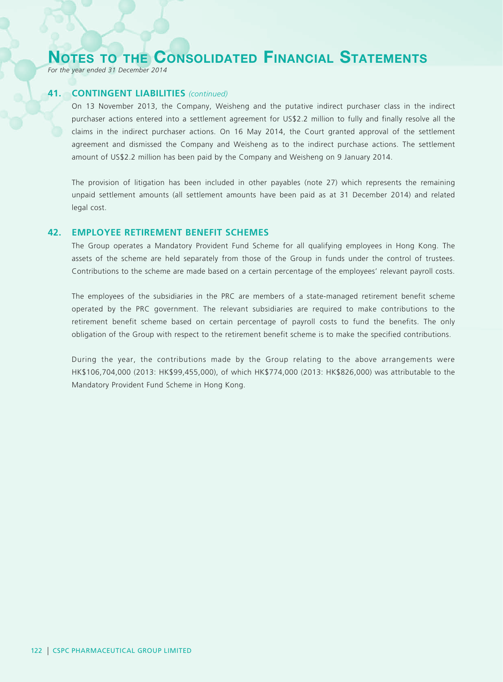*For the year ended 31 December 2014*

### **41. CONTINGENT LIABILITIES** *(continued)*

On 13 November 2013, the Company, Weisheng and the putative indirect purchaser class in the indirect purchaser actions entered into a settlement agreement for US\$2.2 million to fully and finally resolve all the claims in the indirect purchaser actions. On 16 May 2014, the Court granted approval of the settlement agreement and dismissed the Company and Weisheng as to the indirect purchase actions. The settlement amount of US\$2.2 million has been paid by the Company and Weisheng on 9 January 2014.

The provision of litigation has been included in other payables (note 27) which represents the remaining unpaid settlement amounts (all settlement amounts have been paid as at 31 December 2014) and related legal cost.

#### **42. EMPLOYEE RETIREMENT BENEFIT SCHEMES**

The Group operates a Mandatory Provident Fund Scheme for all qualifying employees in Hong Kong. The assets of the scheme are held separately from those of the Group in funds under the control of trustees. Contributions to the scheme are made based on a certain percentage of the employees' relevant payroll costs.

The employees of the subsidiaries in the PRC are members of a state-managed retirement benefit scheme operated by the PRC government. The relevant subsidiaries are required to make contributions to the retirement benefit scheme based on certain percentage of payroll costs to fund the benefits. The only obligation of the Group with respect to the retirement benefit scheme is to make the specified contributions.

During the year, the contributions made by the Group relating to the above arrangements were HK\$106,704,000 (2013: HK\$99,455,000), of which HK\$774,000 (2013: HK\$826,000) was attributable to the Mandatory Provident Fund Scheme in Hong Kong.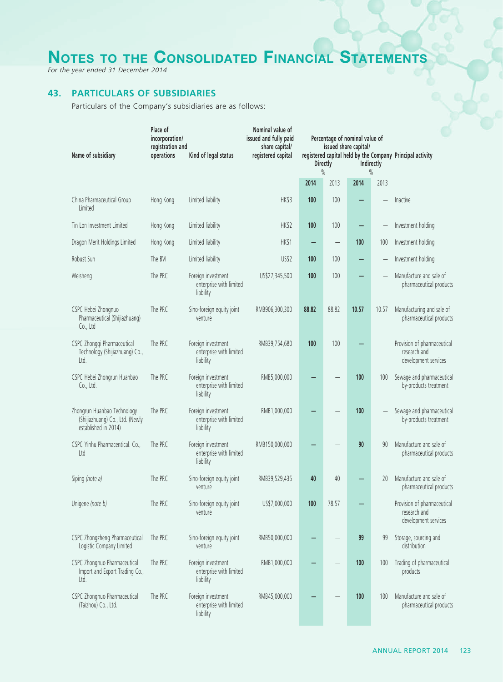*For the year ended 31 December 2014*

## **43. PARTICULARS OF SUBSIDIARIES**

Particulars of the Company's subsidiaries are as follows:

| Name of subsidiary                                                                     | Place of<br>incorporation/<br>registration and<br>operations | Kind of legal status                                       | Nominal value of<br>issued and fully paid<br>share capital/<br>registered capital | Percentage of nominal value of<br>issued share capital/<br>registered capital held by the Company Principal activity<br>Directly<br>Indirectly<br>$\%$<br>$\%$ |       |       |                          |                                                                     |
|----------------------------------------------------------------------------------------|--------------------------------------------------------------|------------------------------------------------------------|-----------------------------------------------------------------------------------|----------------------------------------------------------------------------------------------------------------------------------------------------------------|-------|-------|--------------------------|---------------------------------------------------------------------|
|                                                                                        |                                                              |                                                            |                                                                                   | 2014                                                                                                                                                           | 2013  | 2014  | 2013                     |                                                                     |
| China Pharmaceutical Group<br>Limited                                                  | Hong Kong                                                    | Limited liability                                          | HK\$3                                                                             | 100                                                                                                                                                            | 100   |       |                          | Inactive                                                            |
| Tin Lon Investment Limited                                                             | Hong Kong                                                    | Limited liability                                          | HK\$2                                                                             | 100                                                                                                                                                            | 100   |       |                          | Investment holding                                                  |
| Dragon Merit Holdings Limited                                                          | Hong Kong                                                    | Limited liability                                          | HK\$1                                                                             | -                                                                                                                                                              |       | 100   | 100                      | Investment holding                                                  |
| Robust Sun                                                                             | The BVI                                                      | Limited liability                                          | US\$2                                                                             | 100                                                                                                                                                            | 100   |       |                          | Investment holding                                                  |
| Weisheng                                                                               | The PRC                                                      | Foreign investment<br>enterprise with limited<br>liability | US\$27,345,500                                                                    | 100                                                                                                                                                            | 100   |       |                          | Manufacture and sale of<br>pharmaceutical products                  |
| CSPC Hebei Zhongnuo<br>Pharmaceutical (Shijiazhuang)<br>Co., Ltd                       | The PRC                                                      | Sino-foreign equity joint<br>venture                       | RMB906,300,300                                                                    | 88.82                                                                                                                                                          | 88.82 | 10.57 | 10.57                    | Manufacturing and sale of<br>pharmaceutical products                |
| CSPC Zhongqi Pharmaceutical<br>Technology (Shijiazhuang) Co.,<br>Ltd.                  | The PRC                                                      | Foreign investment<br>enterprise with limited<br>liability | RMB39,754,680                                                                     | 100                                                                                                                                                            | 100   |       |                          | Provision of pharmaceutical<br>research and<br>development services |
| CSPC Hebei Zhongrun Huanbao<br>Co., Ltd.                                               | The PRC                                                      | Foreign investment<br>enterprise with limited<br>liability | RMB5,000,000                                                                      |                                                                                                                                                                |       | 100   | 100                      | Sewage and pharmaceutical<br>by-products treatment                  |
| Zhongrun Huanbao Technology<br>(Shijiazhuang) Co., Ltd. (Newly<br>established in 2014) | The PRC                                                      | Foreign investment<br>enterprise with limited<br>liability | RMB1,000,000                                                                      |                                                                                                                                                                |       | 100   |                          | Sewage and pharmaceutical<br>by-products treatment                  |
| CSPC Yinhu Pharmacentical. Co.,<br>Ltd                                                 | The PRC                                                      | Foreign investment<br>enterprise with limited<br>liability | RMB150,000,000                                                                    |                                                                                                                                                                |       | 90    | 90                       | Manufacture and sale of<br>pharmaceutical products                  |
| Siping (note a)                                                                        | The PRC                                                      | Sino-foreign equity joint<br>venture                       | RMB39,529,435                                                                     | 40                                                                                                                                                             | 40    |       | 20                       | Manufacture and sale of<br>pharmaceutical products                  |
| Unigene (note b)                                                                       | The PRC                                                      | Sino-foreign equity joint<br>venture                       | US\$7,000,000                                                                     | 100                                                                                                                                                            | 78.57 |       | $\overline{\phantom{0}}$ | Provision of pharmaceutical<br>research and<br>development services |
| CSPC Zhongzheng Pharmaceutical<br>Logistic Company Limited                             | The PRC                                                      | Sino-foreign equity joint<br>venture                       | RMB50,000,000                                                                     |                                                                                                                                                                |       | 99    | 99                       | Storage, sourcing and<br>distribution                               |
| CSPC Zhongnuo Pharmaceutical<br>Import and Export Trading Co.,<br>Ltd.                 | The PRC                                                      | Foreign investment<br>enterprise with limited<br>liability | RMB1,000,000                                                                      |                                                                                                                                                                |       | 100   | 100                      | Trading of pharmaceutical<br>products                               |
| CSPC Zhongnuo Pharmaceutical<br>(Taizhou) Co., Ltd.                                    | The PRC                                                      | Foreign investment<br>enterprise with limited<br>liability | RMB45,000,000                                                                     |                                                                                                                                                                |       | 100   | 100                      | Manufacture and sale of<br>pharmaceutical products                  |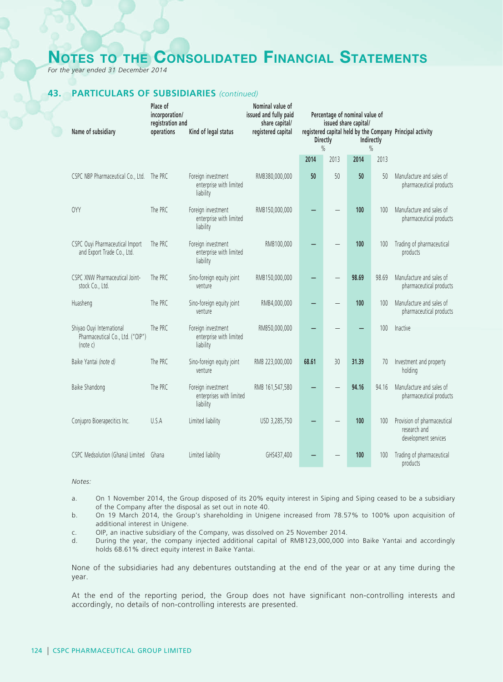*For the year ended 31 December 2014*

## **43. PARTICULARS OF SUBSIDIARIES** *(continued)*

| Name of subsidiary                                                        | Place of<br>incorporation/<br>registration and<br>operations | Kind of legal status                                        | Nominal value of<br>issued and fully paid<br>share capital/<br>registered capital |       | Directly<br>$\frac{0}{0}$ | Percentage of nominal value of<br>issued share capital/<br>Indirectly<br>$\frac{0}{0}$ |       | registered capital held by the Company Principal activity           |
|---------------------------------------------------------------------------|--------------------------------------------------------------|-------------------------------------------------------------|-----------------------------------------------------------------------------------|-------|---------------------------|----------------------------------------------------------------------------------------|-------|---------------------------------------------------------------------|
|                                                                           |                                                              |                                                             |                                                                                   | 2014  | 2013                      | 2014                                                                                   | 2013  |                                                                     |
| CSPC NBP Pharmaceutical Co., Ltd. The PRC                                 |                                                              | Foreign investment<br>enterprise with limited<br>liability  | RMB380,000,000                                                                    | 50    | 50                        | 50                                                                                     | 50    | Manufacture and sales of<br>pharmaceutical products                 |
| 0YY                                                                       | The PRC                                                      | Foreign investment<br>enterprise with limited<br>liability  | RMB150,000,000                                                                    |       |                           | 100                                                                                    | 100   | Manufacture and sales of<br>pharmaceutical products                 |
| CSPC Ouyi Pharmaceutical Import<br>and Export Trade Co., Ltd.             | The PRC                                                      | Foreign investment<br>enterprise with limited<br>liability  | RMB100,000                                                                        |       |                           | 100                                                                                    | 100   | Trading of pharmaceutical<br>products                               |
| CSPC XNW Pharmaceutical Joint-<br>stock Co., Ltd.                         | The PRC                                                      | Sino-foreign equity joint<br>venture                        | RMB150,000,000                                                                    |       |                           | 98.69                                                                                  | 98.69 | Manufacture and sales of<br>pharmaceutical products                 |
| Huasheng                                                                  | The PRC                                                      | Sino-foreign equity joint<br>venture                        | RMB4,000,000                                                                      |       |                           | 100                                                                                    | 100   | Manufacture and sales of<br>pharmaceutical products                 |
| Shiyao Ouyi International<br>Pharmaceutical Co., Ltd. ("OIP")<br>(note c) | The PRC                                                      | Foreign investment<br>enterprise with limited<br>liability  | RMB50,000,000                                                                     |       |                           |                                                                                        | 100   | Inactive                                                            |
| Baike Yantai (note d)                                                     | The PRC                                                      | Sino-foreign equity joint<br>venture                        | RMB 223,000,000                                                                   | 68.61 | 30                        | 31.39                                                                                  | 70    | Investment and property<br>holding                                  |
| Baike Shandong                                                            | The PRC                                                      | Foreign investment<br>enterprises with limited<br>liability | RMB 161,547,580                                                                   |       |                           | 94.16                                                                                  | 94.16 | Manufacture and sales of<br>pharmaceutical products                 |
| Conjupro Bioerapecitics Inc.                                              | U.S.A                                                        | Limited liability                                           | USD 3,285,750                                                                     |       |                           | 100                                                                                    | 100   | Provision of pharmaceutical<br>research and<br>development services |
| CSPC Medsolution (Ghana) Limited                                          | Ghana                                                        | Limited liability                                           | GHS437,400                                                                        |       |                           | 100                                                                                    | 100   | Trading of pharmaceutical<br>products                               |

*Notes:*

- a. On 1 November 2014, the Group disposed of its 20% equity interest in Siping and Siping ceased to be a subsidiary of the Company after the disposal as set out in note 40.
- b. On 19 March 2014, the Group's shareholding in Unigene increased from 78.57% to 100% upon acquisition of additional interest in Unigene.
- c. OIP, an inactive subsidiary of the Company, was dissolved on 25 November 2014.
- d. During the year, the company injected additional capital of RMB123,000,000 into Baike Yantai and accordingly holds 68.61% direct equity interest in Baike Yantai.

None of the subsidiaries had any debentures outstanding at the end of the year or at any time during the year.

At the end of the reporting period, the Group does not have significant non-controlling interests and accordingly, no details of non-controlling interests are presented.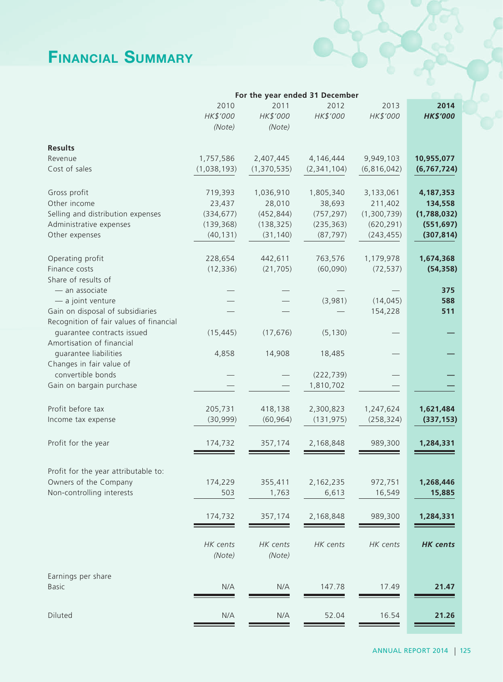# **Financial Summary**

|                                                                                                                      |                                                            | For the year ended 31 December                               |                                                              |                                                                 |                                                                 |
|----------------------------------------------------------------------------------------------------------------------|------------------------------------------------------------|--------------------------------------------------------------|--------------------------------------------------------------|-----------------------------------------------------------------|-----------------------------------------------------------------|
|                                                                                                                      | 2010<br>HK\$'000<br>(Note)                                 | 2011<br>HK\$'000<br>(Note)                                   | 2012<br>HK\$'000                                             | 2013<br>HK\$'000                                                | 2014<br><b>HK\$'000</b>                                         |
| <b>Results</b>                                                                                                       |                                                            |                                                              |                                                              |                                                                 |                                                                 |
| Revenue<br>Cost of sales                                                                                             | 1,757,586<br>(1,038,193)                                   | 2,407,445<br>(1,370,535)                                     | 4,146,444<br>(2,341,104)                                     | 9,949,103<br>(6,816,042)                                        | 10,955,077<br>(6, 767, 724)                                     |
| Gross profit<br>Other income<br>Selling and distribution expenses<br>Administrative expenses<br>Other expenses       | 719,393<br>23,437<br>(334, 677)<br>(139, 368)<br>(40, 131) | 1,036,910<br>28,010<br>(452, 844)<br>(138, 325)<br>(31, 140) | 1,805,340<br>38,693<br>(757, 297)<br>(235, 363)<br>(87, 797) | 3,133,061<br>211,402<br>(1,300,739)<br>(620, 291)<br>(243, 455) | 4,187,353<br>134,558<br>(1,788,032)<br>(551, 697)<br>(307, 814) |
| Operating profit<br>Finance costs<br>Share of results of                                                             | 228,654<br>(12, 336)                                       | 442,611<br>(21, 705)                                         | 763,576<br>(60,090)                                          | 1,179,978<br>(72, 537)                                          | 1,674,368<br>(54, 358)                                          |
| - an associate<br>$-$ a joint venture<br>Gain on disposal of subsidiaries<br>Recognition of fair values of financial |                                                            |                                                              | (3,981)                                                      | (14, 045)<br>154,228                                            | 375<br>588<br>511                                               |
| quarantee contracts issued<br>Amortisation of financial                                                              | (15, 445)                                                  | (17, 676)                                                    | (5, 130)                                                     |                                                                 |                                                                 |
| guarantee liabilities<br>Changes in fair value of                                                                    | 4,858                                                      | 14,908                                                       | 18,485                                                       |                                                                 |                                                                 |
| convertible bonds<br>Gain on bargain purchase                                                                        |                                                            |                                                              | (222, 739)<br>1,810,702                                      |                                                                 |                                                                 |
| Profit before tax<br>Income tax expense                                                                              | 205,731<br>(30, 999)                                       | 418,138<br>(60, 964)                                         | 2,300,823<br>(131, 975)                                      | 1,247,624<br>(258, 324)                                         | 1,621,484<br>(337, 153)                                         |
| Profit for the year                                                                                                  | 174,732                                                    | 357,174                                                      | 2,168,848                                                    | 989,300                                                         | 1,284,331                                                       |
| Profit for the year attributable to:<br>Owners of the Company<br>Non-controlling interests                           | 174,229<br>503                                             | 355,411<br>1,763                                             | 2,162,235<br>6,613                                           | 972,751<br>16,549                                               | 1,268,446<br>15,885                                             |
|                                                                                                                      | 174,732                                                    | 357,174                                                      | 2,168,848                                                    | 989,300                                                         | 1,284,331                                                       |
|                                                                                                                      | HK cents<br>(Note)                                         | HK cents<br>(Note)                                           | HK cents                                                     | HK cents                                                        | <b>HK</b> cents                                                 |
| Earnings per share<br><b>Basic</b>                                                                                   | N/A                                                        | N/A                                                          | 147.78                                                       | 17.49                                                           | 21.47                                                           |
| Diluted                                                                                                              | N/A                                                        | N/A                                                          | 52.04                                                        | 16.54                                                           | 21.26                                                           |